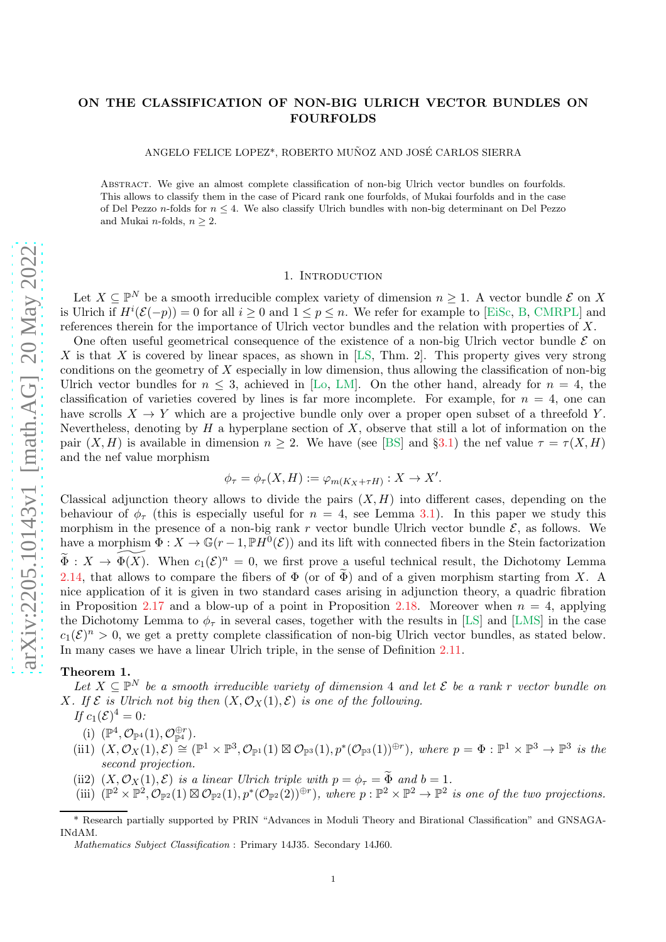# <span id="page-0-1"></span>ON THE CLASSIFICATION OF NON-BIG ULRICH VECTOR BUNDLES ON FOURFOLDS

ANGELO FELICE LOPEZ\*, ROBERTO MUÑOZ AND JOSÉ CARLOS SIERRA

Abstract. We give an almost complete classification of non-big Ulrich vector bundles on fourfolds. This allows to classify them in the case of Picard rank one fourfolds, of Mukai fourfolds and in the case of Del Pezzo n-folds for  $n \leq 4$ . We also classify Ulrich bundles with non-big determinant on Del Pezzo and Mukai *n*-folds,  $n \geq 2$ .

### 1. Introduction

Let  $X \subseteq \mathbb{P}^N$  be a smooth irreducible complex variety of dimension  $n \geq 1$ . A vector bundle  $\mathcal{E}$  on X is Ulrich if  $H^{i}(\mathcal{E}(-p)) = 0$  for all  $i \geq 0$  and  $1 \leq p \leq n$ . We refer for example to [\[EiSc,](#page-29-0) [B,](#page-28-0) [CMRPL\]](#page-29-1) and references therein for the importance of Ulrich vector bundles and the relation with properties of X.

One often useful geometrical consequence of the existence of a non-big Ulrich vector bundle  $\mathcal E$  on X is that X is covered by linear spaces, as shown in [\[LS,](#page-29-2) Thm. 2]. This property gives very strong conditions on the geometry of  $X$  especially in low dimension, thus allowing the classification of non-big Ulrich vector bundles for  $n \leq 3$ , achieved in [\[Lo,](#page-29-3) [LM\]](#page-29-4). On the other hand, already for  $n = 4$ , the classification of varieties covered by lines is far more incomplete. For example, for  $n = 4$ , one can have scrolls  $X \to Y$  which are a projective bundle only over a proper open subset of a threefold Y. Nevertheless, denoting by  $H$  a hyperplane section of  $X$ , observe that still a lot of information on the pair  $(X, H)$  is available in dimension  $n \geq 2$ . We have (see [\[BS\]](#page-29-5) and §[3.1\)](#page-6-0) the nef value  $\tau = \tau(X, H)$ and the nef value morphism

$$
\phi_{\tau} = \phi_{\tau}(X, H) := \varphi_{m(K_X + \tau H)} : X \to X'.
$$

Classical adjunction theory allows to divide the pairs  $(X, H)$  into different cases, depending on the behaviour of  $\phi_{\tau}$  (this is especially useful for  $n = 4$ , see Lemma [3.1\)](#page-6-1). In this paper we study this morphism in the presence of a non-big rank r vector bundle Ulrich vector bundle  $\mathcal{E}$ , as follows. We have a morphism  $\Phi: X \to \mathbb{G}(r-1, \mathbb{P}H^0(\mathcal{E}))$  and its lift with connected fibers in the Stein factorization  $\widetilde{\Phi}: X \to \widetilde{\Phi(X)}$ . When  $c_1(\mathcal{E})^n = 0$ , we first prove a useful technical result, the Dichotomy Lemma [2.14,](#page-4-0) that allows to compare the fibers of  $\Phi$  (or of  $\widetilde{\Phi}$ ) and of a given morphism starting from X. A nice application of it is given in two standard cases arising in adjunction theory, a quadric fibration in Proposition [2.17](#page-5-0) and a blow-up of a point in Proposition [2.18.](#page-5-1) Moreover when  $n = 4$ , applying the Dichotomy Lemma to  $\phi_{\tau}$  in several cases, together with the results in [\[LS\]](#page-29-2) and [\[LMS\]](#page-29-6) in the case  $c_1(\mathcal{E})^n > 0$ , we get a pretty complete classification of non-big Ulrich vector bundles, as stated below. In many cases we have a linear Ulrich triple, in the sense of Definition [2.11.](#page-4-1)

#### <span id="page-0-0"></span>Theorem 1.

Let  $X \subseteq \mathbb{P}^N$  be a smooth irreducible variety of dimension 4 and let  $\mathcal E$  be a rank r vector bundle on *X.* If  $\mathcal{E}$  is Ulrich not big then  $(X, \mathcal{O}_X(1), \mathcal{E})$  is one of the following.

*If*  $c_1(\mathcal{E})^4 = 0$ *:* 

- (i)  $(\mathbb{P}^4, \mathcal{O}_{\mathbb{P}^4}(1), \mathcal{O}_{\mathbb{P}^4}^{\oplus r})$ .
- $(iii)$   $(X, \mathcal{O}_X(1), \mathcal{E}) \cong (\mathbb{P}^1 \times \mathbb{P}^3, \mathcal{O}_{\mathbb{P}^1}(1) \boxtimes \mathcal{O}_{\mathbb{P}^3}(1), p^*(\mathcal{O}_{\mathbb{P}^3}(1))^{\oplus r})$ , where  $p = \Phi : \mathbb{P}^1 \times \mathbb{P}^3 \to \mathbb{P}^3$  is the *second projection.*
- (ii2)  $(X, \mathcal{O}_X(1), \mathcal{E})$  *is a linear Ulrich triple with*  $p = \phi_\tau = \tilde{\Phi}$  *and*  $b = 1$ *.*
- $(\text{iii}) \quad (\mathbb{P}^2 \times \mathbb{P}^2, \mathcal{O}_{\mathbb{P}^2}(1) \boxtimes \mathcal{O}_{\mathbb{P}^2}(1), p^*(\mathcal{O}_{\mathbb{P}^2}(2))^{\oplus r}),$  where  $p : \mathbb{P}^2 \times \mathbb{P}^2 \to \mathbb{P}^2$  is one of the two projections.

<sup>\*</sup> Research partially supported by PRIN "Advances in Moduli Theory and Birational Classification" and GNSAGA-INdAM.

Mathematics Subject Classification : Primary 14J35. Secondary 14J60.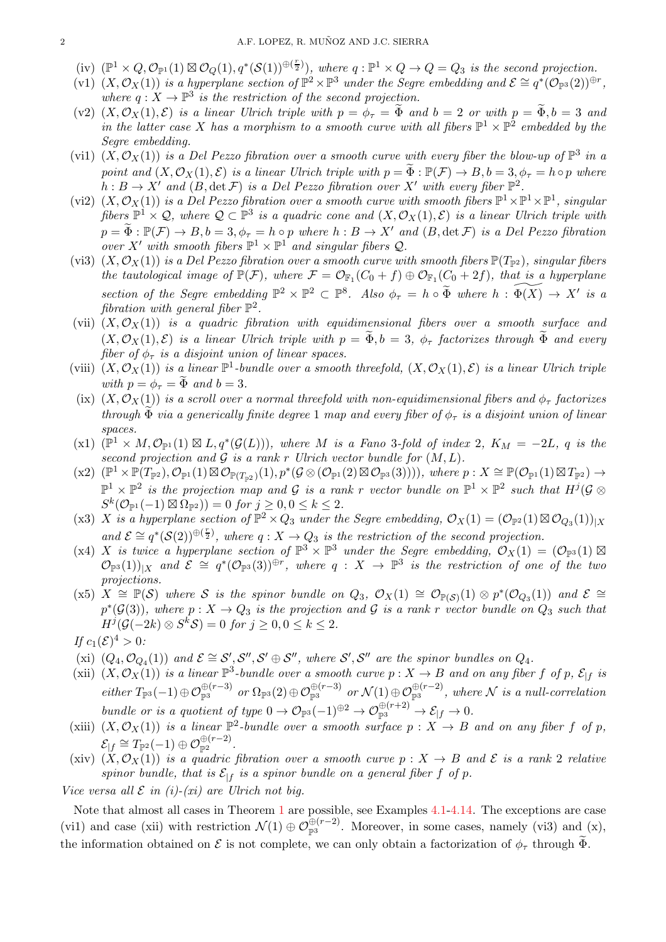- $(iv)$   $(\mathbb{P}^1 \times Q, \mathcal{O}_{\mathbb{P}^1}(1) \boxtimes \mathcal{O}_Q(1), q^*(\mathcal{S}(1))^{\oplus (\frac{r}{2})}),$  where  $q : \mathbb{P}^1 \times Q \to Q = Q_3$  is the second projection.
- $(v1)$   $(X, \mathcal{O}_X(1))$  *is a hyperplane section of*  $\mathbb{P}^2 \times \mathbb{P}^3$  *under the Segre embedding and*  $\mathcal{E} \cong q^*(\mathcal{O}_{\mathbb{P}^3}(2))^{\oplus r}$ , where  $q: X \to \mathbb{P}^3$  is the restriction of the second projection.
- (v2)  $(X, \mathcal{O}_X(1), \mathcal{E})$  *is a linear Ulrich triple with*  $p = \phi_\tau = \tilde{\Phi}$  *and*  $b = 2$  *or with*  $p = \tilde{\Phi}, b = 3$  *and in the latter case* X has a morphism to a smooth curve with all fibers  $\mathbb{P}^1 \times \mathbb{P}^2$  embedded by the *Segre embedding.*
- (vi1)  $(X, \mathcal{O}_X(1))$  *is a Del Pezzo fibration over a smooth curve with every fiber the blow-up of*  $\mathbb{P}^3$  *in a point and*  $(X, \mathcal{O}_X(1), \mathcal{E})$  *is a linear Ulrich triple with*  $p = \tilde{\Phi} : \mathbb{P}(\mathcal{F}) \to B, b = 3, \phi_\tau = h \circ p$  *where*  $h : B \to X'$  and  $(B, \det \mathcal{F})$  *is a Del Pezzo fibration over* X' *with every fiber*  $\mathbb{P}^2$ .
- (vi2)  $(X, \mathcal{O}_X(1))$  *is a Del Pezzo fibration over a smooth curve with smooth fibers*  $\mathbb{P}^1 \times \mathbb{P}^1 \times \mathbb{P}^1$ , *singular*  $fibers \mathbb{P}^1 \times \mathcal{Q}$ , where  $\mathcal{Q} \subset \mathbb{P}^3$  *is a quadric cone and*  $(X, \mathcal{O}_X(1), \mathcal{E})$  *is a linear Ulrich triple with*  $p = \widetilde{\Phi}: \mathbb{P}(\mathcal{F}) \to B, b = 3, \phi_{\tau} = h \circ p$  where  $h: B \to X'$  and  $(B, \det \mathcal{F})$  is a Del Pezzo fibration *over*  $X'$  *with smooth fibers*  $\mathbb{P}^1 \times \mathbb{P}^1$  *and singular fibers*  $\mathcal{Q}$ *.*
- (vi3)  $(X, \mathcal{O}_X(1))$  *is a Del Pezzo fibration over a smooth curve with smooth fibers*  $\mathbb{P}(T_{\mathbb{P}^2})$ *, singular fibers the tautological image of*  $\mathbb{P}(\mathcal{F})$ *, where*  $\mathcal{F} = \mathcal{O}_{\mathbb{F}_1}(C_0 + f) \oplus \mathcal{O}_{\mathbb{F}_1}(C_0 + 2f)$ *, that is a hyperplane section of the Segre embedding*  $\mathbb{P}^2 \times \mathbb{P}^2 \subset \mathbb{P}^8$ *. Also*  $\phi_\tau = h \circ \widetilde{\Phi}$  where  $h : \widetilde{\Phi(X)} \to X'$  is a  $fibration$  with general  $fiber \mathbb{P}^2$ .
- (vii)  $(X, \mathcal{O}_X(1))$  *is a quadric fibration with equidimensional fibers over a smooth surface and*  $(X, \mathcal{O}_X(1), \mathcal{E})$  *is a linear Ulrich triple with*  $p = \Phi, b = 3, \phi_\tau$  *factorizes through*  $\Phi$  *and every fiber of*  $\phi_{\tau}$  *is a disjoint union of linear spaces.*
- (viii)  $(X, \mathcal{O}_X(1))$  *is a linear*  $\mathbb{P}^1$ -bundle over a smooth threefold,  $(X, \mathcal{O}_X(1), \mathcal{E})$  *is a linear Ulrich triple with*  $p = \phi_\tau = \tilde{\Phi}$  *and*  $b = 3$ *.*
- (ix)  $(X, \mathcal{O}_X(1))$  *is a scroll over a normal threefold with non-equidimensional fibers and*  $\phi_\tau$  *factorizes through*  $\Phi$  *via a generically finite degree* 1 *map and every fiber of*  $\phi_{\tau}$  *is a disjoint union of linear spaces.*
- $(\mathbf{x}^1)$   $(\mathbb{P}^1 \times M, \mathcal{O}_{\mathbb{P}^1}(1) \boxtimes L, q^*(\mathcal{G}(L)))$ , where M is a Fano 3-fold of index 2,  $K_M = -2L, q$  is the *second projection and*  $G$  *is a rank r Ulrich vector bundle for*  $(M, L)$ *.*
- $(\text{x2}) \ (\mathbb{P}^1 \times \mathbb{P}(T_{\mathbb{P}^2}), \mathcal{O}_{\mathbb{P}^1}(1) \boxtimes \mathcal{O}_{\mathbb{P}(T_{\mathbb{P}^2})}(1), p^*(\mathcal{G} \otimes (\mathcal{O}_{\mathbb{P}^1}(2) \boxtimes \mathcal{O}_{\mathbb{P}^3}(3))))), where p : X \cong \mathbb{P}(\mathcal{O}_{\mathbb{P}^1}(1) \boxtimes T_{\mathbb{P}^2}) \rightarrow$  $\mathbb{P}^1 \times \mathbb{P}^2$  *is the projection map and* G *is a rank* r *vector bundle on*  $\mathbb{P}^1 \times \mathbb{P}^2$  *such that*  $H^j(\mathcal{G} \otimes$  $S^k(\mathcal{O}_{\mathbb{P}^1}(-1) \boxtimes \Omega_{\mathbb{P}^2})) = 0$  for  $j \ge 0, 0 \le k \le 2$ .
- (x3) X *is a hyperplane section of*  $\mathbb{P}^2 \times Q_3$  *under the Segre embedding,*  $\mathcal{O}_X(1) = (\mathcal{O}_{\mathbb{P}^2}(1) \boxtimes \mathcal{O}_{Q_3}(1))_{|X}$ and  $\mathcal{E} \cong q^*(\mathcal{S}(2))^{\oplus(\frac{r}{2})}$ , where  $q: X \to Q_3$  is the restriction of the second projection.
- $(x4)$  X is twice a hyperplane section of  $\mathbb{P}^3 \times \mathbb{P}^3$  under the Segre embedding,  $\mathcal{O}_X(1) = (\mathcal{O}_{\mathbb{P}^3}(1) \boxtimes$  $\mathcal{O}_{\mathbb{P}^3}(1))_{|X}$  and  $\mathcal{E} \cong q^*(\mathcal{O}_{\mathbb{P}^3}(3))^{\oplus r}$ , where  $q: X \to \mathbb{P}^3$  is the restriction of one of the two *projections.*
- $(x5)$   $X \cong \mathbb{P}(\mathcal{S})$  where  $\mathcal{S}$  *is the spinor bundle on*  $Q_3$ ,  $\mathcal{O}_X(1) \cong \mathcal{O}_{\mathbb{P}(\mathcal{S})}(1) \otimes p^*(\mathcal{O}_{Q_3}(1))$  and  $\mathcal{E} \cong$  $p^*(\mathcal{G}(3))$ , where  $p: X \to Q_3$  is the projection and G is a rank r vector bundle on  $Q_3$  such that  $H^j(\mathcal{G}(-2k) \otimes S^k \mathcal{S}) = 0$  for  $j \geq 0, 0 \leq k \leq 2$ .
- *If*  $c_1(\mathcal{E})^4 > 0$ *:*
- (xi)  $(Q_4, \mathcal{O}_{Q_4}(1))$  and  $\mathcal{E} \cong \mathcal{S}', \mathcal{S}'', \mathcal{S}' \oplus \mathcal{S}'',$  where  $\mathcal{S}', \mathcal{S}''$  are the spinor bundles on  $Q_4$ .
- (xii)  $(X, \mathcal{O}_X(1))$  *is a linear*  $\mathbb{P}^3$ -bundle over a smooth curve  $p: X \to B$  and on any fiber f of p,  $\mathcal{E}_{|f}$  *is*  $either\ T_{\mathbb{P}^3}(-1) \oplus \mathcal{O}_{\mathbb{P}^3}^{\oplus (r-3)} \ \ or\ \ \mathcal{\Omega}_{\mathbb{P}^3}(\mathbb{P}^3) \ \ or\ \ \mathcal{N}(1) \oplus \mathcal{O}_{\mathbb{P}^3}^{\oplus (r-2)} \ ,\ where\ \mathcal{N}\ is\ a\ null-correlation$ *bundle or is a quotient of type*  $0 \to \mathcal{O}_{\mathbb{P}^3}(-1)^{\oplus 2} \to \mathcal{O}_{\mathbb{P}^3}^{\oplus (r+2)} \to \mathcal{E}_{|f} \to 0$ .
- (xiii)  $(X, \mathcal{O}_X(1))$  *is a linear*  $\mathbb{P}^2$ -bundle over a smooth surface  $p : X \to B$  and on any fiber f of p,  $\mathcal{E}_{|f} \cong T_{\mathbb{P}^2}(-1) \oplus \mathcal{O}_{\mathbb{P}^2}^{\oplus (r-2)}.$
- (xiv)  $(X, \mathcal{O}_X(1))$  *is a quadric fibration over a smooth curve*  $p : X \to B$  *and*  $\mathcal{E}$  *is a rank* 2 *relative* spinor bundle, that is  $\mathcal{E}_{|f}$  is a spinor bundle on a general fiber f of p.

*Vice versa all*  $\mathcal E$  *in (i)-(xi)* are *Ulrich not big.* 

Note that almost all cases in Theorem [1](#page-0-0) are possible, see Examples [4.1-](#page-25-0)[4.14.](#page-28-1) The exceptions are case (vi1) and case (xii) with restriction  $\mathcal{N}(1) \oplus \mathcal{O}_{\mathbb{P}^3}^{\oplus (r-2)}$ . Moreover, in some cases, namely (vi3) and (x), the information obtained on  $\mathcal E$  is not complete, we can only obtain a factorization of  $\phi_\tau$  through  $\widetilde{\Phi}$ .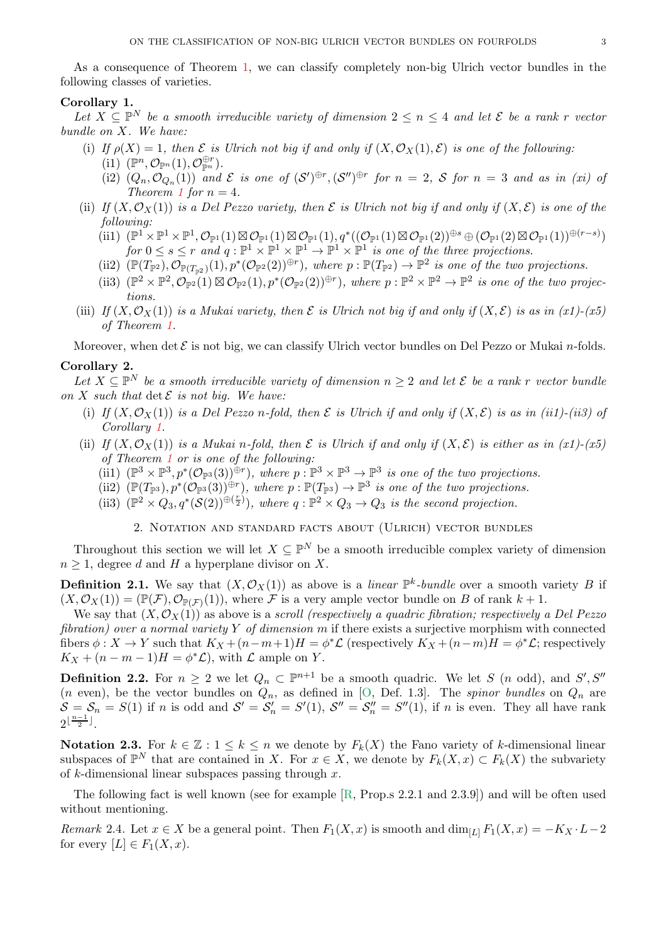<span id="page-2-2"></span>As a consequence of Theorem [1,](#page-0-0) we can classify completely non-big Ulrich vector bundles in the following classes of varieties.

# <span id="page-2-0"></span>Corollary 1.

*Let*  $X$  ⊆  $\mathbb{P}^N$  *be a smooth irreducible variety of dimension*  $2 \le n \le 4$  *and let*  $\mathcal{E}$  *be a rank* r *vector bundle on* X*. We have:*

- (i) If  $\rho(X) = 1$ , then  $\mathcal E$  *is Ulrich not big if and only if*  $(X, \mathcal O_X(1), \mathcal E)$  *is one of the following:* 
	- $(i1)$   $(\mathbb{P}^n, \mathcal{O}_{\mathbb{P}^n}(1), \mathcal{O}_{\mathbb{P}^n}^{\oplus r}).$
	- (i2)  $(Q_n, \mathcal{O}_{Q_n}(1))$  and  $\mathcal E$  is one of  $(\mathcal S')^{\oplus r}, (\mathcal S'')^{\oplus r}$  for  $n = 2$ ,  $\mathcal S$  for  $n = 3$  and as in (xi) of *Theorem [1](#page-0-0) for*  $n = 4$ *.*
- (ii) *If*  $(X, \mathcal{O}_X(1))$  *is a Del Pezzo variety, then*  $\mathcal E$  *is Ulrich not big if and only if*  $(X, \mathcal E)$  *is one of the following:*
	- $(\text{iii}) \ \ (\mathbb{P}^1 \times \mathbb{P}^1 \times \mathbb{P}^1, \mathcal{O}_{\mathbb{P}^1}(1) \boxtimes \mathcal{O}_{\mathbb{P}^1}(1) \boxtimes \mathcal{O}_{\mathbb{P}^1}(1), q^*((\mathcal{O}_{\mathbb{P}^1}(1) \boxtimes \mathcal{O}_{\mathbb{P}^1}(2))^{\oplus s} \oplus (\mathcal{O}_{\mathbb{P}^1}(2) \boxtimes \mathcal{O}_{\mathbb{P}^1}(1))^{\oplus (r-s)})$ *for*  $0 \leq s \leq r$  *and*  $q : \mathbb{P}^1 \times \mathbb{P}^1 \times \mathbb{P}^1 \to \mathbb{P}^1 \times \mathbb{P}^1$  *is one of the three projections.*
	- (ii2)  $(\mathbb{P}(T_{\mathbb{P}^2}), \mathcal{O}_{\mathbb{P}(T_{\mathbb{P}^2})}(1), p^*(\mathcal{O}_{\mathbb{P}^2}(2))^{\oplus r}),$  where  $p : \mathbb{P}(T_{\mathbb{P}^2}) \to \mathbb{P}^2$  is one of the two projections.
	- (ii3)  $(\mathbb{P}^2 \times \mathbb{P}^2, \mathcal{O}_{\mathbb{P}^2}(1) \boxtimes \mathcal{O}_{\mathbb{P}^2}(1), p^*(\mathcal{O}_{\mathbb{P}^2}(2))^{\oplus r}$ , where  $p : \mathbb{P}^2 \times \mathbb{P}^2 \to \mathbb{P}^2$  is one of the two projec*tions.*
- (iii) *If*  $(X, \mathcal{O}_X(1))$  *is a Mukai variety, then*  $\mathcal E$  *is Ulrich not big if and only if*  $(X, \mathcal E)$  *is as in (x1)-(x5) of Theorem [1.](#page-0-0)*

Moreover, when det  $\mathcal E$  is not big, we can classify Ulrich vector bundles on Del Pezzo or Mukai *n*-folds.

#### <span id="page-2-1"></span>Corollary 2.

Let  $X \subseteq \mathbb{P}^N$  be a smooth irreducible variety of dimension  $n \geq 2$  and let  $\mathcal{E}$  be a rank r vector bundle *on*  $X$  *such that*  $\det \mathcal{E}$  *is not big. We have:* 

- (i) If  $(X, \mathcal{O}_X(1))$  *is a Del Pezzo* n-fold, then  $\mathcal E$  *is Ulrich if and only if*  $(X, \mathcal{E})$  *is as in (ii1)-(ii3) of Corollary [1.](#page-2-0)*
- (ii) *If*  $(X, \mathcal{O}_X(1))$  *is a Mukai n-fold, then*  $\mathcal E$  *is Ulrich if and only if*  $(X, \mathcal E)$  *is either as in (x1)-(x5) of Theorem [1](#page-0-0) or is one of the following:*
	- (ii1)  $(\mathbb{P}^3 \times \mathbb{P}^3, p^*(\mathcal{O}_{\mathbb{P}^3}(3))^{\oplus r})$ *, where*  $p : \mathbb{P}^3 \times \mathbb{P}^3 \to \mathbb{P}^3$  *is one of the two projections.*
	- (ii2)  $(\mathbb{P}(T_{\mathbb{P}^3}), p^*(\mathcal{O}_{\mathbb{P}^3}(3))^{\oplus r})$ *, where*  $p : \mathbb{P}(T_{\mathbb{P}^3}) \to \mathbb{P}^3$  *is one of the two projections.*
	- (ii3)  $(\mathbb{P}^2 \times Q_3, q^*(\mathcal{S}(2))^{\oplus(\frac{r}{2})})$ , where  $q : \mathbb{P}^2 \times Q_3 \to Q_3$  is the second projection.

2. Notation and standard facts about (Ulrich) vector bundles

Throughout this section we will let  $X \subseteq \mathbb{P}^N$  be a smooth irreducible complex variety of dimension  $n \geq 1$ , degree d and H a hyperplane divisor on X.

**Definition 2.1.** We say that  $(X, \mathcal{O}_X(1))$  as above is a *linear*  $\mathbb{P}^k$ -bundle over a smooth variety B if  $(X,\mathcal{O}_X(1)) = (\mathbb{P}(\mathcal{F}),\mathcal{O}_{\mathbb{P}(\mathcal{F})}(1)),$  where  $\mathcal F$  is a very ample vector bundle on B of rank  $k+1$ .

We say that  $(X, \mathcal{O}_X(1))$  as above is a *scroll (respectively a quadric fibration; respectively a Del Pezzo fibration) over a normal variety* Y *of dimension* m if there exists a surjective morphism with connected fibers  $\phi: X \to Y$  such that  $K_X + (n-m+1)H = \phi^* \mathcal{L}$  (respectively  $K_X + (n-m)H = \phi^* \mathcal{L}$ ; respectively  $K_X + (n - m - 1)H = \phi^* \mathcal{L}$ , with  $\mathcal L$  ample on Y.

**Definition 2.2.** For  $n \geq 2$  we let  $Q_n \subset \mathbb{P}^{n+1}$  be a smooth quadric. We let S (n odd), and S', S''  $(n \text{ even})$ , be the vector bundles on  $Q_n$ , as defined in [\[O,](#page-30-0) Def. 1.3]. The *spinor bundles* on  $Q_n$  are  $S = S_n = S(1)$  if n is odd and  $S' = S'_n = S'(1)$ ,  $S'' = S''_n = S''(1)$ , if n is even. They all have rank  $2^{\lfloor \frac{n-1}{2} \rfloor}$ .

Notation 2.3. For  $k \in \mathbb{Z} : 1 \leq k \leq n$  we denote by  $F_k(X)$  the Fano variety of k-dimensional linear subspaces of  $\mathbb{P}^N$  that are contained in X. For  $x \in X$ , we denote by  $F_k(X, x) \subset F_k(X)$  the subvariety of k-dimensional linear subspaces passing through  $x$ .

The following fact is well known (see for example [\[R,](#page-30-1) Prop.s 2.2.1 and 2.3.9]) and will be often used without mentioning.

*Remark* 2.4*.* Let  $x \in X$  be a general point. Then  $F_1(X, x)$  is smooth and  $\dim_{[L]} F_1(X, x) = -K_X \cdot L - 2$ for every  $[L] \in F_1(X, x)$ .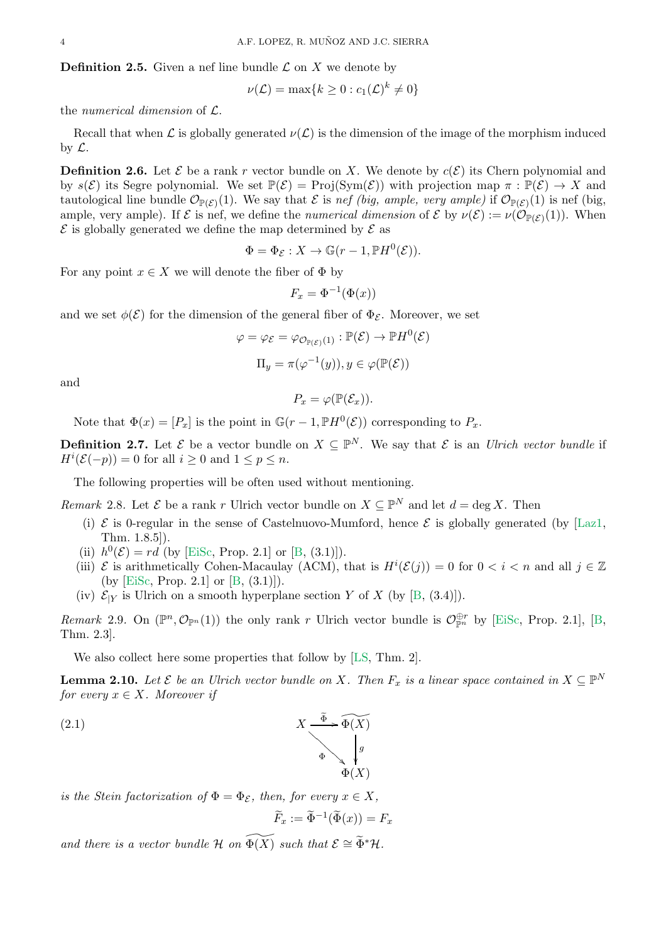<span id="page-3-5"></span>**Definition 2.5.** Given a nef line bundle  $\mathcal{L}$  on  $X$  we denote by

$$
\nu(\mathcal{L}) = \max\{k \ge 0 : c_1(\mathcal{L})^k \ne 0\}
$$

the *numerical dimension* of L.

Recall that when L is globally generated  $\nu(\mathcal{L})$  is the dimension of the image of the morphism induced by  $\mathcal{L}$ .

<span id="page-3-2"></span>**Definition 2.6.** Let  $\mathcal{E}$  be a rank r vector bundle on X. We denote by  $c(\mathcal{E})$  its Chern polynomial and by  $s(\mathcal{E})$  its Segre polynomial. We set  $\mathbb{P}(\mathcal{E}) = \text{Proj}(\text{Sym}(\mathcal{E}))$  with projection map  $\pi : \mathbb{P}(\mathcal{E}) \to X$  and tautological line bundle  $\mathcal{O}_{\mathbb{P}(\mathcal{E})}(1)$ . We say that  $\mathcal E$  is *nef (big, ample, very ample)* if  $\mathcal{O}_{\mathbb{P}(\mathcal{E})}(1)$  is nef (big, ample, very ample). If  $\mathcal E$  is nef, we define the *numerical dimension* of  $\mathcal E$  by  $\nu(\mathcal E) := \nu(\mathcal O_{\mathbb P(\mathcal E)}(1))$ . When  $\mathcal E$  is globally generated we define the map determined by  $\mathcal E$  as

$$
\Phi = \Phi_{\mathcal{E}} : X \to \mathbb{G}(r-1, \mathbb{P}H^0(\mathcal{E})).
$$

For any point  $x \in X$  we will denote the fiber of  $\Phi$  by

$$
F_x = \Phi^{-1}(\Phi(x))
$$

and we set  $\phi(\mathcal{E})$  for the dimension of the general fiber of  $\Phi_{\mathcal{E}}$ . Moreover, we set

$$
\varphi = \varphi_{\mathcal{E}} = \varphi_{\mathcal{O}_{\mathbb{P}(\mathcal{E})}(1)} : \mathbb{P}(\mathcal{E}) \to \mathbb{P}H^{0}(\mathcal{E})
$$

$$
\Pi_{y} = \pi(\varphi^{-1}(y)), y \in \varphi(\mathbb{P}(\mathcal{E}))
$$

and

$$
P_x = \varphi(\mathbb{P}(\mathcal{E}_x)).
$$

Note that  $\Phi(x) = [P_x]$  is the point in  $\mathbb{G}(r-1, \mathbb{P}H^0(\mathcal{E}))$  corresponding to  $P_x$ .

**Definition 2.7.** Let  $\mathcal{E}$  be a vector bundle on  $X \subseteq \mathbb{P}^N$ . We say that  $\mathcal{E}$  is an *Ulrich vector bundle* if  $H^i(\mathcal{E}(-p)) = 0$  for all  $i \geq 0$  and  $1 \leq p \leq n$ .

The following properties will be often used without mentioning.

<span id="page-3-3"></span>*Remark* 2.8. Let  $\mathcal{E}$  be a rank r Ulrich vector bundle on  $X \subseteq \mathbb{P}^N$  and let  $d = \deg X$ . Then

- (i)  $\mathcal{E}$  is 0-regular in the sense of Castelnuovo-Mumford, hence  $\mathcal{E}$  is globally generated (by [\[Laz1,](#page-29-7) Thm. 1.8.5]).
- (ii)  $h^0(\mathcal{E}) = rd$  (by [\[EiSc,](#page-29-0) Prop. 2.1] or [\[B,](#page-28-0) (3.1)]).
- (iii)  $\mathcal E$  is arithmetically Cohen-Macaulay (ACM), that is  $H^i(\mathcal E(j)) = 0$  for  $0 < i < n$  and all  $j \in \mathbb Z$ (by [\[EiSc,](#page-29-0) Prop. 2.1] or [\[B,](#page-28-0) (3.1)]).
- (iv)  $\mathcal{E}_{Y}$  is Ulrich on a smooth hyperplane section Y of X (by [\[B,](#page-28-0) (3.4)]).

<span id="page-3-1"></span>*Remark* 2.9. On  $(\mathbb{P}^n, \mathcal{O}_{\mathbb{P}^n}(1))$  the only rank r Ulrich vector bundle is  $\mathcal{O}_{\mathbb{P}^n}^{\oplus r}$  by [\[EiSc,](#page-29-0) Prop. 2.1], [\[B,](#page-28-0) Thm. 2.3].

We also collect here some properties that follow by [\[LS,](#page-29-2) Thm. 2].

<span id="page-3-0"></span>**Lemma 2.10.** Let  $\mathcal{E}$  be an Ulrich vector bundle on X. Then  $F_x$  is a linear space contained in  $X \subseteq \mathbb{P}^N$ *for every*  $x \in X$ *. Moreover if* 

g

<span id="page-3-4"></span> $\Phi(X)$ 

(2.1) 
$$
X \xrightarrow{\widetilde{\Phi}} \widetilde{\Phi(X)}
$$

*is the Stein factorization of*  $\Phi = \Phi_{\mathcal{E}}$ *, then, for every*  $x \in X$ *,* 

$$
\widetilde{F}_x := \widetilde{\Phi}^{-1}(\widetilde{\Phi}(x)) = F_x
$$

*and there is a vector bundle* H *on*  $\widetilde{\Phi(X)}$  *such that*  $\mathcal{E} \cong \widetilde{\Phi}^* \mathcal{H}$ *.*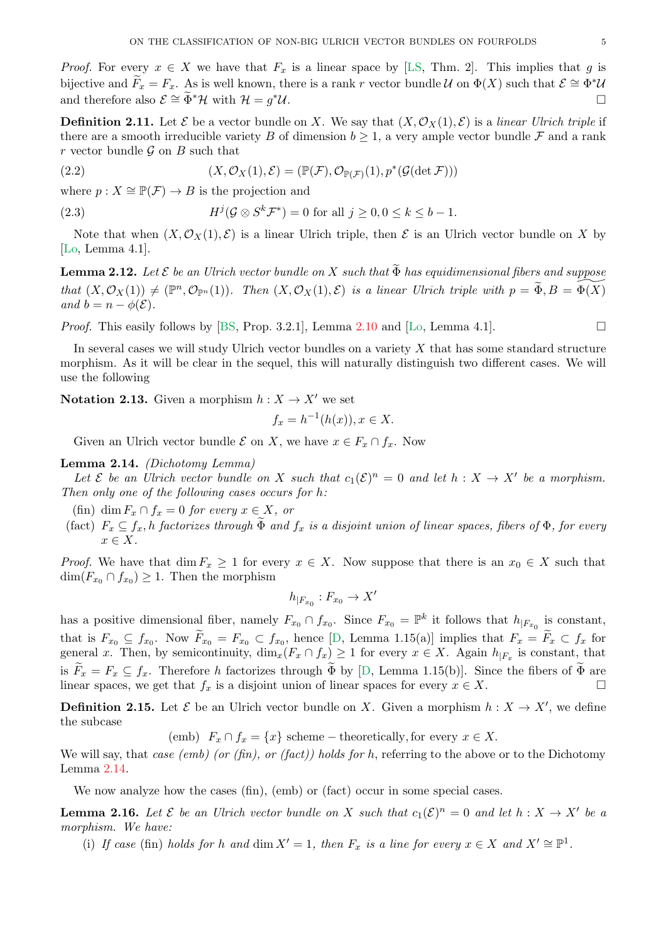<span id="page-4-6"></span>*Proof.* For every  $x \in X$  we have that  $F_x$  is a linear space by [\[LS,](#page-29-2) Thm. 2]. This implies that g is bijective and  $\widetilde{F}_x = F_x$ . As is well known, there is a rank r vector bundle U on  $\Phi(X)$  such that  $\mathcal{E} \cong \Phi^*\mathcal{U}$ and therefore also  $\mathcal{E} \cong \Phi^* \mathcal{H}$  with  $\mathcal{H} = q^* \mathcal{U}$ .  $*u$ .

<span id="page-4-1"></span>**Definition 2.11.** Let  $\mathcal{E}$  be a vector bundle on X. We say that  $(X, \mathcal{O}_X(1), \mathcal{E})$  is a *linear Ulrich triple* if there are a smooth irreducible variety B of dimension  $b \geq 1$ , a very ample vector bundle F and a rank r vector bundle  $\mathcal G$  on  $B$  such that

(2.2) 
$$
(X, \mathcal{O}_X(1), \mathcal{E}) = (\mathbb{P}(\mathcal{F}), \mathcal{O}_{\mathbb{P}(\mathcal{F})}(1), p^*(\mathcal{G}(\det \mathcal{F})))
$$

where  $p: X \cong \mathbb{P}(\mathcal{F}) \to B$  is the projection and

<span id="page-4-5"></span>(2.3) 
$$
H^{j}(\mathcal{G}\otimes S^{k}\mathcal{F}^{*})=0 \text{ for all } j\geq 0, 0\leq k\leq b-1.
$$

Note that when  $(X, \mathcal{O}_X(1), \mathcal{E})$  is a linear Ulrich triple, then  $\mathcal E$  is an Ulrich vector bundle on X by [\[Lo,](#page-29-3) Lemma 4.1].

<span id="page-4-3"></span>**Lemma 2.12.** Let  $\mathcal E$  be an Ulrich vector bundle on X such that  $\widetilde{\Phi}$  has equidimensional fibers and suppose  $that (X, \mathcal{O}_X(1)) \neq (\mathbb{P}^n, \mathcal{O}_{\mathbb{P}^n}(1))$ *. Then*  $(X, \mathcal{O}_X(1), \mathcal{E})$  *is a linear Ulrich triple with*  $p = \widetilde{\Phi}, B = \widetilde{\Phi(X)}$ *and*  $b = n - \phi(\mathcal{E})$ *.* 

*Proof.* This easily follows by [\[BS,](#page-29-5) Prop. 3.2.1], Lemma [2.10](#page-3-0) and [\[Lo,](#page-29-3) Lemma 4.1].

In several cases we will study Ulrich vector bundles on a variety  $X$  that has some standard structure morphism. As it will be clear in the sequel, this will naturally distinguish two different cases. We will use the following

<span id="page-4-4"></span>**Notation 2.13.** Given a morphism  $h: X \to X'$  we set

$$
f_x = h^{-1}(h(x)), x \in X.
$$

Given an Ulrich vector bundle  $\mathcal E$  on X, we have  $x \in F_x \cap f_x$ . Now

## <span id="page-4-0"></span>Lemma 2.14. *(Dichotomy Lemma)*

Let  $\mathcal E$  be an Ulrich vector bundle on X such that  $c_1(\mathcal E)^n = 0$  and let  $h : X \to X'$  be a morphism. *Then only one of the following cases occurs for* h*:*

(fin) dim  $F_x \cap f_x = 0$  *for every*  $x \in X$ *, or* 

(fact)  $F_x \subseteq f_x$ , *h factorizes through*  $\Phi$  *and*  $f_x$  *is a disjoint union of linear spaces, fibers of*  $\Phi$ *, for every*  $x \in X$ .

*Proof.* We have that dim  $F_x \geq 1$  for every  $x \in X$ . Now suppose that there is an  $x_0 \in X$  such that  $\dim(F_{x_0} \cap f_{x_0}) \geq 1$ . Then the morphism

$$
h_{|F_{x_0}}:F_{x_0}\to X'
$$

has a positive dimensional fiber, namely  $F_{x_0} \cap f_{x_0}$ . Since  $F_{x_0} = \mathbb{P}^k$  it follows that  $h_{|F_{x_0}|}$  is constant, that is  $F_{x_0} \subseteq f_{x_0}$ . Now  $F_{x_0} = F_{x_0} \subset f_{x_0}$ , hence [\[D,](#page-29-8) Lemma 1.15(a)] implies that  $F_x = F_x \subset f_x$  for general x. Then, by semicontinuity,  $\dim_x(F_x \cap f_x) \geq 1$  for every  $x \in X$ . Again  $h_{|F_x}$  is constant, that is  $F_x = F_x \subseteq f_x$ . Therefore h factorizes through  $\widetilde{\Phi}$  by [[D,](#page-29-8) Lemma 1.15(b)]. Since the fibers of  $\widetilde{\Phi}$  are linear spaces we get that f is a disjoint union of linear spaces for every  $x \in X$ linear spaces, we get that  $f_x$  is a disjoint union of linear spaces for every  $x \in X$ .

**Definition 2.15.** Let  $\mathcal{E}$  be an Ulrich vector bundle on X. Given a morphism  $h: X \to X'$ , we define the subcase

(emb)  $F_x \cap f_x = \{x\}$  scheme – theoretically, for every  $x \in X$ .

We will say, that *case (emb) (or (fin), or (fact)) holds for* h, referring to the above or to the Dichotomy Lemma [2.14.](#page-4-0)

We now analyze how the cases (fin), (emb) or (fact) occur in some special cases.

<span id="page-4-2"></span>**Lemma 2.16.** Let  $\mathcal{E}$  be an Ulrich vector bundle on X such that  $c_1(\mathcal{E})^n = 0$  and let  $h: X \to X'$  be a *morphism. We have:*

(i) If case (fin) holds for h and dim  $X' = 1$ , then  $F_x$  is a line for every  $x \in X$  and  $X' \cong \mathbb{P}^1$ .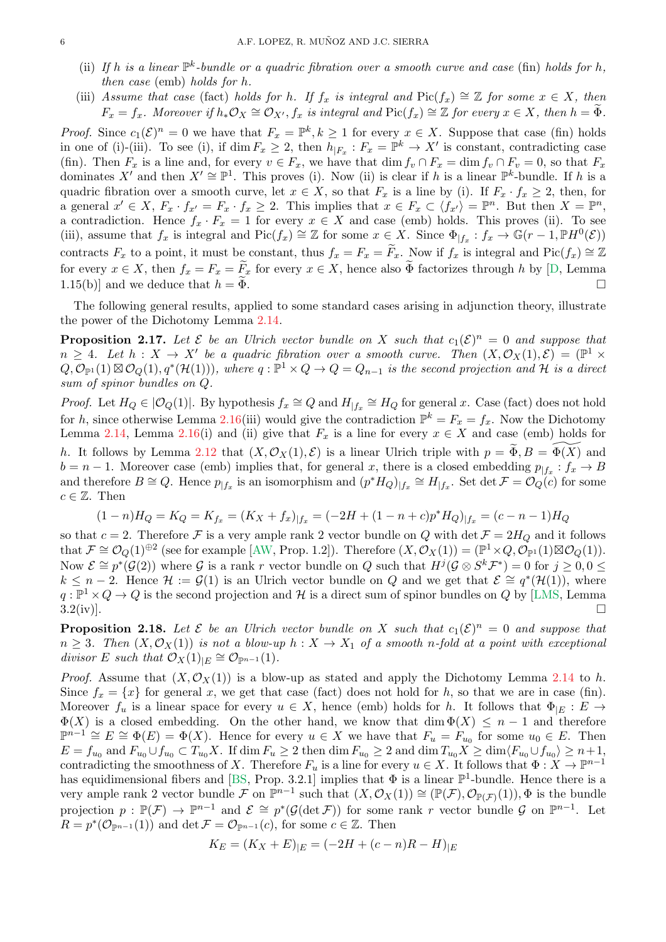- <span id="page-5-2"></span>(ii) If h is a linear  $\mathbb{P}^k$ -bundle or a quadric fibration over a smooth curve and case (fin) holds for h, *then case* (emb) *holds for* h*.*
- (iii) *Assume that case* (fact) *holds for* h. If  $f_x$  *is integral and*  $Pic(f_x) \cong \mathbb{Z}$  *for some*  $x \in X$ *, then*  $F_x = f_x$ . Moreover if  $h_*\mathcal{O}_X \cong \mathcal{O}_{X'}$ ,  $f_x$  is integral and  $Pic(f_x) \cong \mathbb{Z}$  for every  $x \in X$ , then  $h = \widetilde{\Phi}$ .

*Proof.* Since  $c_1(\mathcal{E})^n = 0$  we have that  $F_x = \mathbb{P}^k, k \ge 1$  for every  $x \in X$ . Suppose that case (fin) holds in one of (i)-(iii). To see (i), if dim  $F_x \geq 2$ , then  $h_{|F_x}: F_x = \mathbb{P}^k \to X'$  is constant, contradicting case (fin). Then  $F_x$  is a line and, for every  $v \in F_x$ , we have that dim  $f_v \cap F_x = \dim f_v \cap F_v = 0$ , so that  $F_x$ dominates X' and then  $X' \cong \mathbb{P}^1$ . This proves (i). Now (ii) is clear if h is a linear  $\mathbb{P}^k$ -bundle. If h is a quadric fibration over a smooth curve, let  $x \in X$ , so that  $F_x$  is a line by (i). If  $F_x \cdot f_x \geq 2$ , then, for a general  $x' \in X$ ,  $F_x \cdot f_{x'} = F_x \cdot f_x \geq 2$ . This implies that  $x \in F_x \subset \langle f_{x'} \rangle = \mathbb{P}^n$ . But then  $X = \mathbb{P}^n$ , a contradiction. Hence  $f_x \cdot F_x = 1$  for every  $x \in X$  and case (emb) holds. This proves (ii). To see (iii), assume that  $f_x$  is integral and Pic $(f_x) \cong \mathbb{Z}$  for some  $x \in X$ . Since  $\Phi_{|f_x}: f_x \to \mathbb{G}(r-1, \mathbb{P}H^0(\mathcal{E}))$ contracts  $F_x$  to a point, it must be constant, thus  $f_x = F_x = \widetilde{F}_x$ . Now if  $f_x$  is integral and Pic $(f_x) \cong \mathbb{Z}$ for every  $x \in X$ , then  $f_x = F_x = \widetilde{F}_x$  for every  $x \in X$ , hence also  $\widetilde{\Phi}$  factorizes through h by [\[D,](#page-29-8) Lemma 1.15(b)] and we deduce that  $h = \Phi$ .

The following general results, applied to some standard cases arising in adjunction theory, illustrate the power of the Dichotomy Lemma [2.14.](#page-4-0)

<span id="page-5-0"></span>**Proposition 2.17.** Let  $\mathcal E$  be an Ulrich vector bundle on X such that  $c_1(\mathcal E)^n = 0$  and suppose that  $n \geq 4$ . Let  $h: X \to X'$  be a quadric fibration over a smooth curve. Then  $(X, \mathcal{O}_X(1), \mathcal{E}) = (\mathbb{P}^1 \times$  $Q, \mathcal{O}_{\mathbb{P}^1}(1) \boxtimes \mathcal{O}_Q(1), q^*(\mathcal{H}(1))),$  where  $q : \mathbb{P}^1 \times Q \to Q = Q_{n-1}$  is the second projection and  $\mathcal{H}$  is a direct *sum of spinor bundles on* Q*.*

*Proof.* Let  $H_Q \in |O_Q(1)|$ . By hypothesis  $f_x \cong Q$  and  $H_{|f_x} \cong H_Q$  for general x. Case (fact) does not hold for h, since otherwise Lemma [2.16\(](#page-4-2)iii) would give the contradiction  $\mathbb{P}^k = F_x = f_x$ . Now the Dichotomy Lemma [2.14,](#page-4-0) Lemma [2.16\(](#page-4-2)i) and (ii) give that  $F_x$  is a line for every  $x \in X$  and case (emb) holds for h. It follows by Lemma [2.12](#page-4-3) that  $(X, \mathcal{O}_X(1), \mathcal{E})$  is a linear Ulrich triple with  $p = \tilde{\Phi}, B = \tilde{\Phi}(X)$  and  $b = n - 1$ . Moreover case (emb) implies that, for general x, there is a closed embedding  $p_{|f_x}: f_x \to B$ and therefore  $B \cong Q$ . Hence  $p_{|f_x}$  is an isomorphism and  $(p^*H_Q)_{|f_x} \cong H_{|f_x}$ . Set det  $\mathcal{F} = \mathcal{O}_Q(c)$  for some  $c \in \mathbb{Z}$ . Then

$$
(1 - n)H_Q = K_Q = K_{f_x} = (K_X + f_x)|_{f_x} = (-2H + (1 - n + c)p^*H_Q)|_{f_x} = (c - n - 1)H_Q
$$

so that  $c = 2$ . Therefore F is a very ample rank 2 vector bundle on Q with det  $\mathcal{F} = 2H_Q$  and it follows that  $\mathcal{F} \cong \mathcal{O}_Q(1) \oplus^2$  (see for example [\[AW,](#page-28-2) Prop. 1.2]). Therefore  $(X, \mathcal{O}_X(1)) = (\mathbb{P}^1 \times Q, \mathcal{O}_{\mathbb{P}^1}(1) \boxtimes \mathcal{O}_Q(1)).$ Now  $\mathcal{E} \cong p^*(\mathcal{G}(2))$  where G is a rank r vector bundle on Q such that  $H^j(\mathcal{G} \otimes S^k \mathcal{F}^*) = 0$  for  $j \geq 0, 0 \leq$  $k \leq n-2$ . Hence  $\mathcal{H} := \mathcal{G}(1)$  is an Ulrich vector bundle on Q and we get that  $\mathcal{E} \cong q^*(\mathcal{H}(1))$ , where  $q: \mathbb{P}^1 \times Q \to Q$  is the second projection and H is a direct sum of spinor bundles on Q by [\[LMS,](#page-29-6) Lemma  $3.2(iv)$ ].

<span id="page-5-1"></span>**Proposition 2.18.** Let  $\mathcal E$  be an Ulrich vector bundle on X such that  $c_1(\mathcal E)^n = 0$  and suppose that  $n \geq 3$ . Then  $(X, \mathcal{O}_X(1))$  *is not a blow-up*  $h: X \to X_1$  *of a smooth* n-fold *at a point with exceptional divisor* E such that  $\mathcal{O}_X(1)_{|E} \cong \mathcal{O}_{\mathbb{P}^{n-1}}(1)$ .

*Proof.* Assume that  $(X, \mathcal{O}_X(1))$  is a blow-up as stated and apply the Dichotomy Lemma [2.14](#page-4-0) to h. Since  $f_x = \{x\}$  for general x, we get that case (fact) does not hold for h, so that we are in case (fin). Moreover  $f_u$  is a linear space for every  $u \in X$ , hence (emb) holds for h. It follows that  $\Phi_{|E} : E \to$  $\Phi(X)$  is a closed embedding. On the other hand, we know that dim  $\Phi(X) \leq n-1$  and therefore  $\mathbb{P}^{n-1} \cong E \cong \Phi(E) = \Phi(X)$ . Hence for every  $u \in X$  we have that  $F_u = F_{u_0}$  for some  $u_0 \in E$ . Then  $E = f_{u_0}$  and  $F_{u_0} \cup f_{u_0} \subset T_{u_0} X$ . If  $\dim F_u \geq 2$  then  $\dim F_{u_0} \geq 2$  and  $\dim T_{u_0} X \geq \dim \langle F_{u_0} \cup f_{u_0} \rangle \geq n+1$ , contradicting the smoothness of X. Therefore  $F_u$  is a line for every  $u \in X$ . It follows that  $\Phi: X \to \mathbb{P}^{n-1}$ has equidimensional fibers and [\[BS,](#page-29-5) Prop. 3.2.1] implies that  $\Phi$  is a linear  $\mathbb{P}^1$ -bundle. Hence there is a very ample rank 2 vector bundle  $\mathcal F$  on  $\mathbb P^{n-1}$  such that  $(X, \mathcal O_X(1)) \cong (\mathbb P(\mathcal F), \mathcal O_{\mathbb P(\mathcal F)}(1)), \Phi$  is the bundle projection  $p : \mathbb{P}(\mathcal{F}) \to \mathbb{P}^{n-1}$  and  $\mathcal{E} \cong p^*(\mathcal{G}(\det \mathcal{F}))$  for some rank r vector bundle  $\mathcal{G}$  on  $\mathbb{P}^{n-1}$ . Let  $R = p^*(\mathcal{O}_{\mathbb{P}^{n-1}}(1))$  and  $\det \mathcal{F} = \mathcal{O}_{\mathbb{P}^{n-1}}(c)$ , for some  $c \in \mathbb{Z}$ . Then

$$
K_E = (K_X + E)_{|E} = (-2H + (c - n)R - H)_{|E}
$$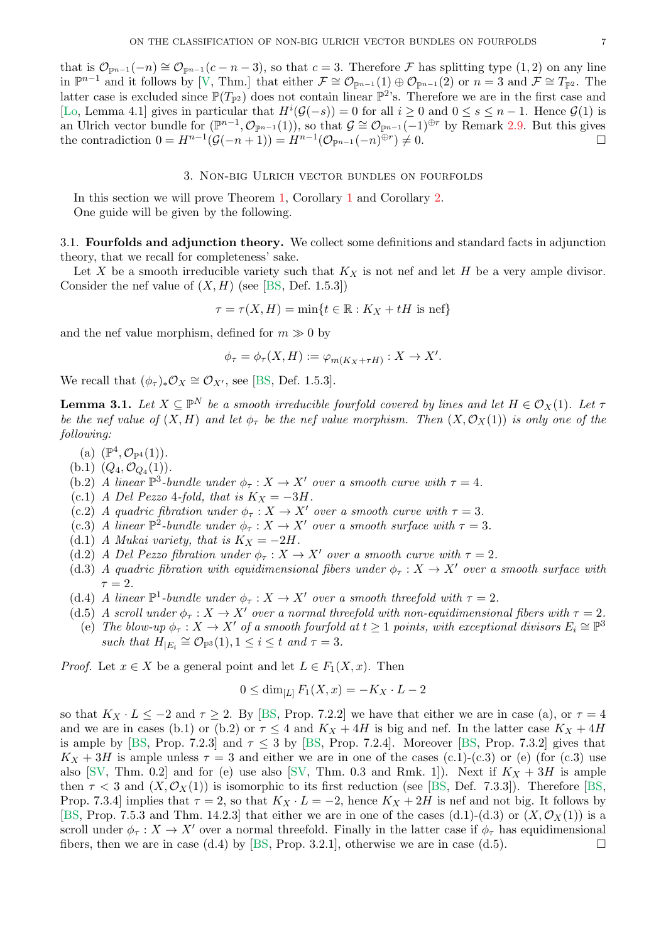<span id="page-6-2"></span>that is  $\mathcal{O}_{\mathbb{P}^{n-1}}(-n) \cong \mathcal{O}_{\mathbb{P}^{n-1}}(c-n-3)$ , so that  $c=3$ . Therefore F has splitting type  $(1,2)$  on any line in  $\mathbb{P}^{n-1}$  and it follows by [\[V,](#page-30-2) Thm.] that either  $\mathcal{F} \cong \mathcal{O}_{\mathbb{P}^{n-1}}(1) \oplus \mathcal{O}_{\mathbb{P}^{n-1}}(2)$  or  $n=3$  and  $\mathcal{F} \cong T_{\mathbb{P}^2}$ . The latter case is excluded since  $\mathbb{P}(T_{\mathbb{P}^2})$  does not contain linear  $\mathbb{P}^2$ 's. Therefore we are in the first case and [\[Lo,](#page-29-3) Lemma 4.1] gives in particular that  $H^{i}(\mathcal{G}(-s)) = 0$  for all  $i \geq 0$  and  $0 \leq s \leq n-1$ . Hence  $\mathcal{G}(1)$  is an Ulrich vector bundle for  $(\mathbb{P}^{n-1}, \mathcal{O}_{\mathbb{P}^{n-1}}(1)),$  so that  $\mathcal{G} \cong \mathcal{O}_{\mathbb{P}^{n-1}}(-1)^{\oplus r}$  by Remark [2.9.](#page-3-1) But this gives the contradiction  $0 = H^{n-1}(\mathcal{G}(-n+1)) = H^{n-1}(\mathcal{O}_{\mathbb{P}^{n-1}}(-n)^{\oplus r})$  $)\neq 0.$ 

### 3. Non-big Ulrich vector bundles on fourfolds

In this section we will prove Theorem [1,](#page-0-0) Corollary [1](#page-2-0) and Corollary [2.](#page-2-1) One guide will be given by the following.

<span id="page-6-0"></span>3.1. Fourfolds and adjunction theory. We collect some definitions and standard facts in adjunction theory, that we recall for completeness' sake.

Let X be a smooth irreducible variety such that  $K_X$  is not nef and let H be a very ample divisor. Consider the nef value of  $(X, H)$  (see [\[BS,](#page-29-5) Def. 1.5.3])

$$
\tau = \tau(X, H) = \min\{t \in \mathbb{R} : K_X + tH \text{ is nef}\}
$$

and the nef value morphism, defined for  $m \gg 0$  by

$$
\phi_{\tau} = \phi_{\tau}(X, H) := \varphi_{m(K_X + \tau H)} : X \to X'.
$$

We recall that  $(\phi_{\tau})_* \mathcal{O}_X \cong \mathcal{O}_{X'}$ , see [\[BS,](#page-29-5) Def. 1.5.3].

<span id="page-6-1"></span>**Lemma 3.1.** Let  $X \subseteq \mathbb{P}^N$  be a smooth irreducible fourfold covered by lines and let  $H \in \mathcal{O}_X(1)$ . Let  $\tau$ *be the nef value of*  $(X, H)$  *and let*  $\phi_{\tau}$  *be the nef value morphism. Then*  $(X, \mathcal{O}_X(1))$  *is only one of the following:*

- (a)  $(\mathbb{P}^4, \mathcal{O}_{\mathbb{P}^4}(1)).$
- (b.1)  $(Q_4, \mathcal{O}_{Q_4}(1)).$
- (b.2) *A linear*  $\mathbb{P}^3$ -bundle under  $\phi_\tau : X \to X'$  over a smooth curve with  $\tau = 4$ .
- (c.1) *A Del Pezzo* 4*-fold, that is*  $K_X = -3H$ .
- (c.2) *A quadric fibration under*  $\phi_{\tau}: X \to X'$  *over a smooth curve with*  $\tau = 3$ *.*
- (c.3) *A linear*  $\mathbb{P}^2$ -bundle under  $\phi_\tau : X \to X'$  over a smooth surface with  $\tau = 3$ .
- (d.1) *A Mukai variety, that is*  $K_X = -2H$ .
- (d.2) *A Del Pezzo fibration under*  $\phi_{\tau}: X \to X'$  *over a smooth curve with*  $\tau = 2$ *.*
- (d.3) *A quadric fibration with equidimensional fibers under*  $\phi_{\tau}: X \to X'$  *over a smooth surface with*  $\tau = 2$ .
- (d.4) *A linear*  $\mathbb{P}^1$ -bundle under  $\phi_\tau : X \to X'$  over a smooth threefold with  $\tau = 2$ .
- (d.5) *A scroll under*  $\phi_{\tau}: X \to X'$  *over a normal threefold with non-equidimensional fibers with*  $\tau = 2$ *.*
- (e) The blow-up  $\phi_{\tau}: X \to X'$  of a smooth fourfold at  $t \geq 1$  points, with exceptional divisors  $E_i \cong \mathbb{P}^3$ such that  $H_{|E_i} \cong \mathcal{O}_{\mathbb{P}^3}(1), 1 \leq i \leq t$  and  $\tau = 3$ .

*Proof.* Let  $x \in X$  be a general point and let  $L \in F_1(X, x)$ . Then

$$
0 \le \dim_{[L]} F_1(X, x) = -K_X \cdot L - 2
$$

so that  $K_X \cdot L \leq -2$  and  $\tau \geq 2$ . By [\[BS,](#page-29-5) Prop. 7.2.2] we have that either we are in case (a), or  $\tau = 4$ and we are in cases (b.1) or (b.2) or  $\tau \leq 4$  and  $K_X + 4H$  is big and nef. In the latter case  $K_X + 4H$ is ample by [\[BS,](#page-29-5) Prop. 7.2.3] and  $\tau \leq 3$  by [BS, Prop. 7.2.4]. Moreover [BS, Prop. 7.3.2] gives that  $K_X + 3H$  is ample unless  $\tau = 3$  and either we are in one of the cases (c.1)-(c.3) or (e) (for (c.3) use also [\[SV,](#page-30-3) Thm. 0.2] and for (e) use also [SV, Thm. 0.3 and Rmk. 1]). Next if  $K_X + 3H$  is ample then  $\tau < 3$  and  $(X, \mathcal{O}_X(1))$  is isomorphic to its first reduction (see [\[BS,](#page-29-5) Def. 7.3.3]). Therefore [BS, Prop. 7.3.4] implies that  $\tau = 2$ , so that  $K_X \cdot L = -2$ , hence  $K_X + 2H$  is nef and not big. It follows by [\[BS,](#page-29-5) Prop. 7.5.3 and Thm. 14.2.3] that either we are in one of the cases (d.1)-(d.3) or  $(X, \mathcal{O}_X(1))$  is a scroll under  $\phi_{\tau}: X \to X'$  over a normal threefold. Finally in the latter case if  $\phi_{\tau}$  has equidimensional fibers, then we are in case (d.4) by [\[BS,](#page-29-5) Prop. 3.2.1], otherwise we are in case (d.5).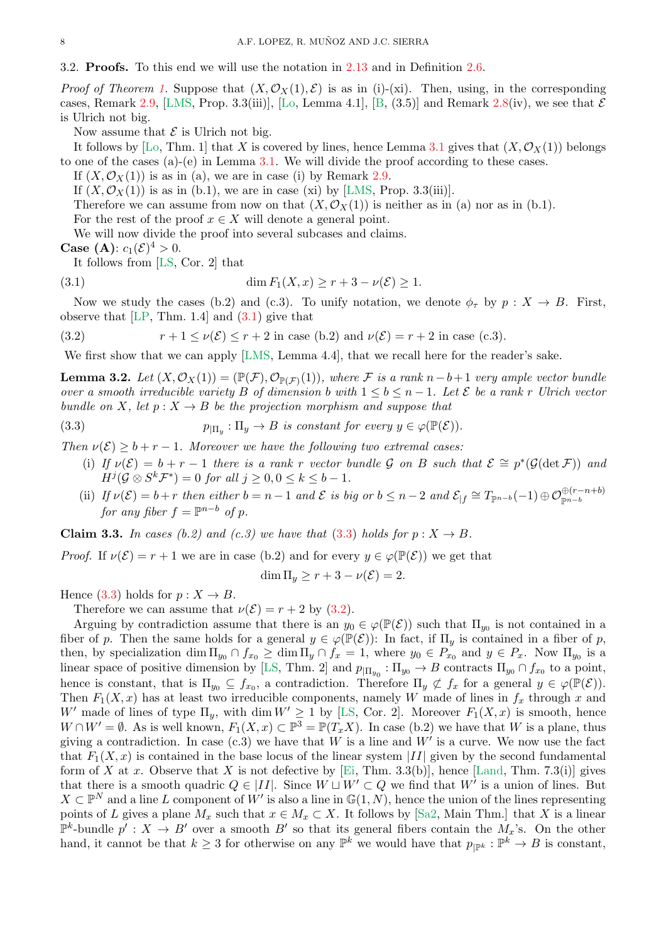<span id="page-7-5"></span>*Proof of Theorem [1.](#page-0-0)* Suppose that  $(X, \mathcal{O}_X(1), \mathcal{E})$  is as in (i)-(xi). Then, using, in the corresponding cases, Remark [2.9,](#page-3-1) [\[LMS,](#page-29-6) Prop. 3.3(iii)], [\[Lo,](#page-29-3) Lemma 4.1], [\[B,](#page-28-0) (3.5)] and Remark [2.8\(](#page-3-3)iv), we see that  $\mathcal E$ is Ulrich not big.

Now assume that  $\mathcal E$  is Ulrich not big.

It follows by [\[Lo,](#page-29-3) Thm. 1] that X is covered by lines, hence Lemma [3.1](#page-6-1) gives that  $(X, \mathcal{O}_X(1))$  belongs to one of the cases (a)-(e) in Lemma [3.1.](#page-6-1) We will divide the proof according to these cases.

If  $(X, \mathcal{O}_X(1))$  is as in (a), we are in case (i) by Remark [2.9.](#page-3-1)

If  $(X, \mathcal{O}_X(1))$  is as in (b.1), we are in case (xi) by [\[LMS,](#page-29-6) Prop. 3.3(iii)].

Therefore we can assume from now on that  $(X, \mathcal{O}_X(1))$  is neither as in (a) nor as in (b.1).

For the rest of the proof  $x \in X$  will denote a general point.

We will now divide the proof into several subcases and claims.

**Case** (**A**):  $c_1(\mathcal{E})^4 > 0$ .

<span id="page-7-0"></span>It follows from [\[LS,](#page-29-2) Cor. 2] that

(3.1) 
$$
\dim F_1(X, x) \ge r + 3 - \nu(\mathcal{E}) \ge 1.
$$

Now we study the cases (b.2) and (c.3). To unify notation, we denote  $\phi_{\tau}$  by  $p : X \to B$ . First, observe that  $[LP, Thm. 1.4]$  and  $(3.1)$  give that

<span id="page-7-2"></span>(3.2) 
$$
r+1 \leq \nu(\mathcal{E}) \leq r+2 \text{ in case (b.2) and } \nu(\mathcal{E}) = r+2 \text{ in case (c.3)}.
$$

We first show that we can apply [\[LMS,](#page-29-6) Lemma 4.4], that we recall here for the reader's sake.

<span id="page-7-4"></span>**Lemma 3.2.** Let  $(X, \mathcal{O}_X(1)) = (\mathbb{P}(\mathcal{F}), \mathcal{O}_{\mathbb{P}(\mathcal{F})}(1)),$  where  $\mathcal{F}$  is a rank  $n-b+1$  very ample vector bundle *over a smooth irreducible variety* B *of dimension* b *with*  $1 \leq b \leq n-1$ . Let E be a rank r Ulrich vector *bundle on* X, let  $p: X \to B$  *be the projection morphism and suppose that* 

(3.3) 
$$
p_{|\Pi_y} : \Pi_y \to B \text{ is constant for every } y \in \varphi(\mathbb{P}(\mathcal{E})).
$$

*Then*  $\nu(\mathcal{E}) \geq b + r - 1$ *. Moreover we have the following two extremal cases:* 

- <span id="page-7-1"></span>(i) If  $\nu(\mathcal{E}) = b + r - 1$  there is a rank r vector bundle G on B such that  $\mathcal{E} \cong p^*(\mathcal{G}(\det \mathcal{F}))$  and  $H^j(\mathcal{G} \otimes S^k \mathcal{F}^*) = 0$  for all  $j \geq 0, 0 \leq k \leq b-1$ .
- (ii) If  $\nu(\mathcal{E}) = b + r$  then either  $b = n 1$  and  $\mathcal{E}$  is big or  $b \leq n 2$  and  $\mathcal{E}_{|f} \cong T_{\mathbb{P}^{n-b}}(-1) \oplus \mathcal{O}_{\mathbb{P}^{n-b}}^{\oplus (r-n+b)}$ *for any fiber*  $f = \mathbb{P}^{n-b}$  *of*  $p$ *.*

<span id="page-7-3"></span>**Claim 3.3.** In cases (b.2) and (c.3) we have that [\(3.3\)](#page-7-1) holds for  $p: X \to B$ .

*Proof.* If  $\nu(\mathcal{E}) = r + 1$  we are in case (b.2) and for every  $y \in \varphi(\mathbb{P}(\mathcal{E}))$  we get that

$$
\dim \Pi_y \ge r + 3 - \nu(\mathcal{E}) = 2.
$$

Hence [\(3.3\)](#page-7-1) holds for  $p: X \to B$ .

Therefore we can assume that  $\nu(\mathcal{E}) = r + 2$  by [\(3.2\)](#page-7-2).

Arguing by contradiction assume that there is an  $y_0 \in \varphi(\mathbb{P}(\mathcal{E}))$  such that  $\Pi_{y_0}$  is not contained in a fiber of p. Then the same holds for a general  $y \in \varphi(\mathbb{P}(\mathcal{E}))$ : In fact, if  $\Pi_y$  is contained in a fiber of p, then, by specialization  $\dim \Pi_{y_0} \cap f_{x_0} \ge \dim \Pi_y \cap f_x = 1$ , where  $y_0 \in P_{x_0}$  and  $y \in P_x$ . Now  $\Pi_{y_0}$  is a linear space of positive dimension by [\[LS,](#page-29-2) Thm. 2] and  $p_{\vert \Pi_{y_0}} : \Pi_{y_0} \to B$  contracts  $\Pi_{y_0} \cap f_{x_0}$  to a point, hence is constant, that is  $\Pi_{y_0} \subseteq f_{x_0}$ , a contradiction. Therefore  $\Pi_y \not\subset f_x$  for a general  $y \in \varphi(\mathbb{P}(\mathcal{E}))$ . Then  $F_1(X, x)$  has at least two irreducible components, namely W made of lines in  $f_x$  through x and W' made of lines of type  $\Pi_y$ , with dim  $W' \geq 1$  by [\[LS,](#page-29-2) Cor. 2]. Moreover  $F_1(X, x)$  is smooth, hence  $W \cap W' = \emptyset$ . As is well known,  $F_1(X, x) \subset \mathbb{P}^3 = \mathbb{P}(T_x X)$ . In case (b.2) we have that W is a plane, thus giving a contradiction. In case  $(c.3)$  we have that W is a line and W' is a curve. We now use the fact that  $F_1(X, x)$  is contained in the base locus of the linear system |II| given by the second fundamental form of X at x. Observe that X is not defective by [\[Ei,](#page-29-10) Thm. 3.3(b)], hence [\[Land,](#page-29-11) Thm. 7.3(i)] gives that there is a smooth quadric  $Q \in |II|$ . Since  $W \sqcup W' \subset Q$  we find that  $W'$  is a union of lines. But  $X \subset \mathbb{P}^N$  and a line L component of W' is also a line in  $\mathbb{G}(1,N)$ , hence the union of the lines representing points of L gives a plane  $M_x$  such that  $x \in M_x \subset X$ . It follows by [\[Sa2,](#page-30-4) Main Thm.] that X is a linear  $\mathbb{P}^k$ -bundle  $p' : X \to B'$  over a smooth  $B'$  so that its general fibers contain the  $M_x$ 's. On the other hand, it cannot be that  $k \geq 3$  for otherwise on any  $\mathbb{P}^k$  we would have that  $p_{\mid \mathbb{P}^k} : \mathbb{P}^k \to B$  is constant,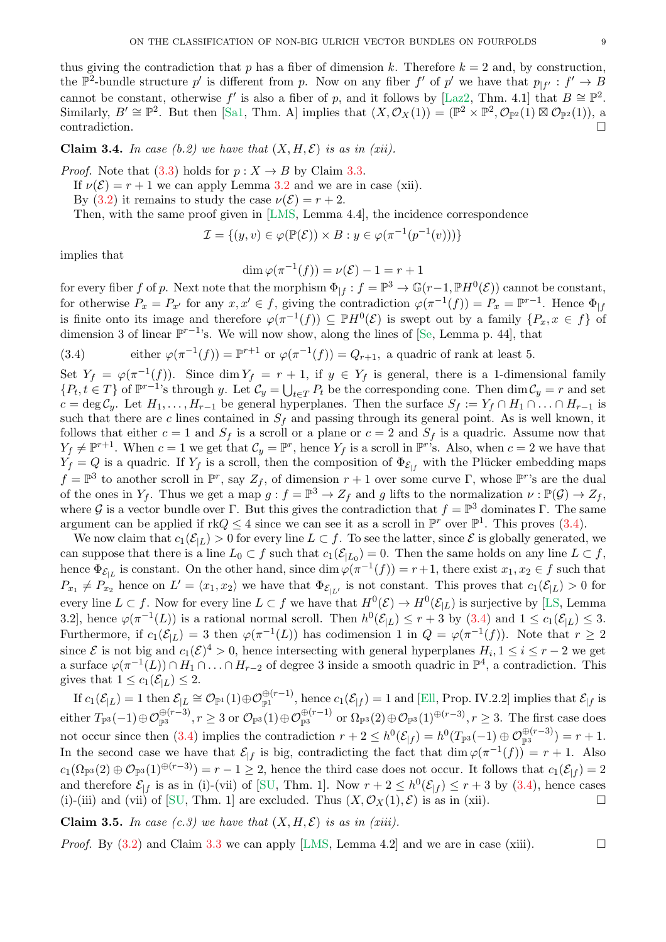<span id="page-8-1"></span>thus giving the contradiction that p has a fiber of dimension k. Therefore  $k = 2$  and, by construction, the  $\mathbb{P}^2$ -bundle structure p' is different from p. Now on any fiber f' of p' we have that  $p_{|f'}: f' \to B$ cannot be constant, otherwise f' is also a fiber of p, and it follows by [\[Laz2,](#page-29-12) Thm. 4.1] that  $B \cong \mathbb{P}^2$ . Similarly,  $B' \cong \mathbb{P}^2$ . But then [\[Sa1,](#page-30-5) Thm. A] implies that  $(X, \mathcal{O}_X(1)) = (\mathbb{P}^2 \times \mathbb{P}^2, \mathcal{O}_{\mathbb{P}^2}(1) \boxtimes \mathcal{O}_{\mathbb{P}^2}(1)),$  a contradiction.

**Claim 3.4.** In case (b.2) we have that  $(X, H, \mathcal{E})$  is as in (xii).

*Proof.* Note that  $(3.3)$  holds for  $p: X \rightarrow B$  by Claim [3.3.](#page-7-3)

If  $\nu(\mathcal{E}) = r + 1$  we can apply Lemma [3.2](#page-7-4) and we are in case (xii).

By [\(3.2\)](#page-7-2) it remains to study the case  $\nu(\mathcal{E}) = r + 2$ .

Then, with the same proof given in [\[LMS,](#page-29-6) Lemma 4.4], the incidence correspondence

$$
\mathcal{I} = \{(y, v) \in \varphi(\mathbb{P}(\mathcal{E})) \times B : y \in \varphi(\pi^{-1}(p^{-1}(v)))\}
$$

implies that

$$
\dim \varphi(\pi^{-1}(f)) = \nu(\mathcal{E}) - 1 = r + 1
$$

for every fiber f of p. Next note that the morphism  $\Phi_{|f}: f = \mathbb{P}^3 \to \mathbb{G}(r-1, \mathbb{P}H^0(\mathcal{E}))$  cannot be constant, for otherwise  $P_x = P_{x'}$  for any  $x, x' \in f$ , giving the contradiction  $\varphi(\pi^{-1}(f)) = P_x = \mathbb{P}^{r-1}$ . Hence  $\Phi_{|f}$ is finite onto its image and therefore  $\varphi(\pi^{-1}(f)) \subseteq \mathbb{P}H^0(\mathcal{E})$  is swept out by a family  $\{P_x, x \in f\}$  of dimension 3 of linear  $\mathbb{P}^{r-1}$ 's. We will now show, along the lines of [\[Se,](#page-30-6) Lemma p. 44], that

<span id="page-8-0"></span>(3.4) either 
$$
\varphi(\pi^{-1}(f)) = \mathbb{P}^{r+1}
$$
 or  $\varphi(\pi^{-1}(f)) = Q_{r+1}$ , a quadric of rank at least 5.

Set  $Y_f = \varphi(\pi^{-1}(f))$ . Since dim  $Y_f = r + 1$ , if  $y \in Y_f$  is general, there is a 1-dimensional family  $\{P_t, t \in T\}$  of  $\mathbb{P}^{r-1}$ 's through y. Let  $\mathcal{C}_y = \bigcup_{t \in T} P_t$  be the corresponding cone. Then  $\dim \mathcal{C}_y = r$  and set  $c = \deg \mathcal{C}_y$ . Let  $H_1, \ldots, H_{r-1}$  be general hyperplanes. Then the surface  $S_f := Y_f \cap H_1 \cap \ldots \cap H_{r-1}$  is such that there are c lines contained in  $S_f$  and passing through its general point. As is well known, it follows that either  $c = 1$  and  $S_f$  is a scroll or a plane or  $c = 2$  and  $S_f$  is a quadric. Assume now that  $Y_f \neq \mathbb{P}^{r+1}$ . When  $c = 1$  we get that  $\mathcal{C}_y = \mathbb{P}^r$ , hence  $Y_f$  is a scroll in  $\mathbb{P}^{r}$ 's. Also, when  $c = 2$  we have that  $Y_f = Q$  is a quadric. If  $Y_f$  is a scroll, then the composition of  $\Phi_{\mathcal{E}_{f}}$  with the Plücker embedding maps  $f = \mathbb{P}^3$  to another scroll in  $\mathbb{P}^r$ , say  $Z_f$ , of dimension  $r + 1$  over some curve  $\Gamma$ , whose  $\mathbb{P}^r$ 's are the dual of the ones in  $Y_f$ . Thus we get a map  $g : f = \mathbb{P}^3 \to Z_f$  and g lifts to the normalization  $\nu : \mathbb{P}(\mathcal{G}) \to Z_f$ , where G is a vector bundle over  $\Gamma$ . But this gives the contradiction that  $f = \mathbb{P}^3$  dominates  $\Gamma$ . The same argument can be applied if  $rkQ \leq 4$  since we can see it as a scroll in  $\mathbb{P}^r$  over  $\mathbb{P}^1$ . This proves  $(3.4)$ .

We now claim that  $c_1(\mathcal{E}_{|L}) > 0$  for every line  $L \subset f$ . To see the latter, since  $\mathcal E$  is globally generated, we can suppose that there is a line  $L_0 \subset f$  such that  $c_1(\mathcal{E}_{|L_0}) = 0$ . Then the same holds on any line  $L \subset f$ , hence  $\Phi_{\mathcal{E}_{|L}}$  is constant. On the other hand, since  $\dim \varphi(\pi^{-1}(f)) = r+1$ , there exist  $x_1, x_2 \in f$  such that  $P_{x_1} \neq P_{x_2}$  hence on  $L' = \langle x_1, x_2 \rangle$  we have that  $\Phi_{\mathcal{E}_{|L'}}$  is not constant. This proves that  $c_1(\mathcal{E}_{|L}) > 0$  for every line  $L \subset f$ . Now for every line  $L \subset f$  we have that  $H^0(\mathcal{E}) \to H^0(\mathcal{E}_{|L})$  is surjective by [\[LS,](#page-29-2) Lemma 3.2, hence  $\varphi(\pi^{-1}(L))$  is a rational normal scroll. Then  $h^0(\mathcal{E}_{|L}) \le r+3$  by  $(3.4)$  and  $1 \le c_1(\mathcal{E}_{|L}) \le 3$ . Furthermore, if  $c_1(\mathcal{E}_{|L}) = 3$  then  $\varphi(\pi^{-1}(L))$  has codimension 1 in  $Q = \varphi(\pi^{-1}(f))$ . Note that  $r \geq 2$ since  $\mathcal E$  is not big and  $c_1(\mathcal E)^4 > 0$ , hence intersecting with general hyperplanes  $H_i, 1 \le i \le r-2$  we get a surface  $\varphi(\pi^{-1}(L)) \cap H_1 \cap \ldots \cap H_{r-2}$  of degree 3 inside a smooth quadric in  $\mathbb{P}^4$ , a contradiction. This gives that  $1 \leq c_1(\mathcal{E}_{|L}) \leq 2$ .

 $\text{If } c_1(\mathcal{E}_{|L}) = 1 \text{ then } \mathcal{E}_{|L} \cong \mathcal{O}_{\mathbb{P}^1}(1) \oplus \mathcal{O}_{\mathbb{P}^1}^{\oplus (r-1)}\text{, hence } c_1(\mathcal{E}_{|f}) = 1 \text{ and } [\text{Ell, Prop. IV.2.2}] \text{ implies that } \mathcal{E}_{|f} \text{ is }$  $\text{either } T_{\mathbb{P}^3}(-1) \oplus \mathcal{O}_{\mathbb{P}^3}^{\oplus (r-3)}, r \geq 3 \text{ or } \mathcal{O}_{\mathbb{P}^3}(1) \oplus \mathcal{O}_{\mathbb{P}^3}^{\oplus (r-1)} \text{ or } \Omega_{\mathbb{P}^3}(2) \oplus \mathcal{O}_{\mathbb{P}^3}(1)^{\oplus (r-3)}, r \geq 3.$  The first case does not occur since then [\(3.4\)](#page-8-0) implies the contradiction  $r + 2 \leq h^0(\mathcal{E}_{|f}) = h^0(T_{\mathbb{P}^3}(-1) \oplus \mathcal{O}_{\mathbb{P}^3}^{\oplus (r-3)}) = r + 1$ . In the second case we have that  $\mathcal{E}_{|f}$  is big, contradicting the fact that  $\dim \varphi(\pi^{-1}(f)) = r + 1$ . Also  $c_1(\Omega_{\mathbb{P}^3}(2) \oplus \mathcal{O}_{\mathbb{P}^3}(1)^{\oplus (r-3)}) = r - 1 \geq 2$ , hence the third case does not occur. It follows that  $c_1(\mathcal{E}_{|f}) = 2$ and therefore  $\mathcal{E}_{|f}$  is as in (i)-(vii) of [\[SU,](#page-30-7) Thm. 1]. Now  $r + 2 \leq h^{0}(\mathcal{E}_{|f}) \leq r + 3$  by [\(3.4\)](#page-8-0), hence cases (i)-(iii) and (vii) of [\[SU,](#page-30-7) Thm. 1] are excluded. Thus  $(X, \mathcal{O}_X(1), \mathcal{E})$  is as in (xii).

**Claim 3.5.** In case  $(c.3)$  we have that  $(X, H, \mathcal{E})$  is as in (xiii).

*Proof.* By  $(3.2)$  and Claim [3.3](#page-7-3) we can apply [\[LMS,](#page-29-6) Lemma 4.2] and we are in case (xiii).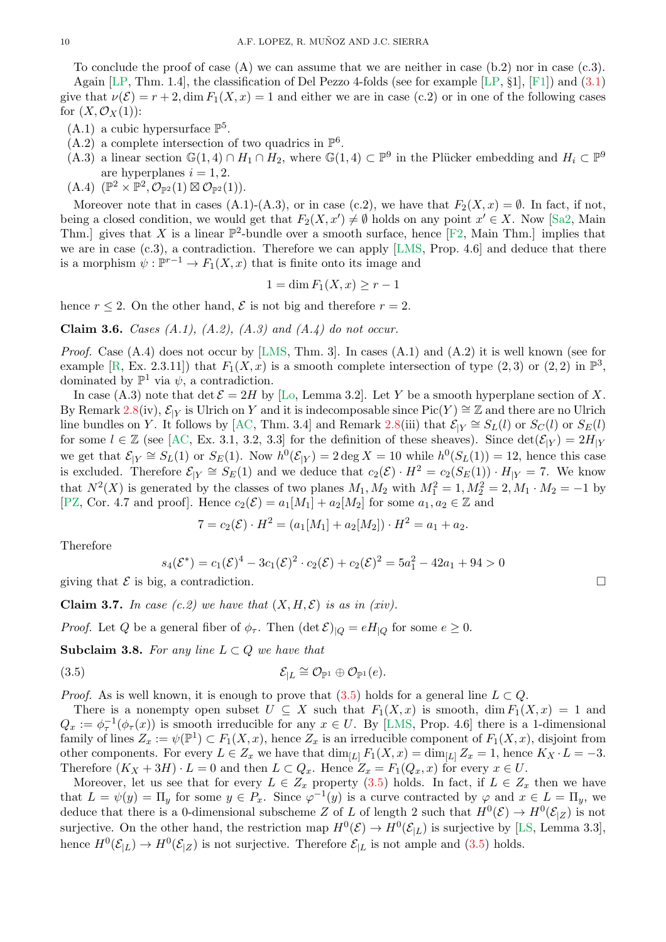<span id="page-9-3"></span>To conclude the proof of case  $(A)$  we can assume that we are neither in case  $(b.2)$  nor in case  $(c.3)$ .

Again [\[LP,](#page-29-9) Thm. 1.4], the classification of Del Pezzo 4-folds (see for example [\[LP,](#page-29-9) §1], [\[F1\]](#page-29-14)) and [\(3.1\)](#page-7-0) give that  $\nu(\mathcal{E}) = r + 2$ , dim  $F_1(X, x) = 1$  and either we are in case (c.2) or in one of the following cases for  $(X, \mathcal{O}_X(1))$ :

- $(A.1)$  a cubic hypersurface  $\mathbb{P}^5$ .
- $(A.2)$  a complete intersection of two quadrics in  $\mathbb{P}^6$ .
- $(A.3)$  a linear section  $\mathbb{G}(1,4) \cap H_1 \cap H_2$ , where  $\mathbb{G}(1,4) \subset \mathbb{P}^9$  in the Plücker embedding and  $H_i \subset \mathbb{P}^9$ are hyperplanes  $i = 1, 2$ .
- $(A.4)$   $(\mathbb{P}^2 \times \mathbb{P}^2, \mathcal{O}_{\mathbb{P}^2}(1) \boxtimes \mathcal{O}_{\mathbb{P}^2}(1)).$

Moreover note that in cases (A.1)-(A.3), or in case (c.2), we have that  $F_2(X, x) = \emptyset$ . In fact, if not, being a closed condition, we would get that  $F_2(X, x') \neq \emptyset$  holds on any point  $x' \in X$ . Now [\[Sa2,](#page-30-4) Main Thm.] gives that X is a linear  $\mathbb{P}^2$ -bundle over a smooth surface, hence [\[F2,](#page-29-15) Main Thm.] implies that we are in case (c.3), a contradiction. Therefore we can apply [\[LMS,](#page-29-6) Prop. 4.6] and deduce that there is a morphism  $\psi : \mathbb{P}^{r-1} \to F_1(X, x)$  that is finite onto its image and

$$
1 = \dim F_1(X, x) \ge r - 1
$$

hence  $r \leq 2$ . On the other hand,  $\mathcal E$  is not big and therefore  $r = 2$ .

Claim 3.6. *Cases (A.1), (A.2), (A.3) and (A.4) do not occur.*

*Proof.* Case (A.4) does not occur by [\[LMS,](#page-29-6) Thm. 3]. In cases (A.1) and (A.2) it is well known (see for example [\[R,](#page-30-1) Ex. 2.3.11]) that  $F_1(X, x)$  is a smooth complete intersection of type  $(2, 3)$  or  $(2, 2)$  in  $\mathbb{P}^3$ , dominated by  $\mathbb{P}^1$  via  $\psi$ , a contradiction.

In case (A.3) note that det  $\mathcal{E} = 2H$  by [\[Lo,](#page-29-3) Lemma 3.2]. Let Y be a smooth hyperplane section of X. By Remark [2.8\(](#page-3-3)iv),  $\mathcal{E}_{|Y}$  is Ulrich on Y and it is indecomposable since Pic(Y)  $\cong \mathbb{Z}$  and there are no Ulrich line bundles on Y. It follows by [\[AC,](#page-28-3) Thm. 3.4] and Remark [2.8\(](#page-3-3)iii) that  $\mathcal{E}_{|Y} \cong S_L(l)$  or  $S_C(l)$  or  $S_E(l)$ for some  $l \in \mathbb{Z}$  (see [\[AC,](#page-28-3) Ex. 3.1, 3.2, 3.3] for the definition of these sheaves). Since  $\det(\mathcal{E}_{|Y}) = 2H_{|Y}$ we get that  $\mathcal{E}_{|Y} \cong S_L(1)$  or  $S_E(1)$ . Now  $h^0(\mathcal{E}_{|Y}) = 2 \deg X = 10$  while  $h^0(S_L(1)) = 12$ , hence this case is excluded. Therefore  $\mathcal{E}_{|Y} \cong S_E(1)$  and we deduce that  $c_2(\mathcal{E}) \cdot H^2 = c_2(S_E(1)) \cdot H_{|Y} = 7$ . We know that  $N^2(X)$  is generated by the classes of two planes  $M_1, M_2$  with  $M_1^2 = 1, M_2^2 = 2, M_1 \cdot M_2 = -1$  by [\[PZ,](#page-30-8) Cor. 4.7 and proof]. Hence  $c_2(\mathcal{E}) = a_1[M_1] + a_2[M_2]$  for some  $a_1, a_2 \in \mathbb{Z}$  and

$$
7 = c_2(\mathcal{E}) \cdot H^2 = (a_1[M_1] + a_2[M_2]) \cdot H^2 = a_1 + a_2.
$$

Therefore

<span id="page-9-0"></span>
$$
s_4(\mathcal{E}^*) = c_1(\mathcal{E})^4 - 3c_1(\mathcal{E})^2 \cdot c_2(\mathcal{E}) + c_2(\mathcal{E})^2 = 5a_1^2 - 42a_1 + 94 > 0
$$

giving that  $\mathcal E$  is big, a contradiction.

<span id="page-9-1"></span>**Claim 3.7.** In case  $(c.2)$  we have that  $(X, H, \mathcal{E})$  is as in (xiv).

*Proof.* Let Q be a general fiber of  $\phi_{\tau}$ . Then  $(\det \mathcal{E})_{|Q} = eH_{|Q}$  for some  $e \geq 0$ .

<span id="page-9-2"></span>Subclaim 3.8. For any line  $L \subset Q$  we have that

(3.5) 
$$
\mathcal{E}_{|L} \cong \mathcal{O}_{\mathbb{P}^1} \oplus \mathcal{O}_{\mathbb{P}^1}(e).
$$

*Proof.* As is well known, it is enough to prove that  $(3.5)$  holds for a general line  $L \subset Q$ .

There is a nonempty open subset  $U \subseteq X$  such that  $F_1(X, x)$  is smooth, dim  $F_1(X, x) = 1$  and  $Q_x := \phi_\tau^{-1}(\phi_\tau(x))$  is smooth irreducible for any  $x \in U$ . By [\[LMS,](#page-29-6) Prop. 4.6] there is a 1-dimensional family of lines  $Z_x := \psi(\mathbb{P}^1) \subset F_1(X, x)$ , hence  $Z_x$  is an irreducible component of  $F_1(X, x)$ , disjoint from other components. For every  $L \in Z_x$  we have that  $\dim_{[L]} F_1(X, x) = \dim_{[L]} Z_x = 1$ , hence  $K_X \cdot L = -3$ . Therefore  $(K_X + 3H) \cdot L = 0$  and then  $L \subset Q_x$ . Hence  $Z_x = F_1(Q_x, x)$  for every  $x \in U$ .

Moreover, let us see that for every  $L \in Z_x$  property  $(3.5)$  holds. In fact, if  $L \in Z_x$  then we have that  $L = \psi(y) = \Pi_y$  for some  $y \in P_x$ . Since  $\varphi^{-1}(y)$  is a curve contracted by  $\varphi$  and  $x \in L = \Pi_y$ , we deduce that there is a 0-dimensional subscheme Z of L of length 2 such that  $H^0(\mathcal{E}) \to H^0(\mathcal{E}_{|Z})$  is not surjective. On the other hand, the restriction map  $H^0(\mathcal{E}) \to H^0(\mathcal{E}_{|L})$  is surjective by [\[LS,](#page-29-2) Lemma 3.3], hence  $H^0(\mathcal{E}_{|L}) \to H^0(\mathcal{E}_{|Z})$  is not surjective. Therefore  $\mathcal{E}_{|L}$  is not ample and [\(3.5\)](#page-9-0) holds.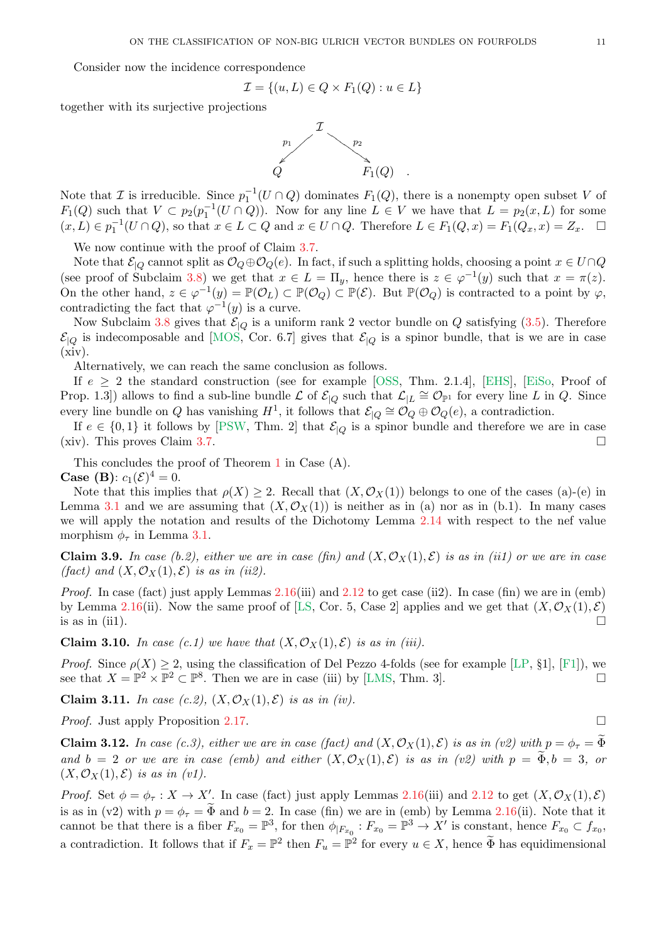<span id="page-10-1"></span>Consider now the incidence correspondence

$$
\mathcal{I} = \{(u, L) \in Q \times F_1(Q) : u \in L\}
$$

together with its surjective projections



Note that  $\mathcal I$  is irreducible. Since  $p_1^{-1}(U \cap Q)$  dominates  $F_1(Q)$ , there is a nonempty open subset V of  $F_1(Q)$  such that  $V \subset p_2(p_1^{-1}(U \cap Q))$ . Now for any line  $L \in V$  we have that  $L = p_2(x, L)$  for some  $(x, L) \in p_1^{-1}(U \cap Q)$ , so that  $x \in L \subset Q$  and  $x \in U \cap Q$ . Therefore  $L \in F_1(Q, x) = F_1(Q_x, x) = Z_x$ .  $\Box$ 

We now continue with the proof of Claim [3.7.](#page-9-1)

Note that  $\mathcal{E}_{|Q}$  cannot split as  $\mathcal{O}_Q \oplus \mathcal{O}_Q(e)$ . In fact, if such a splitting holds, choosing a point  $x \in U \cap Q$ (see proof of Subclaim [3.8\)](#page-9-2) we get that  $x \in L = \Pi_y$ , hence there is  $z \in \varphi^{-1}(y)$  such that  $x = \pi(z)$ . On the other hand,  $z \in \varphi^{-1}(y) = \mathbb{P}(\mathcal{O}_L) \subset \mathbb{P}(\mathcal{O}_Q) \subset \mathbb{P}(\mathcal{E})$ . But  $\mathbb{P}(\mathcal{O}_Q)$  is contracted to a point by  $\varphi$ , contradicting the fact that  $\varphi^{-1}(y)$  is a curve.

Now Subclaim [3.8](#page-9-2) gives that  $\mathcal{E}|_Q$  is a uniform rank 2 vector bundle on Q satisfying [\(3.5\)](#page-9-0). Therefore  $\mathcal{E}_{|Q}$  is indecomposable and [\[MOS,](#page-29-16) Cor. 6.7] gives that  $\mathcal{E}_{|Q}$  is a spinor bundle, that is we are in case  $(xiv)$ .

Alternatively, we can reach the same conclusion as follows.

If  $e \geq 2$  the standard construction (see for example [\[OSS,](#page-30-9) Thm. 2.1.4], [\[EHS\]](#page-29-17), [\[EiSo,](#page-29-18) Proof of Prop. 1.3) allows to find a sub-line bundle  $\mathcal L$  of  $\mathcal E_{|Q}$  such that  $\mathcal L_{|L} \cong \mathcal O_{\mathbb P^1}$  for every line L in Q. Since every line bundle on Q has vanishing  $H^1$ , it follows that  $\mathcal{E}|_Q \cong \mathcal{O}_Q \oplus \mathcal{O}_Q(e)$ , a contradiction.

If  $e \in \{0,1\}$  it follows by [\[PSW,](#page-30-10) Thm. 2] that  $\mathcal{E}|_Q$  is a spinor bundle and therefore we are in case (xiv). This proves Claim [3.7.](#page-9-1)

This concludes the proof of Theorem [1](#page-0-0) in Case (A). **Case (B)**:  $c_1(\mathcal{E})^4 = 0$ .

Note that this implies that  $\rho(X) \geq 2$ . Recall that  $(X, \mathcal{O}_X(1))$  belongs to one of the cases (a)-(e) in Lemma [3.1](#page-6-1) and we are assuming that  $(X, \mathcal{O}_X(1))$  is neither as in (a) nor as in (b.1). In many cases we will apply the notation and results of the Dichotomy Lemma [2.14](#page-4-0) with respect to the nef value morphism  $\phi_{\tau}$  in Lemma [3.1.](#page-6-1)

Claim 3.9. In case (b.2), either we are in case (fin) and  $(X, \mathcal{O}_X(1), \mathcal{E})$  is as in (ii1) or we are in case *(fact)* and  $(X, \mathcal{O}_X(1), \mathcal{E})$  *is as in (ii2).* 

*Proof.* In case (fact) just apply Lemmas [2.16\(](#page-4-2)iii) and [2.12](#page-4-3) to get case (ii2). In case (fin) we are in (emb) by Lemma [2.16\(](#page-4-2)ii). Now the same proof of [\[LS,](#page-29-2) Cor. 5, Case 2] applies and we get that  $(X, \mathcal{O}_X(1), \mathcal{E})$ is as in (ii1).

**Claim 3.10.** *In case (c.1) we have that*  $(X, \mathcal{O}_X(1), \mathcal{E})$  *is as in (iii).* 

*Proof.* Since  $\rho(X) \geq 2$ , using the classification of Del Pezzo 4-folds (see for example [\[LP,](#page-29-9) §1], [\[F1\]](#page-29-14)), we see that  $X = \mathbb{P}^2 \times \mathbb{P}^2 \subset \mathbb{P}^8$ . Then we are in case (iii) by [\[LMS,](#page-29-6) Thm. 3].

Claim 3.11. *In case (c.2),*  $(X, \mathcal{O}_X(1), \mathcal{E})$  *is as in (iv).* 

*Proof.* Just apply Proposition [2.17.](#page-5-0) □

<span id="page-10-0"></span>**Claim 3.12.** *In case (c.3), either we are in case (fact) and*  $(X, \mathcal{O}_X(1), \mathcal{E})$  *is as in (v2) with*  $p = \phi_\tau = \Phi$ and  $b = 2$  *or we are in case (emb) and either*  $(X, \mathcal{O}_X(1), \mathcal{E})$  *is as in (v2) with*  $p = \Phi, b = 3$ *, or*  $(X, \mathcal{O}_X(1), \mathcal{E})$  *is as in (v1).* 

*Proof.* Set  $\phi = \phi_\tau : X \to X'$ . In case (fact) just apply Lemmas [2.16\(](#page-4-2)iii) and [2.12](#page-4-3) to get  $(X, \mathcal{O}_X(1), \mathcal{E})$ is as in (v2) with  $p = \phi_{\tau} = \Phi$  and  $b = 2$ . In case (fin) we are in (emb) by Lemma [2.16\(](#page-4-2)ii). Note that it cannot be that there is a fiber  $F_{x_0} = \mathbb{P}^3$ , for then  $\phi|_{F_{x_0}} : F_{x_0} = \mathbb{P}^3 \to X'$  is constant, hence  $F_{x_0} \subset f_{x_0}$ , a contradiction. It follows that if  $F_x = \mathbb{P}^2$  then  $F_u = \mathbb{P}^2$  for every  $u \in X$ , hence  $\widetilde{\Phi}$  has equidimensional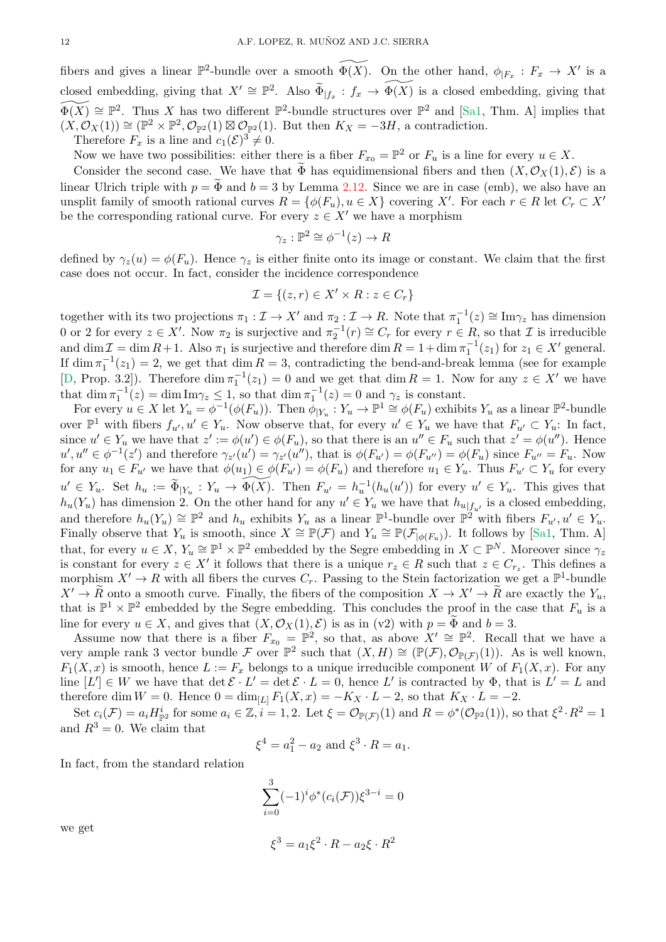<span id="page-11-0"></span>fibers and gives a linear  $\mathbb{P}^2$ -bundle over a smooth  $\widetilde{\Phi(X)}$ . On the other hand,  $\phi|_{F_x}: F_x \to X'$  is a closed embedding, giving that  $X' \cong \mathbb{P}^2$ . Also  $\widetilde{\Phi}_{|f_x}: f_x \to \widetilde{\Phi(X)}$  is a closed embedding, giving that  $\widetilde{\Phi(X)} \cong \mathbb{P}^2$ . Thus X has two different  $\mathbb{P}^2$ -bundle structures over  $\mathbb{P}^2$  and [\[Sa1,](#page-30-5) Thm. A] implies that  $(X, \mathcal{O}_X(1)) \cong (\mathbb{P}^2 \times \mathbb{P}^2, \mathcal{O}_{\mathbb{P}^2}(1) \boxtimes \mathcal{O}_{\mathbb{P}^2}(1)$ . But then  $K_X = -3H$ , a contradiction. Therefore  $F_x$  is a line and  $c_1(\mathcal{E})^3 \neq 0$ .

Now we have two possibilities: either there is a fiber  $F_{x_0} = \mathbb{P}^2$  or  $F_u$  is a line for every  $u \in X$ .

Consider the second case. We have that  $\Phi$  has equidimensional fibers and then  $(X, \mathcal{O}_X(1), \mathcal{E})$  is a linear Ulrich triple with  $p = \Phi$  and  $b = 3$  by Lemma [2.12.](#page-4-3) Since we are in case (emb), we also have an unsplit family of smooth rational curves  $R = \{ \phi(F_u), u \in X \}$  covering X'. For each  $r \in R$  let  $C_r \subset X'$ be the corresponding rational curve. For every  $z \in X'$  we have a morphism

$$
\gamma_z : \mathbb{P}^2 \cong \phi^{-1}(z) \to R
$$

defined by  $\gamma_z(u) = \phi(F_u)$ . Hence  $\gamma_z$  is either finite onto its image or constant. We claim that the first case does not occur. In fact, consider the incidence correspondence

$$
\mathcal{I} = \{(z, r) \in X' \times R : z \in C_r\}
$$

together with its two projections  $\pi_1 : \mathcal{I} \to X'$  and  $\pi_2 : \mathcal{I} \to R$ . Note that  $\pi_1^{-1}(z) \cong \text{Im}\gamma_z$  has dimension 0 or 2 for every  $z \in X'$ . Now  $\pi_2$  is surjective and  $\pi_2^{-1}(r) \cong C_r$  for every  $r \in R$ , so that  $\mathcal I$  is irreducible and  $\dim \mathcal{I} = \dim R + 1$ . Also  $\pi_1$  is surjective and therefore  $\dim R = 1 + \dim \pi_1^{-1}(z_1)$  for  $z_1 \in X'$  general. If  $\dim \pi_1^{-1}(z_1) = 2$ , we get that  $\dim R = 3$ , contradicting the bend-and-break lemma (see for example [\[D,](#page-29-8) Prop. 3.2]). Therefore  $\dim \pi_1^{-1}(z_1) = 0$  and we get that  $\dim R = 1$ . Now for any  $z \in X'$  we have that  $\dim \pi_1^{-1}(z) = \dim \text{Im}\gamma_z \leq 1$ , so that  $\dim \pi_1^{-1}(z) = 0$  and  $\gamma_z$  is constant.

For every  $u \in X$  let  $Y_u = \phi^{-1}(\phi(F_u))$ . Then  $\phi|_{Y_u} : Y_u \to \mathbb{P}^1 \cong \phi(F_u)$  exhibits  $Y_u$  as a linear  $\mathbb{P}^2$ -bundle over  $\mathbb{P}^1$  with fibers  $f_{u'}, u' \in Y_u$ . Now observe that, for every  $u' \in Y_u$  we have that  $F_{u'} \subset Y_u$ : In fact, since  $u' \in Y_u$  we have that  $z' := \phi(u') \in \phi(F_u)$ , so that there is an  $u'' \in F_u$  such that  $z' = \phi(u'')$ . Hence  $u', u'' \in \phi^{-1}(z')$  and therefore  $\gamma_{z'}(u') = \gamma_{z'}(u'')$ , that is  $\phi(F_{u'}) = \phi(F_{u''}) = \phi(F_u)$  since  $F_{u''} = F_u$ . Now for any  $u_1 \in F_{u'}$  we have that  $\phi(u_1) \in \phi(F_{u'}) = \phi(F_u)$  and therefore  $u_1 \in Y_u$ . Thus  $F_{u'} \subset Y_u$  for every  $u' \in Y_u$ . Set  $h_u := \widetilde{\Phi}_{|Y_u} : Y_u \to \widetilde{\Phi(X)}$ . Then  $F_{u'} = h_u^{-1}(h_u(u'))$  for every  $u' \in Y_u$ . This gives that  $h_u(Y_u)$  has dimension 2. On the other hand for any  $u' \in Y_u$  we have that  $h_{u|f_{u'}}$  is a closed embedding, and therefore  $h_u(Y_u) \cong \mathbb{P}^2$  and  $h_u$  exhibits  $Y_u$  as a linear  $\mathbb{P}^1$ -bundle over  $\mathbb{P}^2$  with fibers  $F_{u'}, u' \in Y_u$ . Finally observe that  $Y_u$  is smooth, since  $X \cong \mathbb{P}(\mathcal{F})$  and  $Y_u \cong \mathbb{P}(\mathcal{F}_{|\phi(F_u)})$ . It follows by [\[Sa1,](#page-30-5) Thm. A] that, for every  $u \in X$ ,  $Y_u \cong \mathbb{P}^1 \times \mathbb{P}^2$  embedded by the Segre embedding in  $X \subset \mathbb{P}^N$ . Moreover since  $\gamma_z$ is constant for every  $z \in X'$  it follows that there is a unique  $r_z \in R$  such that  $z \in C_{r_z}$ . This defines a morphism  $X' \to R$  with all fibers the curves  $C_r$ . Passing to the Stein factorization we get a  $\mathbb{P}^1$ -bundle  $X' \to \widetilde{R}$  onto a smooth curve. Finally, the fibers of the composition  $X \to X' \to \widetilde{R}$  are exactly the  $Y_u$ , that is  $\mathbb{P}^1 \times \mathbb{P}^2$  embedded by the Segre embedding. This concludes the proof in the case that  $F_u$  is a line for every  $u \in X$ , and gives that  $(X, \mathcal{O}_X(1), \mathcal{E})$  is as in (v2) with  $p = \tilde{\Phi}$  and  $b = 3$ .

Assume now that there is a fiber  $F_{x_0} = \mathbb{P}^2$ , so that, as above  $X' \cong \mathbb{P}^2$ . Recall that we have a very ample rank 3 vector bundle F over  $\mathbb{P}^2$  such that  $(X, H) \cong (\mathbb{P}(\mathcal{F}), \mathcal{O}_{\mathbb{P}(\mathcal{F})}(1))$ . As is well known,  $F_1(X, x)$  is smooth, hence  $L := F_x$  belongs to a unique irreducible component W of  $F_1(X, x)$ . For any line  $[L'] \in W$  we have that  $\det \mathcal{E} \cdot L' = \det \mathcal{E} \cdot L = 0$ , hence L' is contracted by  $\Phi$ , that is  $L' = L$  and therefore dim  $W = 0$ . Hence  $0 = \dim_{L} F_1(X, x) = -K_X \cdot L - 2$ , so that  $K_X \cdot L = -2$ .

Set  $c_i(\mathcal{F}) = a_i H_{\mathbb{P}^2}^i$  for some  $a_i \in \mathbb{Z}, i = 1, 2$ . Let  $\xi = \mathcal{O}_{\mathbb{P}(\mathcal{F})}(1)$  and  $R = \phi^*(\mathcal{O}_{\mathbb{P}^2}(1))$ , so that  $\xi^2 \cdot R^2 = 1$ and  $R^3 = 0$ . We claim that

$$
\xi^4 = a_1^2 - a_2
$$
 and  $\xi^3 \cdot R = a_1$ .

In fact, from the standard relation

$$
\sum_{i=0}^{3} (-1)^{i} \phi^{*}(c_{i}(\mathcal{F})) \xi^{3-i} = 0
$$

 $\xi^3 = a_1 \xi^2 \cdot R - a_2 \xi \cdot R^2$ 

we get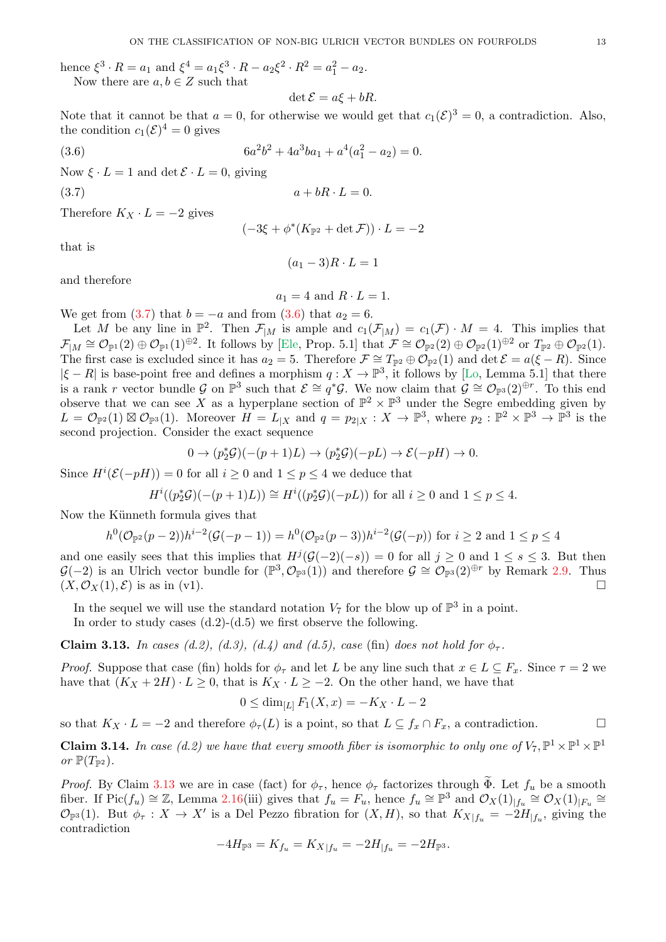<span id="page-12-4"></span>hence  $\xi^3 \cdot R = a_1$  and  $\xi^4 = a_1 \xi^3 \cdot R - a_2 \xi^2 \cdot R^2 = a_1^2 - a_2$ . Now there are  $a, b \in Z$  such that

$$
\det \mathcal{E} = a\xi + bR.
$$

Note that it cannot be that  $a = 0$ , for otherwise we would get that  $c_1(\mathcal{E})^3 = 0$ , a contradiction. Also, the condition  $c_1(\mathcal{E})^4 = 0$  gives

<span id="page-12-1"></span>
$$
6a^2b^2 + 4a^3ba_1 + a^4(a_1^2 - a_2) = 0.
$$

Now  $\xi \cdot L = 1$  and  $\det \mathcal{E} \cdot L = 0$ , giving

 $(3.6)$ 

Therefore  $K_X \cdot L = -2$  gives

$$
(-3\xi + \phi^*(K_{\mathbb{P}^2} + \det \mathcal{F})) \cdot L = -2
$$

<span id="page-12-0"></span> $a + bR \cdot L = 0.$ 

that is

$$
(a_1 - 3)R \cdot L = 1
$$

and therefore

$$
a_1 = 4 \text{ and } R \cdot L = 1.
$$

We get from  $(3.7)$  that  $b = -a$  and from  $(3.6)$  that  $a_2 = 6$ .

Let M be any line in  $\mathbb{P}^2$ . Then  $\mathcal{F}_{|M}$  is ample and  $c_1(\mathcal{F}_{|M}) = c_1(\mathcal{F}) \cdot M = 4$ . This implies that  $\mathcal{F}_{|M} \cong \mathcal{O}_{\mathbb{P}^1}(2) \oplus \mathcal{O}_{\mathbb{P}^1}(1)^{\oplus 2}$ . It follows by [\[Ele,](#page-29-19) Prop. 5.1] that  $\mathcal{F} \cong \mathcal{O}_{\mathbb{P}^2}(2) \oplus \mathcal{O}_{\mathbb{P}^2}(1)^{\oplus 2}$  or  $T_{\mathbb{P}^2} \oplus \mathcal{O}_{\mathbb{P}^2}(1)$ . The first case is excluded since it has  $a_2 = 5$ . Therefore  $\mathcal{F} \cong T_{\mathbb{P}^2} \oplus \mathcal{O}_{\mathbb{P}^2}(1)$  and  $\det \mathcal{E} = a(\xi - R)$ . Since  $|\xi - R|$  is base-point free and defines a morphism  $q: X \to \mathbb{P}^3$ , it follows by [\[Lo,](#page-29-3) Lemma 5.1] that there is a rank r vector bundle G on  $\mathbb{P}^3$  such that  $\mathcal{E} \cong q^*\mathcal{G}$ . We now claim that  $\mathcal{G} \cong \mathcal{O}_{\mathbb{P}^3}(2)^{\oplus r}$ . To this end observe that we can see X as a hyperplane section of  $\mathbb{P}^2 \times \mathbb{P}^3$  under the Segre embedding given by  $L = \mathcal{O}_{\mathbb{P}^2}(1) \boxtimes \mathcal{O}_{\mathbb{P}^3}(1)$ . Moreover  $H = L_{|X|}$  and  $q = p_{2|X} : X \to \mathbb{P}^3$ , where  $p_2 : \mathbb{P}^2 \times \mathbb{P}^3 \to \mathbb{P}^3$  is the second projection. Consider the exact sequence

$$
0 \to (p_2^*\mathcal{G})(-(p+1)L) \to (p_2^*\mathcal{G})(-pL) \to \mathcal{E}(-pH) \to 0.
$$

Since  $H^{i}(\mathcal{E}(-pH)) = 0$  for all  $i \geq 0$  and  $1 \leq p \leq 4$  we deduce that

$$
H^i((p_2^*\mathcal{G})(-(p+1)L)) \cong H^i((p_2^*\mathcal{G})(-pL))
$$
 for all  $i \ge 0$  and  $1 \le p \le 4$ .

Now the Künneth formula gives that

$$
h^{0}(\mathcal{O}_{\mathbb{P}^{2}}(p-2))h^{i-2}(\mathcal{G}(-p-1)) = h^{0}(\mathcal{O}_{\mathbb{P}^{2}}(p-3))h^{i-2}(\mathcal{G}(-p)) \text{ for } i \ge 2 \text{ and } 1 \le p \le 4
$$

and one easily sees that this implies that  $H^j(\mathcal{G}(-2)(-s)) = 0$  for all  $j \geq 0$  and  $1 \leq s \leq 3$ . But then  $\mathcal{G}(-2)$  is an Ulrich vector bundle for  $(\mathbb{P}^3, \mathcal{O}_{\mathbb{P}^3}(1))$  and therefore  $\mathcal{G} \cong \mathcal{O}_{\mathbb{P}^3}(2)^{\oplus r}$  by Remark [2.9.](#page-3-1) Thus  $(X, \mathcal{O}_X(1), \mathcal{E})$  is as in (v1).

In the sequel we will use the standard notation  $V_7$  for the blow up of  $\mathbb{P}^3$  in a point.

In order to study cases  $(d.2)-(d.5)$  we first observe the following.

<span id="page-12-2"></span>Claim 3.13. *In cases (d.2), (d.3), (d.4) and (d.5), case (fin) does not hold for*  $\phi_{\tau}$ .

*Proof.* Suppose that case (fin) holds for  $\phi_{\tau}$  and let L be any line such that  $x \in L \subseteq F_x$ . Since  $\tau = 2$  we have that  $(K_X + 2H) \cdot L \geq 0$ , that is  $K_X \cdot L \geq -2$ . On the other hand, we have that

$$
0 \le \dim_{[L]} F_1(X, x) = -K_X \cdot L - 2
$$

so that  $K_X \cdot L = -2$  and therefore  $\phi_\tau(L)$  is a point, so that  $L \subseteq f_x \cap F_x$ , a contradiction.

<span id="page-12-3"></span>**Claim 3.14.** In case (d.2) we have that every smooth fiber is isomorphic to only one of  $V_7$ ,  $\mathbb{P}^1 \times \mathbb{P}^1 \times \mathbb{P}^1$ *or*  $\mathbb{P}(T_{\mathbb{P}^2})$ .

*Proof.* By Claim [3.13](#page-12-2) we are in case (fact) for  $\phi_{\tau}$ , hence  $\phi_{\tau}$  factorizes through  $\widetilde{\Phi}$ . Let  $f_u$  be a smooth fiber. If  $Pic(f_u) \cong \mathbb{Z}$ , Lemma [2.16\(](#page-4-2)iii) gives that  $f_u = F_u$ , hence  $f_u \cong \mathbb{P}^3$  and  $\mathcal{O}_X(1)_{|f_u} \cong \mathcal{O}_X(1)_{|F_u} \cong$  $\mathcal{O}_{\mathbb{P}^3}(1)$ . But  $\phi_{\tau}: X \to X'$  is a Del Pezzo fibration for  $(X, H)$ , so that  $K_{X|f_u} = -2H_{|f_u}$ , giving the contradiction

$$
-4H_{\mathbb{P}^3} = K_{f_u} = K_{X|f_u} = -2H_{|f_u} = -2H_{\mathbb{P}^3}.
$$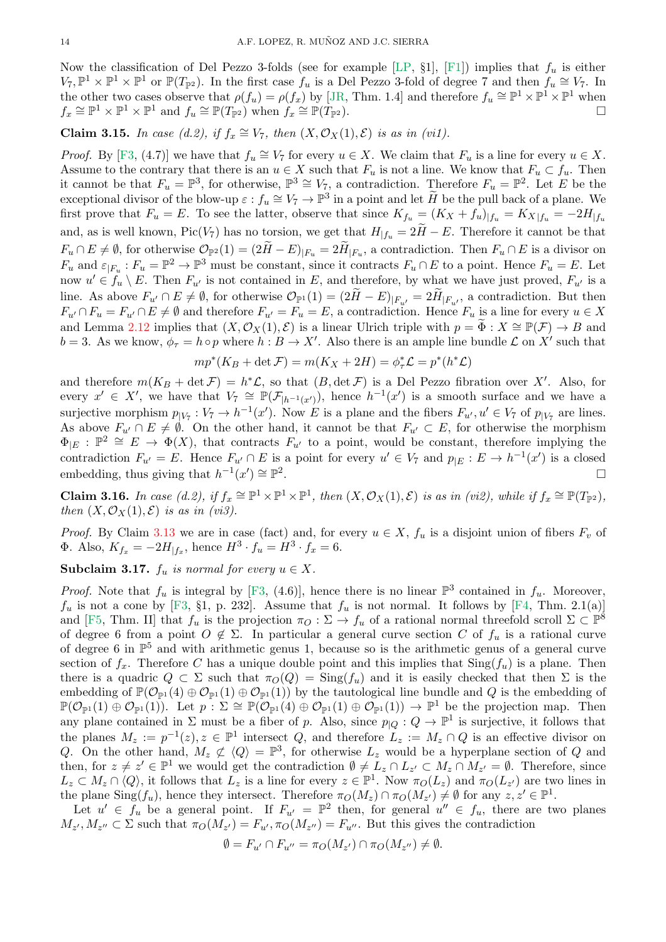<span id="page-13-2"></span>Now the classification of Del Pezzo 3-folds (see for example [\[LP,](#page-29-9)  $\S1$ ], [\[F1\]](#page-29-14)) implies that  $f_u$  is either  $V_7, \mathbb{P}^1 \times \mathbb{P}^1 \times \mathbb{P}^1$  or  $\mathbb{P}(T_{\mathbb{P}^2})$ . In the first case  $f_u$  is a Del Pezzo 3-fold of degree 7 and then  $f_u \cong V_7$ . In the other two cases observe that  $\rho(f_u) = \rho(f_x)$  by [\[JR,](#page-29-20) Thm. 1.4] and therefore  $f_u \cong \mathbb{P}^1 \times \mathbb{P}^1 \times \mathbb{P}^1$  when  $f_x \cong \mathbb{P}^1 \times \mathbb{P}^1 \times \mathbb{P}^1$  and  $f_u \cong \mathbb{P}(T_{\mathbb{P}^2})$  when  $f_x$  $\cong \mathbb{P}(T_{\mathbb{P}^2})$ .

Claim 3.15. *In case (d.2), if*  $f_x \cong V_7$ *, then*  $(X, \mathcal{O}_X(1), \mathcal{E})$  *is as in (vi1).* 

*Proof.* By [\[F3,](#page-29-21) (4.7)] we have that  $f_u \cong V_7$  for every  $u \in X$ . We claim that  $F_u$  is a line for every  $u \in X$ . Assume to the contrary that there is an  $u \in X$  such that  $F_u$  is not a line. We know that  $F_u \subset f_u$ . Then it cannot be that  $F_u = \mathbb{P}^3$ , for otherwise,  $\mathbb{P}^3 \cong V_7$ , a contradiction. Therefore  $F_u = \mathbb{P}^2$ . Let E be the exceptional divisor of the blow-up  $\varepsilon: f_u \cong V_7 \to \mathbb{P}^3$  in a point and let  $\widetilde{H}$  be the pull back of a plane. We first prove that  $F_u = E$ . To see the latter, observe that since  $K_{f_u} = (K_X + f_u)_{|f_u} = K_{X|f_u} = -2H_{|f_u}$ and, as is well known, Pic( $V_7$ ) has no torsion, we get that  $H|_{f_u} = 2H - E$ . Therefore it cannot be that  $F_u \cap E \neq \emptyset$ , for otherwise  $\mathcal{O}_{\mathbb{P}^2}(1) = (2H - E)_{|F_u} = 2H_{|F_u}$ , a contradiction. Then  $F_u \cap E$  is a divisor on  $F_u$  and  $\varepsilon_{|F_u}: F_u = \mathbb{P}^2 \to \mathbb{P}^3$  must be constant, since it contracts  $F_u \cap E$  to a point. Hence  $F_u = E$ . Let now  $u' \in f_u \setminus E$ . Then  $F_{u'}$  is not contained in E, and therefore, by what we have just proved,  $F_{u'}$  is a line. As above  $F_{u'} \cap E \neq \emptyset$ , for otherwise  $\mathcal{O}_{\mathbb{P}^1}(1) = (2H - E)_{|F_{u'}} = 2H_{|F_{u'}}$ , a contradiction. But then  $F_{u'} \cap F_u = F_{u'} \cap E \neq \emptyset$  and therefore  $F_{u'} = F_u = E$ , a contradiction. Hence  $F_u$  is a line for every  $u \in X$ and Lemma [2.12](#page-4-3) implies that  $(X, \mathcal{O}_X(1), \mathcal{E})$  is a linear Ulrich triple with  $p = \tilde{\Phi}: X \cong \mathbb{P}(\mathcal{F}) \to B$  and  $b = 3$ . As we know,  $\phi_{\tau} = h \circ p$  where  $h : B \to X'$ . Also there is an ample line bundle  $\mathcal L$  on  $X'$  such that

$$
mp^*(K_B+\det\mathcal{F})=m(K_X+2H)=\phi^*_\tau\mathcal{L}=p^*(h^*\mathcal{L})
$$

and therefore  $m(K_B + \det \mathcal{F}) = h^*\mathcal{L}$ , so that  $(B, \det \mathcal{F})$  is a Del Pezzo fibration over X'. Also, for every  $x' \in X'$ , we have that  $V_7 \cong \mathbb{P}(\mathcal{F}_{|h^{-1}(x')})$ , hence  $h^{-1}(x')$  is a smooth surface and we have a surjective morphism  $p_{|V_7}: V_7 \to h^{-1}(x')$ . Now E is a plane and the fibers  $F_{u'}, u' \in V_7$  of  $p_{|V_7}$  are lines. As above  $F_{u'} \cap E \neq \emptyset$ . On the other hand, it cannot be that  $F_{u'} \subset E$ , for otherwise the morphism  $\Phi_{|E}: \mathbb{P}^2 \cong E \to \Phi(X)$ , that contracts  $F_{u'}$  to a point, would be constant, therefore implying the contradiction  $F_{u'} = E$ . Hence  $F_{u'} \cap E$  is a point for every  $u' \in V_7$  and  $p_{|E} : E \to h^{-1}(x')$  is a closed embedding, thus giving that  $h^{-1}(x') \cong \mathbb{P}^2$ .

<span id="page-13-1"></span>Claim 3.16. *In case (d.2), if*  $f_x \cong \mathbb{P}^1 \times \mathbb{P}^1 \times \mathbb{P}^1$ , then  $(X, \mathcal{O}_X(1), \mathcal{E})$  *is as in (vi2), while if*  $f_x \cong \mathbb{P}(T_{\mathbb{P}^2})$ , *then*  $(X, \mathcal{O}_X(1), \mathcal{E})$  *is as in (vi3)*.

*Proof.* By Claim [3.13](#page-12-2) we are in case (fact) and, for every  $u \in X$ ,  $f_u$  is a disjoint union of fibers  $F_v$  of  $\Phi$ . Also,  $K_{f_x} = -2H_{|f_x}$ , hence  $H^3 \cdot f_y = H^3 \cdot f_x = 6$ .

<span id="page-13-0"></span>Subclaim 3.17.  $f_u$  *is normal for every*  $u \in X$ .

*Proof.* Note that  $f_u$  is integral by [\[F3,](#page-29-21) (4.6)], hence there is no linear  $\mathbb{P}^3$  contained in  $f_u$ . Moreover,  $f_u$  is not a cone by [\[F3,](#page-29-21) §1, p. 232]. Assume that  $f_u$  is not normal. It follows by [\[F4,](#page-29-22) Thm. 2.1(a)] and [\[F5,](#page-29-23) Thm. II] that  $f_u$  is the projection  $\pi_O : \Sigma \to f_u$  of a rational normal threefold scroll  $\Sigma \subset \mathbb{P}^8$ of degree 6 from a point  $O \notin \Sigma$ . In particular a general curve section C of  $f_u$  is a rational curve of degree 6 in  $\mathbb{P}^5$  and with arithmetic genus 1, because so is the arithmetic genus of a general curve section of  $f_x$ . Therefore C has a unique double point and this implies that  $\text{Sing}(f_u)$  is a plane. Then there is a quadric  $Q \subset \Sigma$  such that  $\pi_Q(Q) = \text{Sing}(f_u)$  and it is easily checked that then  $\Sigma$  is the embedding of  $\mathbb{P}(\mathcal{O}_{\mathbb{P}^1}(4) \oplus \mathcal{O}_{\mathbb{P}^1}(1) \oplus \mathcal{O}_{\mathbb{P}^1}(1))$  by the tautological line bundle and Q is the embedding of  $\mathbb{P}(\mathcal{O}_{\mathbb{P}^1}(1) \oplus \mathcal{O}_{\mathbb{P}^1}(1))$ . Let  $p : \Sigma \cong \mathbb{P}(\mathcal{O}_{\mathbb{P}^1}(4) \oplus \mathcal{O}_{\mathbb{P}^1}(1) \oplus \mathcal{O}_{\mathbb{P}^1}(1)) \to \mathbb{P}^1$  be the projection map. Then any plane contained in  $\Sigma$  must be a fiber of p. Also, since  $p_{\vert Q}: Q \to \mathbb{P}^1$  is surjective, it follows that the planes  $M_z := p^{-1}(z), z \in \mathbb{P}^1$  intersect Q, and therefore  $L_z := M_z \cap Q$  is an effective divisor on Q. On the other hand,  $M_z \not\subset \langle Q \rangle = \mathbb{P}^3$ , for otherwise  $L_z$  would be a hyperplane section of Q and then, for  $z \neq z' \in \mathbb{P}^1$  we would get the contradiction  $\emptyset \neq L_z \cap L_{z'} \subset M_z \cap M_{z'} = \emptyset$ . Therefore, since  $L_z \subset M_z \cap \langle Q \rangle$ , it follows that  $L_z$  is a line for every  $z \in \mathbb{P}^1$ . Now  $\pi_O(L_z)$  and  $\pi_O(L_{z'})$  are two lines in the plane  $\text{Sing}(f_u)$ , hence they intersect. Therefore  $\pi_O(M_z) \cap \pi_O(M_{z'}) \neq \emptyset$  for any  $z, z' \in \mathbb{P}^1$ .

Let  $u' \in f_u$  be a general point. If  $F_{u'} = \mathbb{P}^2$  then, for general  $u'' \in f_u$ , there are two planes  $M_{z'}$ ,  $M_{z''} \subset \Sigma$  such that  $\pi_O(M_{z'}) = F_{u'}, \pi_O(M_{z''}) = F_{u''}.$  But this gives the contradiction

$$
\emptyset = F_{u'} \cap F_{u''} = \pi_O(M_{z'}) \cap \pi_O(M_{z''}) \neq \emptyset.
$$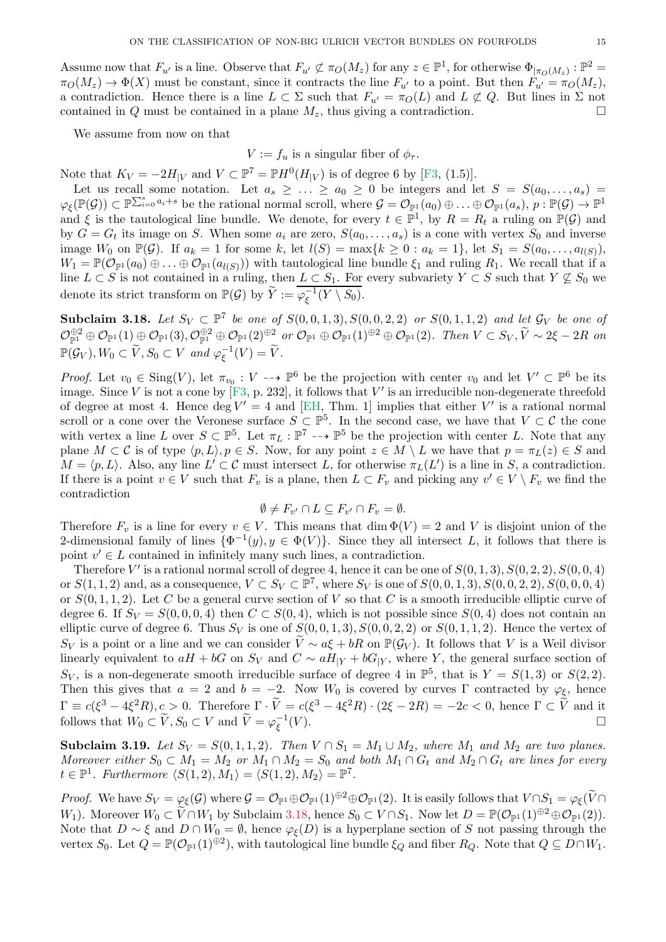<span id="page-14-2"></span>Assume now that  $F_{u'}$  is a line. Observe that  $F_{u'} \not\subset \pi_O(M_z)$  for any  $z \in \mathbb{P}^1$ , for otherwise  $\Phi|_{\pi_O(M_z)} : \mathbb{P}^2 =$  $\pi_O(M_z) \to \Phi(X)$  must be constant, since it contracts the line  $F_{u'}$  to a point. But then  $F_{u'} = \pi_O(M_z)$ , a contradiction. Hence there is a line  $L \subset \Sigma$  such that  $F_{u'} = \pi_O(L)$  and  $L \not\subset Q$ . But lines in  $\Sigma$  not contained in Q must be contained in a plane  $M_z$ , thus giving a contradiction.

We assume from now on that

 $V := f_u$  is a singular fiber of  $\phi_{\tau}$ .

Note that  $K_V = -2H_{|V}$  and  $V \subset \mathbb{P}^7 = \mathbb{P}H^0(H_{|V})$  is of degree 6 by [\[F3,](#page-29-21) (1.5)].

Let us recall some notation. Let  $a_s \geq \ldots \geq a_0 \geq 0$  be integers and let  $S = S(a_0, \ldots, a_s)$  $\varphi_{\xi}(\mathbb{P}(\mathcal{G})) \subset \mathbb{P}^{\sum_{i=0}^{s} a_i+s}$  be the rational normal scroll, where  $\mathcal{G} = \mathcal{O}_{\mathbb{P}^1}(a_0) \oplus \ldots \oplus \mathcal{O}_{\mathbb{P}^1}(a_s),$   $p : \mathbb{P}(\mathcal{G}) \to \mathbb{P}^1$ and  $\xi$  is the tautological line bundle. We denote, for every  $t \in \mathbb{P}^1$ , by  $R = R_t$  a ruling on  $\mathbb{P}(\mathcal{G})$  and by  $G = G_t$  its image on S. When some  $a_i$  are zero,  $S(a_0, \ldots, a_s)$  is a cone with vertex  $S_0$  and inverse image  $W_0$  on  $\mathbb{P}(\mathcal{G})$ . If  $a_k = 1$  for some k, let  $l(S) = \max\{k \geq 0 : a_k = 1\}$ , let  $S_1 = S(a_0, \ldots, a_{l(S)})$ ,  $W_1 = \mathbb{P}(\mathcal{O}_{\mathbb{P}^1}(a_0) \oplus \ldots \oplus \mathcal{O}_{\mathbb{P}^1}(a_{l(S)})$  with tautological line bundle  $\xi_1$  and ruling  $R_1$ . We recall that if a line  $L \subset S$  is not contained in a ruling, then  $L \subset S_1$ . For every subvariety  $Y \subset S$  such that  $Y \not\subseteq S_0$  we denote its strict transform on  $\mathbb{P}(\mathcal{G})$  by  $\widetilde{Y} := \overline{\varphi_{\xi}^{-1}}$  $\overline{\xi}^{-1}(Y \setminus S_0).$ 

<span id="page-14-0"></span>Subclaim 3.18. Let  $S_V \subset \mathbb{P}^7$  be one of  $S(0,0,1,3), S(0,0,2,2)$  or  $S(0,1,1,2)$  and let  $\mathcal{G}_V$  be one of  $\mathcal{O}_{\mathbb{P}^1}^{\oplus 2} \oplus \mathcal{O}_{\mathbb{P}^1}(1) \oplus \mathcal{O}_{\mathbb{P}^1}(3), \mathcal{O}_{\mathbb{P}^1}^{\oplus 2} \oplus \mathcal{O}_{\mathbb{P}^1}(2)^{\oplus 2}$  or  $\mathcal{O}_{\mathbb{P}^1}(1)^{\oplus 2} \oplus \mathcal{O}_{\mathbb{P}^1}(2)$ . Then  $V \subset S_V$ ,  $\widetilde{V} \sim 2\xi - 2R$  on  $\mathbb{P}(\mathcal{G}_V), W_0 \subset \widetilde{V}, S_0 \subset V$  and  $\varphi_{\xi}^{-1}$  $_{\xi}^{-1}(V) = V.$ 

*Proof.* Let  $v_0 \in \text{Sing}(V)$ , let  $\pi_{v_0} : V \dashrightarrow \mathbb{P}^6$  be the projection with center  $v_0$  and let  $V' \subset \mathbb{P}^6$  be its image. Since V is not a cone by  $[F3, p. 232]$ , it follows that V' is an irreducible non-degenerate threefold of degree at most 4. Hence  $\deg V' = 4$  and [\[EH,](#page-29-24) Thm. 1] implies that either V' is a rational normal scroll or a cone over the Veronese surface  $S \subset \mathbb{P}^5$ . In the second case, we have that  $V \subset \mathcal{C}$  the cone with vertex a line L over  $S \subset \mathbb{P}^5$ . Let  $\pi_L : \mathbb{P}^7 \dashrightarrow \mathbb{P}^5$  be the projection with center L. Note that any plane  $M \subset \mathcal{C}$  is of type  $\langle p, L \rangle, p \in S$ . Now, for any point  $z \in M \setminus L$  we have that  $p = \pi_L(z) \in S$  and  $M = \langle p, L \rangle$ . Also, any line  $L' \subset \mathcal{C}$  must intersect L, for otherwise  $\pi_L(L')$  is a line in S, a contradiction. If there is a point  $v \in V$  such that  $F_v$  is a plane, then  $L \subset F_v$  and picking any  $v' \in V \setminus F_v$  we find the contradiction

$$
\emptyset \neq F_{v'} \cap L \subseteq F_{v'} \cap F_v = \emptyset.
$$

Therefore  $F_v$  is a line for every  $v \in V$ . This means that  $\dim \Phi(V) = 2$  and V is disjoint union of the 2-dimensional family of lines  $\{\Phi^{-1}(y), y \in \Phi(V)\}\$ . Since they all intersect L, it follows that there is point  $v' \in L$  contained in infinitely many such lines, a contradiction.

Therefore V' is a rational normal scroll of degree 4, hence it can be one of  $S(0,1,3)$ ,  $S(0,2,2)$ ,  $S(0,0,4)$ or  $S(1, 1, 2)$  and, as a consequence,  $V \subset S_V \subset \mathbb{P}^7$ , where  $S_V$  is one of  $S(0, 0, 1, 3)$ ,  $S(0, 0, 2, 2)$ ,  $S(0, 0, 0, 4)$ or  $S(0, 1, 1, 2)$ . Let C be a general curve section of V so that C is a smooth irreducible elliptic curve of degree 6. If  $S_V = S(0, 0, 0, 4)$  then  $C \subset S(0, 4)$ , which is not possible since  $S(0, 4)$  does not contain an elliptic curve of degree 6. Thus  $S_V$  is one of  $S(0,0,1,3), S(0,0,2,2)$  or  $S(0,1,1,2)$ . Hence the vertex of  $S_V$  is a point or a line and we can consider  $\tilde{V} \sim a\xi + bR$  on  $\mathbb{P}(\mathcal{G}_V)$ . It follows that V is a Weil divisor linearly equivalent to  $aH + bG$  on  $S_V$  and  $C \sim aH_{|Y} + bG_{|Y}$ , where Y, the general surface section of  $S_V$ , is a non-degenerate smooth irreducible surface of degree 4 in  $\mathbb{P}^5$ , that is  $Y = S(1,3)$  or  $S(2,2)$ . Then this gives that  $a = 2$  and  $b = -2$ . Now  $W_0$  is covered by curves Γ contracted by  $\varphi_{\xi}$ , hence  $\Gamma \equiv c(\xi^3 - 4\xi^2 R), c > 0$ . Therefore  $\Gamma \cdot \tilde{V} = c(\xi^3 - 4\xi^2 R) \cdot (2\xi - 2R) = -2c < 0$ , hence  $\Gamma \subset \tilde{V}$  and it follows that  $W_0 \subset \widetilde{V}, S_0 \subset V$  and  $\widetilde{V} = \varphi_{\xi}^{-1}$ ξ  $(V)$ .

<span id="page-14-1"></span>**Subclaim 3.19.** *Let*  $S_V = S(0, 1, 1, 2)$ *. Then*  $V \cap S_1 = M_1 \cup M_2$ *, where*  $M_1$  *and*  $M_2$  *are two planes. Moreover either*  $S_0 \subset M_1 = M_2$  *or*  $M_1 \cap M_2 = S_0$  *and both*  $M_1 \cap G_t$  *and*  $M_2 \cap G_t$  *are lines for every*  $t \in \mathbb{P}^1$ . Furthermore  $\langle S(1,2), M_1 \rangle = \langle S(1,2), M_2 \rangle = \mathbb{P}^7$ .

*Proof.* We have  $S_V = \varphi_\xi(\mathcal{G})$  where  $\mathcal{G} = \mathcal{O}_{\mathbb{P}^1} \oplus \mathcal{O}_{\mathbb{P}^1}(1)^{\oplus 2} \oplus \mathcal{O}_{\mathbb{P}^1}(2)$ . It is easily follows that  $V \cap S_1 = \varphi_\xi(\widetilde{V} \cap S_1)$ W<sub>1</sub>). Moreover  $W_0 \subset \widetilde{V} \cap W_1$  by Subclaim [3.18,](#page-14-0) hence  $S_0 \subset V \cap S_1$ . Now let  $D = \mathbb{P}(\mathcal{O}_{\mathbb{P}^1}(1)^{\oplus 2} \oplus \mathcal{O}_{\mathbb{P}^1}(2)).$ Note that  $D \sim \xi$  and  $D \cap W_0 = \emptyset$ , hence  $\varphi_{\xi}(D)$  is a hyperplane section of S not passing through the vertex  $S_0$ . Let  $Q = \mathbb{P}(\mathcal{O}_{\mathbb{P}^1}(1)^{\oplus 2})$ , with tautological line bundle  $\xi_Q$  and fiber  $R_Q$ . Note that  $Q \subseteq D \cap W_1$ .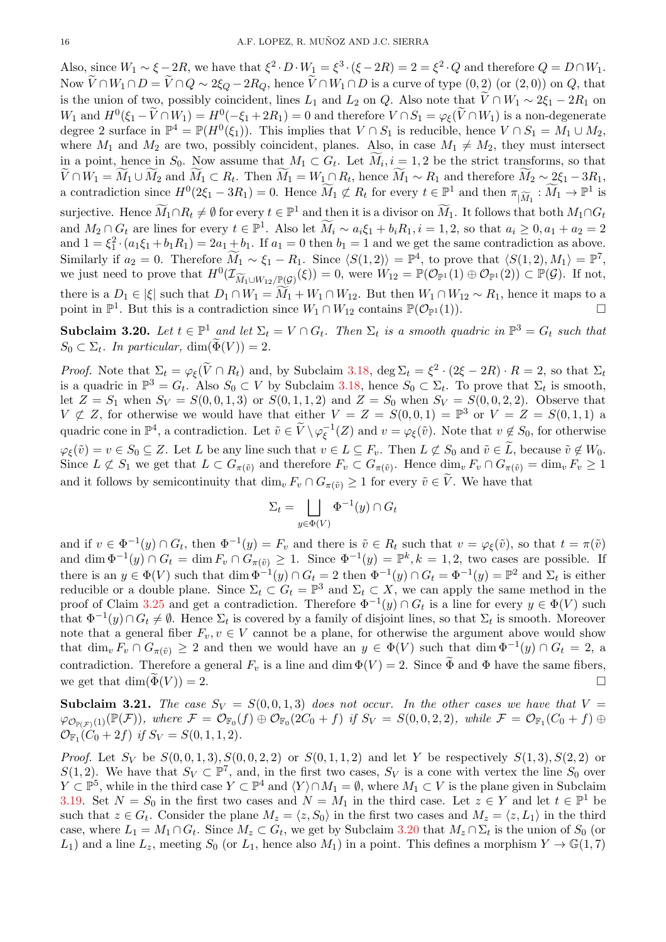Also, since  $W_1 \sim \xi - 2R$ , we have that  $\xi^2 \cdot D \cdot W_1 = \xi^3 \cdot (\xi - 2R) = 2 = \xi^2 \cdot Q$  and therefore  $Q = D \cap W_1$ . Now  $V\cap W_1\cap D = V\cap Q \sim 2\xi_Q - 2R_Q$ , hence  $V\cap W_1\cap D$  is a curve of type  $(0, 2)$  (or  $(2, 0)$ ) on  $Q$ , that is the union of two, possibly coincident, lines  $L_1$  and  $L_2$  on Q. Also note that  $\widetilde{V} \cap W_1 \sim 2\xi_1 - 2R_1$  on  $W_1$  and  $H^0(\xi_1 - \widetilde{V} \cap W_1) = H^0(-\xi_1 + 2R_1) = 0$  and therefore  $V \cap S_1 = \varphi_{\xi}(\widetilde{V} \cap W_1)$  is a non-degenerate degree 2 surface in  $\mathbb{P}^4 = \mathbb{P}(H^0(\xi_1))$ . This implies that  $V \cap S_1$  is reducible, hence  $V \cap S_1 = M_1 \cup M_2$ , where  $M_1$  and  $M_2$  are two, possibly coincident, planes. Also, in case  $M_1 \neq M_2$ , they must intersect in a point, hence in  $S_0$ . Now assume that  $M_1 \subset G_t$ . Let  $M_i$ ,  $i = 1, 2$  be the strict transforms, so that  $V \cap W_1 = M_1 \cup M_2$  and  $M_1 \subset R_t$ . Then  $M_1 = W_1 \cap R_t$ , hence  $M_1 \sim R_1$  and therefore  $M_2 \sim 2\xi_1 - 3R_1$ , a contradiction since  $H^0(2\xi_1 - 3R_1) = 0$ . Hence  $\widetilde{M}_1 \not\subset R_t$  for every  $t \in \mathbb{P}^1$  and then  $\pi_{|\widetilde{M}_1} : \widetilde{M}_1 \to \mathbb{P}^1$  is surjective. Hence  $\widetilde{M}_1 \cap R_t \neq \emptyset$  for every  $t \in \mathbb{P}^1$  and then it is a divisor on  $\widetilde{M}_1$ . It follows that both  $M_1 \cap G_t$ and  $M_2 \cap G_t$  are lines for every  $t \in \mathbb{P}^1$ . Also let  $\widetilde{M}_i \sim a_i \xi_1 + b_i R_1, i = 1, 2$ , so that  $a_i \geq 0, a_1 + a_2 = 2$ and  $1 = \xi_1^2 \cdot (a_1 \xi_1 + b_1 R_1) = 2a_1 + b_1$ . If  $a_1 = 0$  then  $b_1 = 1$  and we get the same contradiction as above. Similarly if  $a_2 = 0$ . Therefore  $\widetilde{M}_1 \sim \xi_1 - R_1$ . Since  $\langle S(1, 2) \rangle = \mathbb{P}^4$ , to prove that  $\langle S(1, 2), M_1 \rangle = \mathbb{P}^7$ , we just need to prove that  $H^0(\mathcal{I}_{\widetilde{M}_1\cup W_{12}/\mathbb{P}(\mathcal{G})}(\xi))=0$ , were  $W_{12}=\mathbb{P}(\mathcal{O}_{\mathbb{P}^1}(1)\oplus \mathcal{O}_{\mathbb{P}^1}(2))\subset \mathbb{P}(\mathcal{G})$ . If not, there is a  $D_1 \in |\xi|$  such that  $D_1 \cap W_1 = \widetilde{M}_1 + W_1 \cap W_{12}$ . But then  $W_1 \cap W_{12} \sim R_1$ , hence it maps to a point in  $\mathbb{P}^1$ . But this is a contradiction since  $W_1 \cap W_{12}$  contains  $\mathbb{P}(\mathcal{O}_{\mathbb{P}^1}(1))$ .

<span id="page-15-0"></span>Subclaim 3.20. Let  $t \in \mathbb{P}^1$  and let  $\Sigma_t = V \cap G_t$ . Then  $\Sigma_t$  is a smooth quadric in  $\mathbb{P}^3 = G_t$  such that  $S_0 \subset \Sigma_t$ . In particular,  $\dim(\Phi(V)) = 2$ .

*Proof.* Note that  $\Sigma_t = \varphi_\xi(\tilde{V} \cap R_t)$  and, by Subclaim [3.18,](#page-14-0) deg  $\Sigma_t = \xi^2 \cdot (2\xi - 2R) \cdot R = 2$ , so that  $\Sigma_t$ is a quadric in  $\mathbb{P}^3 = G_t$ . Also  $S_0 \subset V$  by Subclaim [3.18,](#page-14-0) hence  $S_0 \subset \Sigma_t$ . To prove that  $\Sigma_t$  is smooth, let  $Z = S_1$  when  $S_V = S(0, 0, 1, 3)$  or  $S(0, 1, 1, 2)$  and  $Z = S_0$  when  $S_V = S(0, 0, 2, 2)$ . Observe that  $V \not\subset Z$ , for otherwise we would have that either  $V = Z = S(0,0,1) = \mathbb{P}^3$  or  $V = Z = S(0,1,1)$  a quadric cone in  $\mathbb{P}^4$ , a contradiction. Let  $\tilde{v} \in \tilde{V} \setminus \varphi_{\xi}^{-1}$  $\zeta^{-1}(Z)$  and  $v = \varphi_{\xi}(\tilde{v})$ . Note that  $v \notin S_0$ , for otherwise  $\varphi_{\xi}(\tilde{v}) = v \in S_0 \subseteq Z$ . Let L be any line such that  $v \in L \subseteq F_v$ . Then  $L \not\subset S_0$  and  $\tilde{v} \in L$ , because  $\tilde{v} \notin W_0$ . Since  $L \not\subset S_1$  we get that  $L \subset G_{\pi(\tilde{v})}$  and therefore  $F_v \subset G_{\pi(\tilde{v})}$ . Hence  $\dim_v F_v \cap G_{\pi(\tilde{v})} = \dim_v F_v \geq 1$ and it follows by semicontinuity that  $\dim_v F_v \cap G_{\pi(\tilde{v})} \geq 1$  for every  $\tilde{v} \in \tilde{V}$ . We have that

$$
\Sigma_t = \bigsqcup_{y \in \Phi(V)} \Phi^{-1}(y) \cap G_t
$$

and if  $v \in \Phi^{-1}(y) \cap G_t$ , then  $\Phi^{-1}(y) = F_v$  and there is  $\tilde{v} \in R_t$  such that  $v = \varphi_{\xi}(\tilde{v})$ , so that  $t = \pi(\tilde{v})$ and dim  $\Phi^{-1}(y) \cap G_t = \dim F_v \cap G_{\pi(\tilde{v})} \geq 1$ . Since  $\Phi^{-1}(y) = \mathbb{P}^k, k = 1, 2$ , two cases are possible. If there is an  $y \in \Phi(V)$  such that  $\dim \Phi^{-1}(y) \cap G_t = 2$  then  $\Phi^{-1}(y) \cap G_t = \Phi^{-1}(y) = \mathbb{P}^2$  and  $\Sigma_t$  is either reducible or a double plane. Since  $\Sigma_t \subset G_t = \mathbb{P}^3$  and  $\Sigma_t \subset X$ , we can apply the same method in the proof of Claim [3.25](#page-19-0) and get a contradiction. Therefore  $\Phi^{-1}(y) \cap G_t$  is a line for every  $y \in \Phi(V)$  such that  $\Phi^{-1}(y) \cap G_t \neq \emptyset$ . Hence  $\Sigma_t$  is covered by a family of disjoint lines, so that  $\Sigma_t$  is smooth. Moreover note that a general fiber  $F_v, v \in V$  cannot be a plane, for otherwise the argument above would show that  $\dim_v F_v \cap G_{\pi(\tilde{v})} \geq 2$  and then we would have an  $y \in \Phi(V)$  such that  $\dim \Phi^{-1}(y) \cap G_t = 2$ , a contradiction. Therefore a general  $F_v$  is a line and dim  $\Phi(V) = 2$ . Since  $\widetilde{\Phi}$  and  $\Phi$  have the same fibers, we get that  $\dim(\tilde{\Phi}(V)) = 2.$ 

<span id="page-15-1"></span>**Subclaim 3.21.** The case  $S_V = S(0, 0, 1, 3)$  does not occur. In the other cases we have that  $V =$  $\varphi_{\mathcal{O}_{\mathbb{P}(\mathcal{F})}(1)}(\mathbb{P}(\mathcal{F}))$ *, where*  $\mathcal{F} = \mathcal{O}_{\mathbb{F}_0}(f) \oplus \mathcal{O}_{\mathbb{F}_0}(2C_0 + f)$  *if*  $S_V = S(0, 0, 2, 2)$ *, while*  $\mathcal{F} = \mathcal{O}_{\mathbb{F}_1}(C_0 + f) \oplus$  $\mathcal{O}_{\mathbb{F}_1}(C_0+2f)$  *if*  $S_V = S(0,1,1,2)$ *.* 

*Proof.* Let  $S_V$  be  $S(0, 0, 1, 3)$ ,  $S(0, 0, 2, 2)$  or  $S(0, 1, 1, 2)$  and let Y be respectively  $S(1, 3)$ ,  $S(2, 2)$  or  $S(1,2)$ . We have that  $S_V \subset \mathbb{P}^7$ , and, in the first two cases,  $S_V$  is a cone with vertex the line  $S_0$  over  $Y \subset \mathbb{P}^5$ , while in the third case  $Y \subset \mathbb{P}^4$  and  $\langle Y \rangle \cap M_1 = \emptyset$ , where  $M_1 \subset V$  is the plane given in Subclaim [3.19.](#page-14-1) Set  $N = S_0$  in the first two cases and  $N = M_1$  in the third case. Let  $z \in Y$  and let  $t \in \mathbb{P}^1$  be such that  $z \in G_t$ . Consider the plane  $M_z = \langle z, S_0 \rangle$  in the first two cases and  $M_z = \langle z, L_1 \rangle$  in the third case, where  $L_1 = M_1 \cap G_t$ . Since  $M_z \subset G_t$ , we get by Subclaim [3.20](#page-15-0) that  $M_z \cap \Sigma_t$  is the union of  $S_0$  (or  $L_1$ ) and a line  $L_z$ , meeting  $S_0$  (or  $L_1$ , hence also  $M_1$ ) in a point. This defines a morphism  $Y \to \mathbb{G}(1,7)$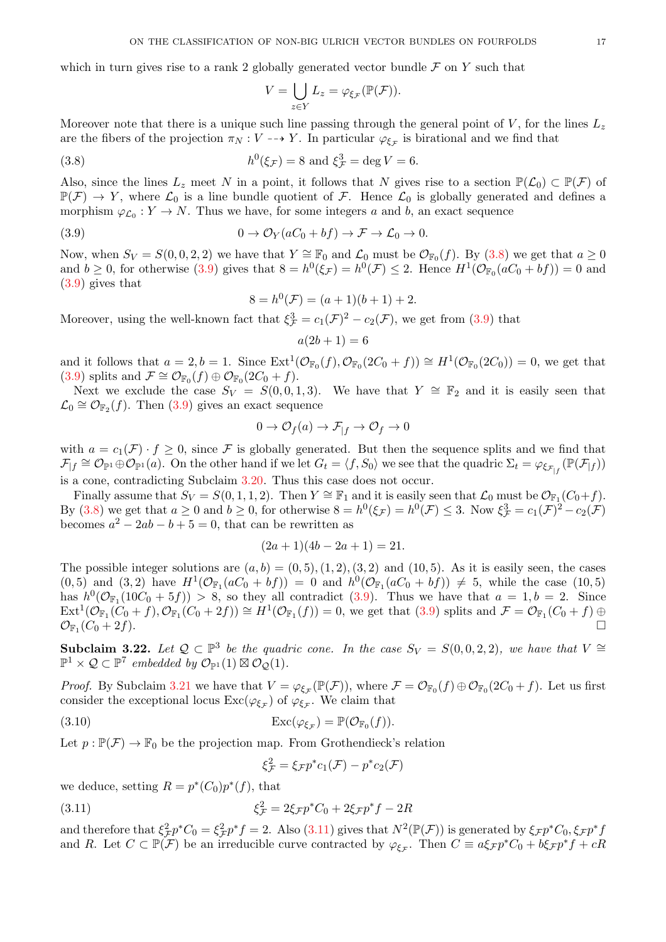which in turn gives rise to a rank 2 globally generated vector bundle  $\mathcal F$  on  $Y$  such that

<span id="page-16-0"></span>
$$
V = \bigcup_{z \in Y} L_z = \varphi_{\xi_{\mathcal{F}}}(\mathbb{P}(\mathcal{F})).
$$

Moreover note that there is a unique such line passing through the general point of  $V$ , for the lines  $L_z$ are the fibers of the projection  $\pi_N : V \dashrightarrow Y$ . In particular  $\varphi_{\xi_{\mathcal{F}}}$  is birational and we find that

(3.8) 
$$
h^0(\xi_{\mathcal{F}}) = 8
$$
 and  $\xi_{\mathcal{F}}^3 = \deg V = 6$ .

Also, since the lines  $L_z$  meet N in a point, it follows that N gives rise to a section  $\mathbb{P}(\mathcal{L}_0) \subset \mathbb{P}(\mathcal{F})$  of  $\mathbb{P}(\mathcal{F}) \to Y$ , where  $\mathcal{L}_0$  is a line bundle quotient of  $\mathcal{F}$ . Hence  $\mathcal{L}_0$  is globally generated and defines a morphism  $\varphi_{\mathcal{L}_0}: Y \to N$ . Thus we have, for some integers a and b, an exact sequence

(3.9) 
$$
0 \to \mathcal{O}_Y(aC_0 + bf) \to \mathcal{F} \to \mathcal{L}_0 \to 0.
$$

Now, when  $S_V = S(0,0,2,2)$  we have that  $Y \cong \mathbb{F}_0$  and  $\mathcal{L}_0$  must be  $\mathcal{O}_{\mathbb{F}_0}(f)$ . By [\(3.8\)](#page-16-0) we get that  $a \ge 0$ and  $b \ge 0$ , for otherwise [\(3.9\)](#page-16-1) gives that  $8 = h^0(\xi_{\mathcal{F}}) = h^0(\mathcal{F}) \le 2$ . Hence  $H^1(\mathcal{O}_{\mathbb{F}_0}(aC_0 + bf)) = 0$  and [\(3.9\)](#page-16-1) gives that

<span id="page-16-1"></span>
$$
8 = h^{0}(\mathcal{F}) = (a+1)(b+1) + 2.
$$

Moreover, using the well-known fact that  $\xi_{\mathcal{F}}^3 = c_1(\mathcal{F})^2 - c_2(\mathcal{F})$ , we get from [\(3.9\)](#page-16-1) that

$$
a(2b+1) = 6
$$

and it follows that  $a = 2, b = 1$ . Since  $\text{Ext}^1(\mathcal{O}_{\mathbb{F}_0}(f), \mathcal{O}_{\mathbb{F}_0}(2C_0 + f)) \cong H^1(\mathcal{O}_{\mathbb{F}_0}(2C_0)) = 0$ , we get that [\(3.9\)](#page-16-1) splits and  $\mathcal{F} \cong \mathcal{O}_{\mathbb{F}_0}(f) \oplus \mathcal{O}_{\mathbb{F}_0}(2C_0 + f)$ .

Next we exclude the case  $S_V = S(0, 0, 1, 3)$ . We have that  $Y \cong \mathbb{F}_2$  and it is easily seen that  $\mathcal{L}_0 \cong \mathcal{O}_{\mathbb{F}_2}(f)$ . Then  $(3.9)$  gives an exact sequence

$$
0 \to \mathcal{O}_f(a) \to \mathcal{F}_{|f} \to \mathcal{O}_f \to 0
$$

with  $a = c_1(\mathcal{F}) \cdot f \geq 0$ , since  $\mathcal F$  is globally generated. But then the sequence splits and we find that  $\mathcal{F}_{f} \cong \mathcal{O}_{\mathbb{P}^1}(\phi) \oplus \mathcal{O}_{\mathbb{P}^1}(a)$ . On the other hand if we let  $G_t = \langle f, S_0 \rangle$  we see that the quadric  $\Sigma_t = \varphi_{\xi_{\mathcal{F}_{f}}}(\mathbb{P}(\mathcal{F}_{f}))$ is a cone, contradicting Subclaim [3.20.](#page-15-0) Thus this case does not occur.

Finally assume that  $S_V = S(0, 1, 1, 2)$ . Then  $Y \cong \mathbb{F}_1$  and it is easily seen that  $\mathcal{L}_0$  must be  $\mathcal{O}_{\mathbb{F}_1}(C_0+f)$ . By [\(3.8\)](#page-16-0) we get that  $a \ge 0$  and  $b \ge 0$ , for otherwise  $8 = h^0(\xi_{\mathcal{F}}) = h^0(\mathcal{F}) \le 3$ . Now  $\xi_{\mathcal{F}}^3 = c_1(\mathcal{F})^2 - c_2(\mathcal{F})$ becomes  $a^2 - 2ab - b + 5 = 0$ , that can be rewritten as

$$
(2a+1)(4b-2a+1) = 21.
$$

The possible integer solutions are  $(a, b) = (0, 5), (1, 2), (3, 2)$  and  $(10, 5)$ . As it is easily seen, the cases  $(0,5)$  and  $(3,2)$  have  $H^1(\mathcal{O}_{\mathbb{F}_1}(aC_0 + bf)) = 0$  and  $h^0(\mathcal{O}_{\mathbb{F}_1}(aC_0 + bf)) \neq 5$ , while the case  $(10,5)$ has  $h^0(\mathcal{O}_{\mathbb{F}_1}(10C_0+5f)) > 8$ , so they all contradict [\(3.9\)](#page-16-1). Thus we have that  $a=1, b=2$ . Since  $\text{Ext}^1(\mathcal{O}_{\mathbb{F}_1}(C_0 + f), \mathcal{O}_{\mathbb{F}_1}(C_0 + 2f)) \cong H^1(\mathcal{O}_{\mathbb{F}_1}(f)) = 0$ , we get that  $(3.9)$  splits and  $\mathcal{F} = \mathcal{O}_{\mathbb{F}_1}(C_0 + f) \oplus$  $\mathcal{O}_{\mathbb{F}_1}(C_0+2f).$  $(C_0 + 2f).$ 

<span id="page-16-4"></span>Subclaim 3.22. Let  $Q \subset \mathbb{P}^3$  be the quadric cone. In the case  $S_V = S(0,0,2,2)$ , we have that  $V \cong$  $\mathbb{P}^1 \times \mathcal{Q} \subset \mathbb{P}^7$  embedded by  $\mathcal{O}_{\mathbb{P}^1}(1) \boxtimes \mathcal{O}_{\mathcal{Q}}(1)$ .

*Proof.* By Subclaim [3.21](#page-15-1) we have that  $V = \varphi_{\xi_{\mathcal{F}}}(\mathbb{P}(\mathcal{F}))$ , where  $\mathcal{F} = \mathcal{O}_{\mathbb{F}_0}(f) \oplus \mathcal{O}_{\mathbb{F}_0}(2C_0 + f)$ . Let us first consider the exceptional locus  $\text{Exc}(\varphi_{\xi_{\mathcal{F}}})$  of  $\varphi_{\xi_{\mathcal{F}}}$ . We claim that

(3.10) 
$$
\operatorname{Exc}(\varphi_{\xi_{\mathcal{F}}}) = \mathbb{P}(\mathcal{O}_{\mathbb{F}_0}(f)).
$$

Let  $p : \mathbb{P}(\mathcal{F}) \to \mathbb{F}_0$  be the projection map. From Grothendieck's relation

<span id="page-16-3"></span><span id="page-16-2"></span>
$$
\xi_{\mathcal{F}}^2 = \xi_{\mathcal{F}} p^* c_1(\mathcal{F}) - p^* c_2(\mathcal{F})
$$

we deduce, setting  $R = p^*(C_0)p^*(f)$ , that

(3.11) 
$$
\xi_{\mathcal{F}}^2 = 2\xi_{\mathcal{F}}p^*C_0 + 2\xi_{\mathcal{F}}p^*f - 2R
$$

and therefore that  $\xi^2_{\mathcal{F}} p^* C_0 = \xi^2_{\mathcal{F}} p^* f = 2$ . Also [\(3.11\)](#page-16-2) gives that  $N^2(\mathbb{P}(\mathcal{F}))$  is generated by  $\xi_{\mathcal{F}} p^* C_0$ ,  $\xi_{\mathcal{F}} p^* f$ and R. Let  $C \subset \mathbb{P}(\mathcal{F})$  be an irreducible curve contracted by  $\varphi_{\xi_{\mathcal{F}}}$ . Then  $C \equiv a\xi_{\mathcal{F}}p^*C_0 + b\xi_{\mathcal{F}}p^*f + cR$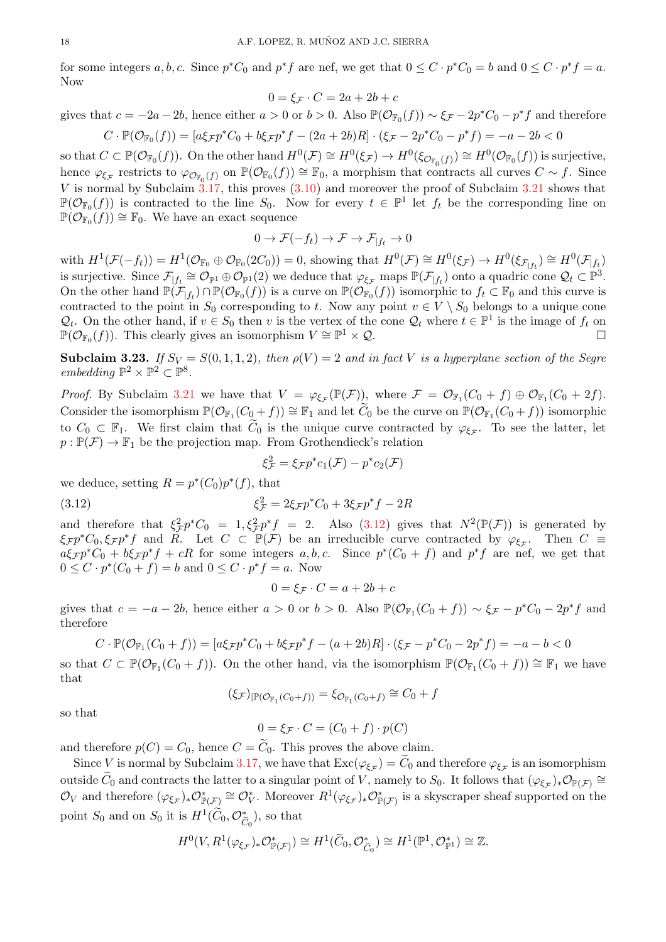for some integers  $a, b, c$ . Since  $p^*C_0$  and  $p^*f$  are nef, we get that  $0 \leq C \cdot p^*C_0 = b$  and  $0 \leq C \cdot p^*f = a$ . Now

$$
0 = \xi_{\mathcal{F}} \cdot C = 2a + 2b + c
$$

gives that  $c = -2a - 2b$ , hence either  $a > 0$  or  $b > 0$ . Also  $\mathbb{P}(\mathcal{O}_{\mathbb{F}_0}(f)) \sim \xi_{\mathcal{F}} - 2p^*C_0 - p^*f$  and therefore

$$
C \cdot \mathbb{P}(\mathcal{O}_{\mathbb{F}_0}(f)) = [a\xi_{\mathcal{F}}p^*C_0 + b\xi_{\mathcal{F}}p^*f - (2a + 2b)R] \cdot (\xi_{\mathcal{F}} - 2p^*C_0 - p^*f) = -a - 2b < 0
$$

so that  $C \subset \mathbb{P}(\mathcal{O}_{\mathbb{F}_0}(f))$ . On the other hand  $H^0(\mathcal{F}) \cong H^0(\xi_{\mathcal{F}}) \to H^0(\xi_{\mathcal{O}_{\mathbb{F}_0}(f)}) \cong H^0(\mathcal{O}_{\mathbb{F}_0}(f))$  is surjective, hence  $\varphi_{\xi_{\mathcal{F}}}$  restricts to  $\varphi_{\mathcal{O}_{\mathbb{F}_0}(f)}$  on  $\mathbb{P}(\mathcal{O}_{\mathbb{F}_0}(f)) \cong \mathbb{F}_0$ , a morphism that contracts all curves  $C \sim f$ . Since V is normal by Subclaim  $3.17$ , this proves  $(3.10)$  and moreover the proof of Subclaim [3.21](#page-15-1) shows that  $\mathbb{P}(\mathcal{O}_{\mathbb{F}_0}(f))$  is contracted to the line  $S_0$ . Now for every  $t \in \mathbb{P}^1$  let  $f_t$  be the corresponding line on  $\mathbb{P}(\mathcal{O}_{\mathbb{F}_0}(f)) \cong \mathbb{F}_0$ . We have an exact sequence

$$
0 \to \mathcal{F}(-f_t) \to \mathcal{F} \to \mathcal{F}_{|f_t} \to 0
$$

with  $H^1(\mathcal{F}(-f_t)) = H^1(\mathcal{O}_{\mathbb{F}_0} \oplus \mathcal{O}_{\mathbb{F}_0}(2C_0)) = 0$ , showing that  $H^0(\mathcal{F}) \cong H^0(\xi_{\mathcal{F}}) \to H^0(\xi_{\mathcal{F}|_{f_t}}) \cong H^0(\mathcal{F}|_{f_t})$ is surjective. Since  $\mathcal{F}_{|f_t} \cong \mathcal{O}_{\mathbb{P}^1} \oplus \mathcal{O}_{\mathbb{P}^1}(2)$  we deduce that  $\varphi_{\xi_{\mathcal{F}}}$  maps  $\mathbb{P}(\mathcal{F}_{|f_t})$  onto a quadric cone  $\mathcal{Q}_t \subset \mathbb{P}^3$ . On the other hand  $\mathbb{P}(\mathcal{F}_{f_t}) \cap \mathbb{P}(\mathcal{O}_{\mathbb{F}_0}(f))$  is a curve on  $\mathbb{P}(\mathcal{O}_{\mathbb{F}_0}(f))$  isomorphic to  $f_t \subset \mathbb{F}_0$  and this curve is contracted to the point in  $S_0$  corresponding to t. Now any point  $v \in V \setminus S_0$  belongs to a unique cone  $\mathcal{Q}_t$ . On the other hand, if  $v \in S_0$  then v is the vertex of the cone  $\mathcal{Q}_t$  where  $t \in \mathbb{P}^1$  is the image of  $f_t$  on  $\mathbb{P}(\mathcal{O}_{\mathbb{F}_0}(f))$ . This clearly gives an isomorphism  $V \cong \mathbb{P}^1 \times \mathcal{Q}$ .

<span id="page-17-1"></span>**Subclaim 3.23.** *If*  $S_V = S(0, 1, 1, 2)$ *, then*  $\rho(V) = 2$  *and in fact* V *is a hyperplane section of the Segre embedding*  $\mathbb{P}^2 \times \mathbb{P}^2 \subset \mathbb{P}^8$ *.* 

*Proof.* By Subclaim [3.21](#page-15-1) we have that  $V = \varphi_{\xi \mathcal{F}}(\mathbb{P}(\mathcal{F}))$ , where  $\mathcal{F} = \mathcal{O}_{\mathbb{F}_1}(C_0 + f) \oplus \mathcal{O}_{\mathbb{F}_1}(C_0 + 2f)$ . Consider the isomorphism  $\mathbb{P}(\mathcal{O}_{\mathbb{F}_1}(C_0 + f)) \cong \mathbb{F}_1$  and let  $\widetilde{C}_0$  be the curve on  $\mathbb{P}(\mathcal{O}_{\mathbb{F}_1}(C_0 + f))$  isomorphic to  $C_0 \subset \mathbb{F}_1$ . We first claim that  $\widetilde{C}_0$  is the unique curve contracted by  $\varphi_{\xi_{\mathcal{F}}}$ . To see the latter, let  $p : \mathbb{P}(\mathcal{F}) \to \mathbb{F}_1$  be the projection map. From Grothendieck's relation

<span id="page-17-0"></span>
$$
\xi_{\mathcal{F}}^2 = \xi_{\mathcal{F}} p^* c_1(\mathcal{F}) - p^* c_2(\mathcal{F})
$$

we deduce, setting  $R = p^*(C_0)p^*(f)$ , that

(3.12) 
$$
\xi_{\mathcal{F}}^2 = 2\xi_{\mathcal{F}}p^*C_0 + 3\xi_{\mathcal{F}}p^*f - 2R
$$

and therefore that  $\xi^2 \neq p^* C_0 = 1$ ,  $\xi^2 \neq p^* f = 2$ . Also [\(3.12\)](#page-17-0) gives that  $N^2(\mathbb{P}(\mathcal{F}))$  is generated by  $\xi_{\mathcal{F}} p^* C_0, \xi_{\mathcal{F}} p^* f$  and  $R$ . Let  $C \subset \mathbb{P}(\mathcal{F})$  be an irreducible curve contracted by  $\varphi_{\xi_{\mathcal{F}}}$ . Then  $C \equiv$  $a\xi_{\mathcal{F}} p^* C_0 + b\xi_{\mathcal{F}} p^* f + cR$  for some integers  $a, b, c$ . Since  $p^*(C_0 + f)$  and  $p^* f$  are nef, we get that  $0 \leq C \cdot p^*(C_0 + f) = b$  and  $0 \leq C \cdot p^*f = a$ . Now

$$
0 = \xi_{\mathcal{F}} \cdot C = a + 2b + c
$$

gives that  $c = -a - 2b$ , hence either  $a > 0$  or  $b > 0$ . Also  $\mathbb{P}(\mathcal{O}_{\mathbb{F}_1}(C_0 + f)) \sim \xi_{\mathcal{F}} - p^*C_0 - 2p^*f$  and therefore

$$
\cdot \ \mathbb{P}(\mathcal{O}_{\mathbb{F}_1}(C_0 + f)) = [a\xi_{\mathcal{F}}p^*C_0 + b\xi_{\mathcal{F}}p^*f - (a+2b)R] \cdot (\xi_{\mathcal{F}} - p^*C_0 - 2p^*f) = -a - b < 0
$$

so that  $C \subset \mathbb{P}(\mathcal{O}_{\mathbb{F}_1}(C_0 + f))$ . On the other hand, via the isomorphism  $\mathbb{P}(\mathcal{O}_{\mathbb{F}_1}(C_0 + f)) \cong \mathbb{F}_1$  we have that

$$
(\xi_{\mathcal{F}})_{\vert \mathbb{P}(\mathcal{O}_{\mathbb{F}_1}(C_0+f))} = \xi_{\mathcal{O}_{\mathbb{F}_1}(C_0+f)} \cong C_0 + f
$$

so that

 $C$ 

$$
0 = \xi_{\mathcal{F}} \cdot C = (C_0 + f) \cdot p(C)
$$

and therefore  $p(C) = C_0$ , hence  $C = \widetilde{C}_0$ . This proves the above claim.

Since V is normal by Subclaim [3.17,](#page-13-0) we have that  $\text{Exc}(\varphi_{\xi_{\mathcal{F}}})=C_0$  and therefore  $\varphi_{\xi_{\mathcal{F}}}$  is an isomorphism outside  $\widetilde{C}_0$  and contracts the latter to a singular point of V, namely to  $S_0$ . It follows that  $(\varphi_{\xi_{\mathcal{F}}})_*\mathcal{O}_{\mathbb{P}(\mathcal{F})} \cong$  $\mathcal{O}_V$  and therefore  $(\varphi_{\xi\mathcal{F}})_*\mathcal{O}_{\mathbb{P}(\mathcal{F})}^* \cong \mathcal{O}_V^*$ . Moreover  $R^1(\varphi_{\xi\mathcal{F}})_*\mathcal{O}_{\mathbb{P}(\mathcal{F})}^*$  is a skyscraper sheaf supported on the point  $S_0$  and on  $S_0$  it is  $H^1(\widetilde{C}_0, \mathcal{O}_{\widetilde{C}_0}^*)$ , so that

$$
H^0(V, R^1(\varphi_{\xi \mathcal{F}})_*\mathcal{O}_{\mathbb{P}(\mathcal{F})}^*) \cong H^1(\widetilde{C}_0, \mathcal{O}_{\widetilde{C}_0}^*) \cong H^1(\mathbb{P}^1, \mathcal{O}_{\mathbb{P}^1}^*) \cong \mathbb{Z}.
$$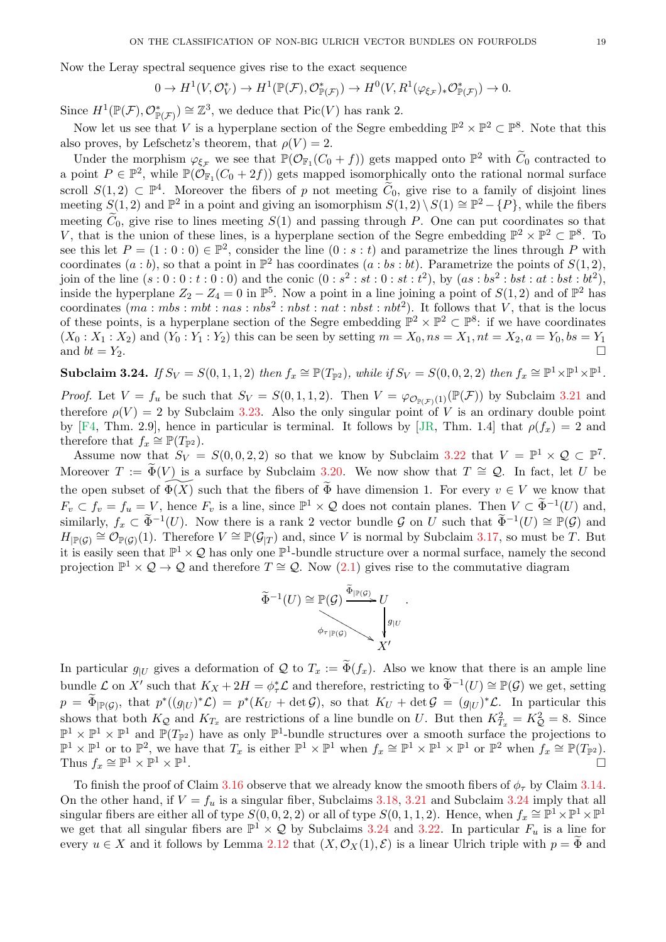<span id="page-18-1"></span>Now the Leray spectral sequence gives rise to the exact sequence

$$
0 \to H^1(V, \mathcal{O}_V^*) \to H^1(\mathbb{P}(\mathcal{F}), \mathcal{O}_{\mathbb{P}(\mathcal{F})}^*) \to H^0(V, R^1(\varphi_{\xi \mathcal{F}})_* \mathcal{O}_{\mathbb{P}(\mathcal{F})}^*) \to 0.
$$

Since  $H^1(\mathbb{P}(\mathcal{F}), \mathcal{O}_{\mathbb{P}(\mathcal{F})}^*) \cong \mathbb{Z}^3$ , we deduce that  $Pic(V)$  has rank 2.

Now let us see that V is a hyperplane section of the Segre embedding  $\mathbb{P}^2 \times \mathbb{P}^2 \subset \mathbb{P}^8$ . Note that this also proves, by Lefschetz's theorem, that  $\rho(V) = 2$ .

Under the morphism  $\varphi_{\xi_{\mathcal{F}}}$  we see that  $\mathbb{P}(\mathcal{O}_{\mathbb{F}_1}(C_0 + f))$  gets mapped onto  $\mathbb{P}^2$  with  $\widetilde{C}_0$  contracted to a point  $P \in \mathbb{P}^2$ , while  $\mathbb{P}(\tilde{\mathcal{O}}_{\mathbb{F}_1}(C_0 + 2f))$  gets mapped isomorphically onto the rational normal surface scroll  $S(1,2) \subset \mathbb{P}^4$ . Moreover the fibers of p not meeting  $\widetilde{C}_0$ , give rise to a family of disjoint lines meeting  $S(1, 2)$  and  $\mathbb{P}^2$  in a point and giving an isomorphism  $S(1, 2) \setminus S(1) \cong \mathbb{P}^2 - \{P\}$ , while the fibers meeting  $\tilde{C}_0$ , give rise to lines meeting  $S(1)$  and passing through P. One can put coordinates so that V, that is the union of these lines, is a hyperplane section of the Segre embedding  $\mathbb{P}^2 \times \mathbb{P}^2 \subset \mathbb{P}^8$ . To see this let  $P = (1:0:0) \in \mathbb{P}^2$ , consider the line  $(0: s: t)$  and parametrize the lines through P with coordinates  $(a:b)$ , so that a point in  $\mathbb{P}^2$  has coordinates  $(a:b:b:b)$ . Parametrize the points of  $S(1,2)$ , join of the line  $(s: 0: 0: t: 0: 0)$  and the conic  $(0: s^2: st: 0: st: t^2)$ , by  $(as: bs^2: bst: at: bst: bt^2)$ , inside the hyperplane  $Z_2 - Z_4 = 0$  in  $\mathbb{P}^5$ . Now a point in a line joining a point of  $S(1,2)$  and of  $\mathbb{P}^2$  has coordinates  $(ma : mbs : mbt : nas : nbs^2 : nbst : nat : nbst : nbt^2)$ . It follows that V, that is the locus of these points, is a hyperplane section of the Segre embedding  $\mathbb{P}^2 \times \mathbb{P}^2 \subset \mathbb{P}^8$ : if we have coordinates  $(X_0: X_1: X_2)$  and  $(Y_0: Y_1: Y_2)$  this can be seen by setting  $m = X_0, ns = X_1, nt = X_2, a = Y_0, bs = Y_1$ and  $bt = Y_2$ .

<span id="page-18-0"></span>Subclaim 3.24. *If*  $S_V = S(0, 1, 1, 2)$  *then*  $f_x \cong \mathbb{P}(T_{\mathbb{P}^2})$ *, while if*  $S_V = S(0, 0, 2, 2)$  *then*  $f_x \cong \mathbb{P}^1 \times \mathbb{P}^1 \times \mathbb{P}^1$ .

*Proof.* Let  $V = f_u$  be such that  $S_V = S(0, 1, 1, 2)$ . Then  $V = \varphi_{\mathcal{O}_{\mathbb{P}(\mathcal{F})}}(\mathbb{P}(\mathcal{F}))$  by Subclaim [3.21](#page-15-1) and therefore  $\rho(V) = 2$  by Subclaim [3.23.](#page-17-1) Also the only singular point of V is an ordinary double point by [\[F4,](#page-29-22) Thm. 2.9], hence in particular is terminal. It follows by [\[JR,](#page-29-20) Thm. 1.4] that  $\rho(f_x) = 2$  and therefore that  $f_x \cong \mathbb{P}(T_{\mathbb{P}^2})$ .

Assume now that  $S_V = S(0, 0, 2, 2)$  so that we know by Subclaim [3.22](#page-16-4) that  $V = \mathbb{P}^1 \times \mathcal{Q} \subset \mathbb{P}^7$ . Moreover  $T := \Phi(V)$  is a surface by Subclaim [3.20.](#page-15-0) We now show that  $T \cong \mathcal{Q}$ . In fact, let U be the open subset of  $\Phi(\overline{X})$  such that the fibers of  $\widetilde{\Phi}$  have dimension 1. For every  $v \in V$  we know that  $F_v \subset f_v = f_u = V$ , hence  $F_v$  is a line, since  $\mathbb{P}^1 \times \mathcal{Q}$  does not contain planes. Then  $V \subset \widetilde{\Phi}^{-1}(U)$  and, similarly,  $f_x \subset \widetilde{\Phi}^{-1}(U)$ . Now there is a rank 2 vector bundle G on U such that  $\widetilde{\Phi}^{-1}(U) \cong \mathbb{P}(\mathcal{G})$  and  $H_{\vert \mathbb{P}(\mathcal{G})} \cong \mathcal{O}_{\mathbb{P}(\mathcal{G})}(1)$ . Therefore  $V \cong \mathbb{P}(\mathcal{G}_{\vert T})$  and, since V is normal by Subclaim [3.17,](#page-13-0) so must be T. But it is easily seen that  $\mathbb{P}^1 \times \mathcal{Q}$  has only one  $\mathbb{P}^1$ -bundle structure over a normal surface, namely the second projection  $\mathbb{P}^1 \times \mathcal{Q} \to \mathcal{Q}$  and therefore  $T \cong \mathcal{Q}$ . Now [\(2.1\)](#page-3-4) gives rise to the commutative diagram



In particular  $g_{|U}$  gives a deformation of Q to  $T_x := \tilde{\Phi}(f_x)$ . Also we know that there is an ample line bundle  $\mathcal L$  on X' such that  $K_X + 2H = \phi^*_{\tau} \mathcal L$  and therefore, restricting to  $\widetilde{\Phi}^{-1}(U) \cong \mathbb P(\mathcal G)$  we get, setting  $p = \widetilde{\Phi}_{\vert \mathbb{P}(\mathcal{G})}$ , that  $p^*((g_{\vert U})^*\mathcal{L}) = p^*(K_U + \det \mathcal{G})$ , so that  $K_U + \det \mathcal{G} = (g_{\vert U})^*\mathcal{L}$ . In particular this shows that both  $K_Q$  and  $K_{T_x}$  are restrictions of a line bundle on U. But then  $K_{T_x}^2 = K_Q^2 = 8$ . Since  $\mathbb{P}^1 \times \mathbb{P}^1 \times \mathbb{P}^1$  and  $\mathbb{P}(T_{\mathbb{P}^2})$  have as only  $\mathbb{P}^1$ -bundle structures over a smooth surface the projections to  $\mathbb{P}^1 \times \mathbb{P}^1$  or to  $\mathbb{P}^2$ , we have that  $T_x$  is either  $\mathbb{P}^1 \times \mathbb{P}^1$  when  $f_x \cong \mathbb{P}^1 \times \mathbb{P}^1 \times \mathbb{P}^1$  or  $\mathbb{P}^2$  when  $f_x \cong \mathbb{P}(T_{\mathbb{P}^2})$ . Thus  $f_x \cong \mathbb{P}^1 \times \mathbb{P}^1 \times \mathbb{P}^1$ . The contract of the contract of the contract of the contract of the contract of  $\Box$ 

To finish the proof of Claim [3.16](#page-13-1) observe that we already know the smooth fibers of  $\phi_{\tau}$  by Claim [3.14.](#page-12-3) On the other hand, if  $V = f_u$  is a singular fiber, Subclaims [3.18,](#page-14-0) [3.21](#page-15-1) and Subclaim [3.24](#page-18-0) imply that all singular fibers are either all of type  $S(0,0,2,2)$  or all of type  $S(0,1,1,2)$ . Hence, when  $f_x \cong \mathbb{P}^1 \times \mathbb{P}^1 \times \mathbb{P}^1$ we get that all singular fibers are  $\mathbb{P}^1 \times \mathcal{Q}$  by Subclaims [3.24](#page-18-0) and [3.22.](#page-16-4) In particular  $F_u$  is a line for every  $u \in X$  and it follows by Lemma [2.12](#page-4-3) that  $(X, \mathcal{O}_X(1), \mathcal{E})$  is a linear Ulrich triple with  $p = \tilde{\Phi}$  and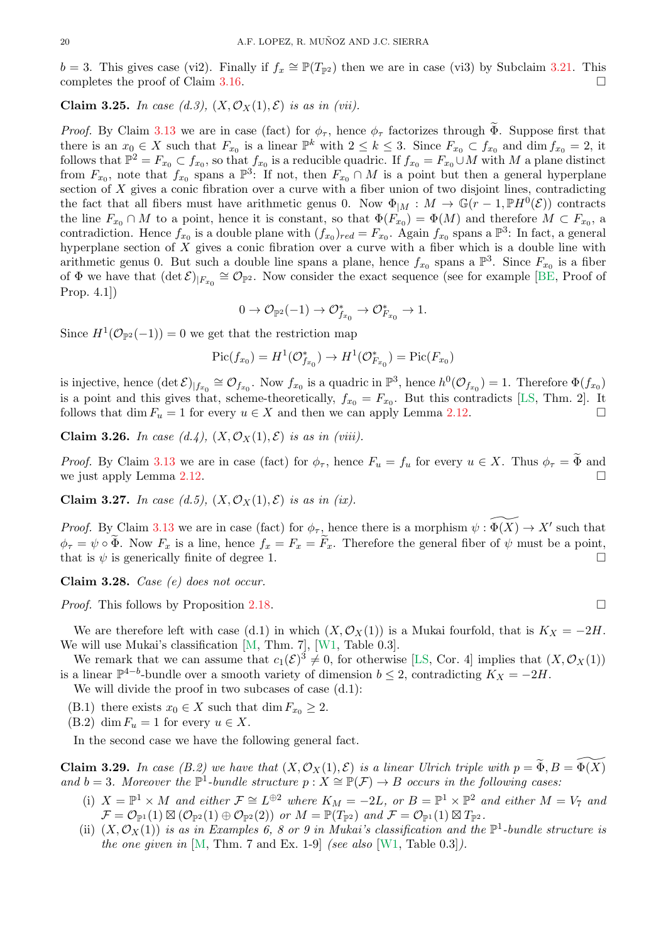<span id="page-19-2"></span> $b = 3$ . This gives case (vi2). Finally if  $f_x \cong \mathbb{P}(T_{\mathbb{P}^2})$  then we are in case (vi3) by Subclaim [3.21.](#page-15-1) This completes the proof of Claim [3.16.](#page-13-1)

<span id="page-19-0"></span>Claim 3.25. In case (d.3),  $(X, \mathcal{O}_X(1), \mathcal{E})$  is as in (vii).

*Proof.* By Claim [3.13](#page-12-2) we are in case (fact) for  $\phi_{\tau}$ , hence  $\phi_{\tau}$  factorizes through  $\Phi$ . Suppose first that there is an  $x_0 \in X$  such that  $F_{x_0}$  is a linear  $\mathbb{P}^k$  with  $2 \leq k \leq 3$ . Since  $F_{x_0} \subset f_{x_0}$  and  $\dim f_{x_0} = 2$ , it follows that  $\mathbb{P}^2 = F_{x_0} \subset f_{x_0}$ , so that  $f_{x_0}$  is a reducible quadric. If  $f_{x_0} = F_{x_0} \cup M$  with M a plane distinct from  $F_{x_0}$ , note that  $f_{x_0}$  spans a  $\mathbb{P}^3$ : If not, then  $F_{x_0} \cap M$  is a point but then a general hyperplane section of X gives a conic fibration over a curve with a fiber union of two disjoint lines, contradicting the fact that all fibers must have arithmetic genus 0. Now  $\Phi_{|M}: M \to \mathbb{G}(r-1, \mathbb{P}H^0(\mathcal{E}))$  contracts the line  $F_{x_0} \cap M$  to a point, hence it is constant, so that  $\Phi(F_{x_0}) = \Phi(M)$  and therefore  $M \subset F_{x_0}$ , a contradiction. Hence  $f_{x_0}$  is a double plane with  $(f_{x_0})_{red} = F_{x_0}$ . Again  $f_{x_0}$  spans a  $\mathbb{P}^3$ : In fact, a general hyperplane section of X gives a conic fibration over a curve with a fiber which is a double line with arithmetic genus 0. But such a double line spans a plane, hence  $f_{x_0}$  spans a  $\mathbb{P}^3$ . Since  $F_{x_0}$  is a fiber of  $\Phi$  we have that  $(\det \mathcal{E})_{|F_{x_0}} \cong \mathcal{O}_{\mathbb{P}^2}$ . Now consider the exact sequence (see for example [\[BE,](#page-28-4) Proof of Prop. 4.1])

$$
0 \to \mathcal{O}_{\mathbb{P}^2}(-1) \to \mathcal{O}_{f_{x_0}}^* \to \mathcal{O}_{F_{x_0}}^* \to 1.
$$

Since  $H^1(\mathcal{O}_{\mathbb{P}^2}(-1))=0$  we get that the restriction map

$$
Pic(f_{x_0}) = H^1(\mathcal{O}_{f_{x_0}}^*) \to H^1(\mathcal{O}_{F_{x_0}}^*) = Pic(F_{x_0})
$$

is injective, hence  $(\det \mathcal{E})_{|f_{x_0}} \cong \mathcal{O}_{f_{x_0}}$ . Now  $f_{x_0}$  is a quadric in  $\mathbb{P}^3$ , hence  $h^0(\mathcal{O}_{f_{x_0}}) = 1$ . Therefore  $\Phi(f_{x_0})$ is a point and this gives that, scheme-theoretically,  $f_{x_0} = F_{x_0}$ . But this contradicts [\[LS,](#page-29-2) Thm. 2]. It follows that dim  $F_u = 1$  for every  $u \in X$  and then we can apply Lemma [2.12.](#page-4-3)

Claim 3.26. *In case*  $(d.4)$ ,  $(X, \mathcal{O}_X(1), \mathcal{E})$  *is as in (viii).* 

*Proof.* By Claim [3.13](#page-12-2) we are in case (fact) for  $\phi_{\tau}$ , hence  $F_u = f_u$  for every  $u \in X$ . Thus  $\phi_{\tau} = \Phi$  and we just apply Lemma [2.12.](#page-4-3)

Claim 3.27. In case  $(d.5)$ ,  $(X, \mathcal{O}_X(1), \mathcal{E})$  *is as in (ix)*.

*Proof.* By Claim [3.13](#page-12-2) we are in case (fact) for  $\phi_{\tau}$ , hence there is a morphism  $\psi : \widetilde{\Phi(X)} \to X'$  such that  $\phi_{\tau} = \psi \circ \Phi$ . Now  $F_x$  is a line, hence  $f_x = F_x = F_x$ . Therefore the general fiber of  $\psi$  must be a point, that is  $\psi$  is generically finite of degree 1.

Claim 3.28. *Case (e) does not occur.*

*Proof.* This follows by Proposition [2.18.](#page-5-1)

We are therefore left with case (d.1) in which  $(X, \mathcal{O}_X(1))$  is a Mukai fourfold, that is  $K_X = -2H$ . We will use Mukai's classification [\[M,](#page-29-25) Thm. 7], [\[W1,](#page-30-11) Table 0.3].

We remark that we can assume that  $c_1(\mathcal{E})^3 \neq 0$ , for otherwise [\[LS,](#page-29-2) Cor. 4] implies that  $(X, \mathcal{O}_X(1))$ is a linear  $\mathbb{P}^{4-b}$ -bundle over a smooth variety of dimension  $b \leq 2$ , contradicting  $K_X = -2H$ .

We will divide the proof in two subcases of case  $(d.1)$ :

(B.1) there exists  $x_0 \in X$  such that dim  $F_{x_0} \geq 2$ .

(B.2) dim  $F_u = 1$  for every  $u \in X$ .

In the second case we have the following general fact.

<span id="page-19-1"></span>**Claim 3.29.** In case (B.2) we have that  $(X, \mathcal{O}_X(1), \mathcal{E})$  is a linear Ulrich triple with  $p = \widetilde{\Phi}, B = \Phi(\overline{X})$ and  $b = 3$ . Moreover the  $\mathbb{P}^1$ -bundle structure  $p : X \cong \mathbb{P}(\mathcal{F}) \to B$  occurs in the following cases:

- (i)  $X = \mathbb{P}^1 \times M$  and either  $\mathcal{F} \cong L^{\oplus 2}$  where  $K_M = -2L$ , or  $B = \mathbb{P}^1 \times \mathbb{P}^2$  and either  $M = V_7$  and  $\mathcal{F} = \mathcal{O}_{\mathbb{P}^1}(1) \boxtimes (\mathcal{O}_{\mathbb{P}^2}(1) \oplus \mathcal{O}_{\mathbb{P}^2}(2))$  *or*  $M = \mathbb{P}(T_{\mathbb{P}^2})$  *and*  $\mathcal{F} = \mathcal{O}_{\mathbb{P}^1}(1) \boxtimes T_{\mathbb{P}^2}$ *.*
- (ii)  $(X, \mathcal{O}_X(1))$  *is as in Examples 6, 8 or 9 in Mukai's classification and the*  $\mathbb{P}^1$ -bundle structure is *the one given in* [\[M,](#page-29-25) Thm. 7 and Ex. 1-9] *(see also* [\[W1,](#page-30-11) Table 0.3]*).*

$$
\Box
$$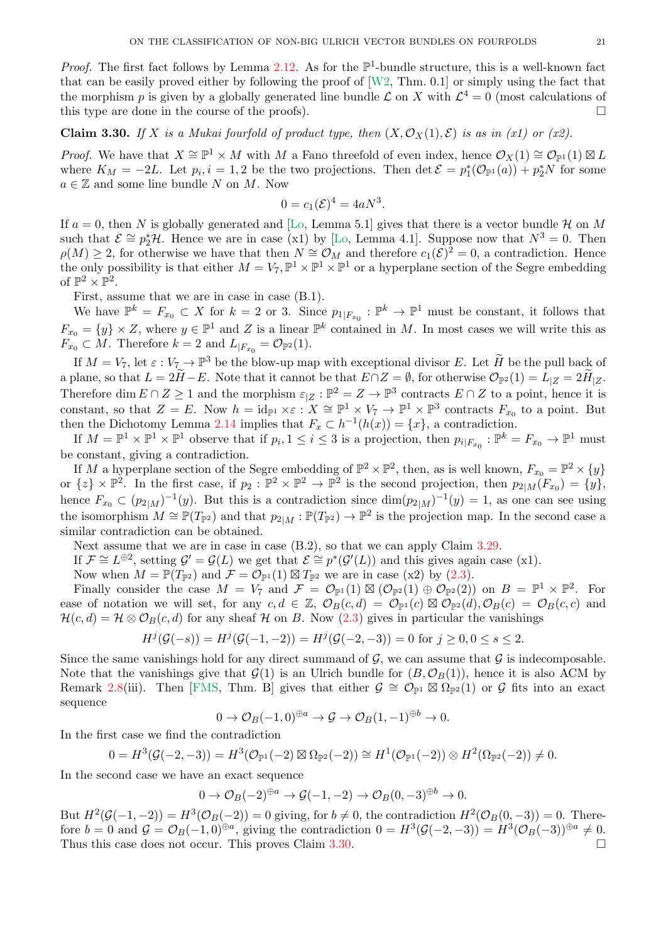<span id="page-20-1"></span>*Proof.* The first fact follows by Lemma [2.12.](#page-4-3) As for the  $\mathbb{P}^1$ -bundle structure, this is a well-known fact that can be easily proved either by following the proof of  $[W2, Thm. 0.1]$  or simply using the fact that the morphism p is given by a globally generated line bundle  $\mathcal L$  on X with  $\mathcal L^4=0$  (most calculations of this type are done in the course of the proofs).  $\Box$ 

<span id="page-20-0"></span>Claim 3.30. If X is a Mukai fourfold of product type, then  $(X, \mathcal{O}_X(1), \mathcal{E})$  is as in (x1) or (x2).

*Proof.* We have that  $X \cong \mathbb{P}^1 \times M$  with M a Fano threefold of even index, hence  $\mathcal{O}_X(1) \cong \mathcal{O}_{\mathbb{P}^1}(1) \boxtimes L$ where  $K_M = -2L$ . Let  $p_i, i = 1, 2$  be the two projections. Then  $\det \mathcal{E} = p_1^*(\mathcal{O}_{\mathbb{P}^1}(a)) + p_2^*N$  for some  $a \in \mathbb{Z}$  and some line bundle N on M. Now

$$
0 = c_1(\mathcal{E})^4 = 4aN^3.
$$

If  $a = 0$ , then N is globally generated and [\[Lo,](#page-29-3) Lemma 5.1] gives that there is a vector bundle H on M such that  $\mathcal{E} \cong p_2^* \mathcal{H}$ . Hence we are in case (x1) by [\[Lo,](#page-29-3) Lemma 4.1]. Suppose now that  $N^3 = 0$ . Then  $\rho(M) \geq 2$ , for otherwise we have that then  $N \cong \mathcal{O}_M$  and therefore  $c_1(\mathcal{E})^2 = 0$ , a contradiction. Hence the only possibility is that either  $M = V_7$ ,  $\mathbb{P}^1 \times \mathbb{P}^1 \times \mathbb{P}^1$  or a hyperplane section of the Segre embedding of  $\mathbb{P}^2 \times \mathbb{P}^2$ .

First, assume that we are in case in case (B.1).

We have  $\mathbb{P}^k = F_{x_0} \subset X$  for  $k = 2$  or 3. Since  $p_{1|F_{x_0}} : \mathbb{P}^k \to \mathbb{P}^1$  must be constant, it follows that  $F_{x_0} = \{y\} \times Z$ , where  $y \in \mathbb{P}^1$  and Z is a linear  $\mathbb{P}^k$  contained in M. In most cases we will write this as  $F_{x_0} \subset M$ . Therefore  $k = 2$  and  $L_{|F_{x_0}} = \mathcal{O}_{\mathbb{P}^2}(1)$ .

If  $M = V_7$ , let  $\varepsilon : V_7 \to \mathbb{P}^3$  be the blow-up map with exceptional divisor E. Let  $\widetilde{H}$  be the pull back of a plane, so that  $L = 2H - E$ . Note that it cannot be that  $E \cap Z = \emptyset$ , for otherwise  $\mathcal{O}_{\mathbb{P}^2}(1) = L_{|Z} = 2H_{|Z}$ . Therefore dim  $E \cap Z \geq 1$  and the morphism  $\varepsilon_{|Z} : \mathbb{P}^2 = Z \to \mathbb{P}^3$  contracts  $E \cap Z$  to a point, hence it is constant, so that  $Z = E$ . Now  $h = \mathrm{id}_{\mathbb{P}^1} \times \varepsilon : X \cong \mathbb{P}^1 \times V_7 \to \mathbb{P}^1 \times \mathbb{P}^3$  contracts  $F_{x_0}$  to a point. But then the Dichotomy Lemma [2.14](#page-4-0) implies that  $F_x \subset h^{-1}(h(x)) = \{x\}$ , a contradiction.

If  $M = \mathbb{P}^1 \times \mathbb{P}^1 \times \mathbb{P}^1$  observe that if  $p_i, 1 \le i \le 3$  is a projection, then  $p_{i|F_{x_0}} : \mathbb{P}^k = F_{x_0} \to \mathbb{P}^1$  must be constant, giving a contradiction.

If M a hyperplane section of the Segre embedding of  $\mathbb{P}^2 \times \mathbb{P}^2$ , then, as is well known,  $F_{x_0} = \mathbb{P}^2 \times \{y\}$ or  $\{z\} \times \mathbb{P}^2$ . In the first case, if  $p_2 : \mathbb{P}^2 \times \mathbb{P}^2 \to \mathbb{P}^2$  is the second projection, then  $p_{2|M}(F_{x_0}) = \{y\}$ , hence  $F_{x_0} \subset (p_{2|M})^{-1}(y)$ . But this is a contradiction since  $\dim (p_{2|M})^{-1}(y) = 1$ , as one can see using the isomorphism  $M \cong \mathbb{P}(T_{\mathbb{P}^2})$  and that  $p_{2|M}: \mathbb{P}(T_{\mathbb{P}^2}) \to \mathbb{P}^2$  is the projection map. In the second case a similar contradiction can be obtained.

Next assume that we are in case in case  $(B.2)$ , so that we can apply Claim [3.29.](#page-19-1)

If  $\mathcal{F} \cong L^{\oplus 2}$ , setting  $\mathcal{G}' = \mathcal{G}(L)$  we get that  $\mathcal{E} \cong p^*(\mathcal{G}'(L))$  and this gives again case (x1).

Now when  $M = \mathbb{P}(T_{\mathbb{P}^2})$  and  $\mathcal{F} = \mathcal{O}_{\mathbb{P}^1}(1) \boxtimes T_{\mathbb{P}^2}$  we are in case (x2) by [\(2.3\)](#page-4-5).

Finally consider the case  $M = V_7$  and  $\mathcal{F} = \mathcal{O}_{\mathbb{P}^1}(1) \boxtimes (\mathcal{O}_{\mathbb{P}^2}(1) \oplus \mathcal{O}_{\mathbb{P}^2}(2))$  on  $B = \mathbb{P}^1 \times \mathbb{P}^2$ . For ease of notation we will set, for any  $c, d \in \mathbb{Z}$ ,  $\mathcal{O}_B(c,d) = \mathcal{O}_{\mathbb{P}^1}(c) \boxtimes \mathcal{O}_{\mathbb{P}^2}(d), \mathcal{O}_B(c) = \mathcal{O}_B(c,c)$  and  $\mathcal{H}(c, d) = \mathcal{H} \otimes \mathcal{O}_B(c, d)$  for any sheaf H on B. Now [\(2.3\)](#page-4-5) gives in particular the vanishings

$$
H^{j}(\mathcal{G}(-s)) = H^{j}(\mathcal{G}(-1,-2)) = H^{j}(\mathcal{G}(-2,-3)) = 0 \text{ for } j \ge 0, 0 \le s \le 2.
$$

Since the same vanishings hold for any direct summand of  $G$ , we can assume that  $G$  is indecomposable. Note that the vanishings give that  $\mathcal{G}(1)$  is an Ulrich bundle for  $(B, \mathcal{O}_B(1))$ , hence it is also ACM by Remark [2.8\(](#page-3-3)iii). Then [\[FMS,](#page-29-26) Thm. B] gives that either  $\mathcal{G} \cong \mathcal{O}_{\mathbb{P}^1} \boxtimes \Omega_{\mathbb{P}^2}(1)$  or  $\mathcal{G}$  fits into an exact sequence

$$
0 \to \mathcal{O}_B(-1,0)^{\oplus a} \to \mathcal{G} \to \mathcal{O}_B(1,-1)^{\oplus b} \to 0.
$$

In the first case we find the contradiction

$$
0 = H^3(\mathcal{G}(-2, -3)) = H^3(\mathcal{O}_{\mathbb{P}^1}(-2) \boxtimes \Omega_{\mathbb{P}^2}(-2)) \cong H^1(\mathcal{O}_{\mathbb{P}^1}(-2)) \otimes H^2(\Omega_{\mathbb{P}^2}(-2)) \neq 0.
$$

In the second case we have an exact sequence

$$
0 \to \mathcal{O}_B(-2)^{\oplus a} \to \mathcal{G}(-1,-2) \to \mathcal{O}_B(0,-3)^{\oplus b} \to 0.
$$

But  $H^2(\mathcal{G}(-1,-2)) = H^3(\mathcal{O}_B(-2)) = 0$  giving, for  $b \neq 0$ , the contradiction  $H^2(\mathcal{O}_B(0,-3)) = 0$ . Therefore  $b = 0$  and  $\mathcal{G} = \mathcal{O}_B(-1,0)^{\oplus a}$ , giving the contradiction  $0 = H^3(\mathcal{G}(-2,-3)) = H^3(\mathcal{O}_B(-3))^{\oplus a} \neq 0$ . Thus this case does not occur. This proves Claim  $3.30$ .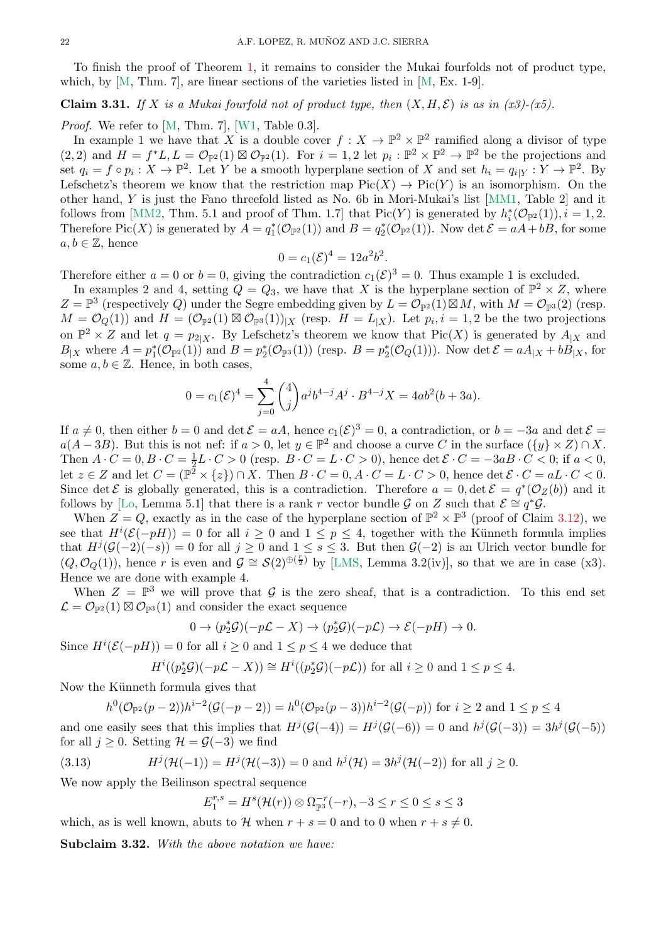<span id="page-21-3"></span>To finish the proof of Theorem [1,](#page-0-0) it remains to consider the Mukai fourfolds not of product type, which, by  $[M, Thm. 7]$ , are linear sections of the varieties listed in  $[M, Ex. 1-9]$ .

<span id="page-21-1"></span>**Claim 3.31.** *If* X *is a Mukai fourfold not of product type, then*  $(X, H, \mathcal{E})$  *is as in (x3)-(x5).* 

*Proof.* We refer to  $[M, Thm. 7]$ ,  $[W1, Table 0.3]$ .

In example 1 we have that X is a double cover  $f: X \to \mathbb{P}^2 \times \mathbb{P}^2$  ramified along a divisor of type  $(2,2)$  and  $H = f^*L, L = \mathcal{O}_{\mathbb{P}^2}(1) \boxtimes \mathcal{O}_{\mathbb{P}^2}(1)$ . For  $i = 1,2$  let  $p_i : \mathbb{P}^2 \times \mathbb{P}^2 \to \mathbb{P}^2$  be the projections and set  $q_i = f \circ p_i : X \to \mathbb{P}^2$ . Let Y be a smooth hyperplane section of X and set  $h_i = q_{i|Y} : Y \to \mathbb{P}^2$ . By Lefschetz's theorem we know that the restriction map  $Pic(X) \to Pic(Y)$  is an isomorphism. On the other hand, Y is just the Fano threefold listed as No. 6b in Mori-Mukai's list [\[MM1,](#page-29-27) Table 2] and it follows from [\[MM2,](#page-29-28) Thm. 5.1 and proof of Thm. 1.7] that  $Pic(Y)$  is generated by  $h_i^*(\mathcal{O}_{\mathbb{P}^2}(1)), i = 1, 2$ . Therefore Pic(X) is generated by  $A = q_1^*(\mathcal{O}_{\mathbb{P}^2}(1))$  and  $B = q_2^*(\mathcal{O}_{\mathbb{P}^2}(1))$ . Now det  $\mathcal{E} = aA + bB$ , for some  $a, b \in \mathbb{Z}$ , hence

$$
0 = c_1(\mathcal{E})^4 = 12a^2b^2.
$$

Therefore either  $a = 0$  or  $b = 0$ , giving the contradiction  $c_1(\mathcal{E})^3 = 0$ . Thus example 1 is excluded.

In examples 2 and 4, setting  $Q = Q_3$ , we have that X is the hyperplane section of  $\mathbb{P}^2 \times Z$ , where  $Z = \mathbb{P}^3$  (respectively Q) under the Segre embedding given by  $L = \mathcal{O}_{\mathbb{P}^2}(1) \boxtimes M$ , with  $M = \mathcal{O}_{\mathbb{P}^3}(2)$  (resp.  $M = \mathcal{O}_Q(1)$  and  $H = (\mathcal{O}_{\mathbb{P}^2}(1) \boxtimes \mathcal{O}_{\mathbb{P}^3}(1))_{|X}$  (resp.  $H = L_{|X}$ ). Let  $p_i, i = 1, 2$  be the two projections on  $\mathbb{P}^2 \times Z$  and let  $q = p_{2|X}$ . By Lefschetz's theorem we know that  $Pic(X)$  is generated by  $A_{|X}$  and  $B_{|X}$  where  $A = p_1^*(\mathcal{O}_{\mathbb{P}^2}(1))$  and  $B = p_2^*(\mathcal{O}_{\mathbb{P}^3}(1))$  (resp.  $B = p_2^*(\mathcal{O}_Q(1))$ ). Now  $\det \mathcal{E} = aA_{|X} + bB_{|X}$ , for some  $a, b \in \mathbb{Z}$ . Hence, in both cases,

$$
0 = c_1(\mathcal{E})^4 = \sum_{j=0}^4 {4 \choose j} a^j b^{4-j} A^j \cdot B^{4-j} X = 4ab^2(b+3a).
$$

If  $a \neq 0$ , then either  $b = 0$  and  $\det \mathcal{E} = aA$ , hence  $c_1(\mathcal{E})^3 = 0$ , a contradiction, or  $b = -3a$  and  $\det \mathcal{E} = a$  $a(A - 3B)$ . But this is not nef: if  $a > 0$ , let  $y \in \mathbb{P}^2$  and choose a curve C in the surface  $({y} \times Z) \cap X$ . Then  $A \cdot C = 0, B \cdot C = \frac{1}{2}L \cdot C > 0$  (resp.  $B \cdot C = L \cdot C > 0$ ), hence  $\det \mathcal{E} \cdot C = -3aB \cdot C < 0$ ; if  $a < 0$ , let  $z \in Z$  and let  $C = (\mathbb{P}^2 \times \{z\}) \cap X$ . Then  $B \cdot C = 0, A \cdot C = L \cdot C > 0$ , hence  $\det \mathcal{E} \cdot C = aL \cdot C < 0$ . Since det  $\mathcal E$  is globally generated, this is a contradiction. Therefore  $a = 0$ , det  $\mathcal E = q^*(\mathcal O_Z(b))$  and it follows by [\[Lo,](#page-29-3) Lemma 5.1] that there is a rank r vector bundle G on Z such that  $\mathcal{E} \cong q^*\mathcal{G}$ .

When  $Z = Q$ , exactly as in the case of the hyperplane section of  $\mathbb{P}^2 \times \mathbb{P}^3$  (proof of Claim [3.12\)](#page-10-0), we see that  $H^{i}(\mathcal{E}(-pH)) = 0$  for all  $i \geq 0$  and  $1 \leq p \leq 4$ , together with the Künneth formula implies that  $H^{j}(\mathcal{G}(-2)(-s)) = 0$  for all  $j \geq 0$  and  $1 \leq s \leq 3$ . But then  $\mathcal{G}(-2)$  is an Ulrich vector bundle for  $(Q, \mathcal{O}_Q(1))$ , hence r is even and  $\mathcal{G} \cong \mathcal{S}(2)^{\oplus {(\frac{r}{2})}}$  by [\[LMS,](#page-29-6) Lemma 3.2(iv)], so that we are in case (x3). Hence we are done with example 4.

When  $Z = \mathbb{P}^3$  we will prove that G is the zero sheaf, that is a contradiction. To this end set  $\mathcal{L} = \mathcal{O}_{\mathbb{P}^2}(1) \boxtimes \mathcal{O}_{\mathbb{P}^3}(1)$  and consider the exact sequence

$$
0 \to (p_2^*\mathcal{G})(-p\mathcal{L} - X) \to (p_2^*\mathcal{G})(-p\mathcal{L}) \to \mathcal{E}(-pH) \to 0.
$$

Since  $H^{i}(\mathcal{E}(-pH)) = 0$  for all  $i \geq 0$  and  $1 \leq p \leq 4$  we deduce that

$$
H^{i}((p_{2}^{*}\mathcal{G})(-p\mathcal{L}-X)) \cong H^{i}((p_{2}^{*}\mathcal{G})(-p\mathcal{L})) \text{ for all } i \geq 0 \text{ and } 1 \leq p \leq 4.
$$

Now the Künneth formula gives that

 $h^0(\mathcal{O}_{\mathbb{P}^2}(p-2))h^{i-2}(\mathcal{G}(-p-2)) = h^0(\mathcal{O}_{\mathbb{P}^2}(p-3))h^{i-2}(\mathcal{G}(-p))$  for  $i \geq 2$  and  $1 \leq p \leq 4$ 

and one easily sees that this implies that  $H^j(\mathcal{G}(-4)) = H^j(\mathcal{G}(-6)) = 0$  and  $h^j(\mathcal{G}(-3)) = 3h^j(\mathcal{G}(-5))$ for all  $j \geq 0$ . Setting  $\mathcal{H} = \mathcal{G}(-3)$  we find

(3.13) 
$$
H^{j}(\mathcal{H}(-1)) = H^{j}(\mathcal{H}(-3)) = 0 \text{ and } h^{j}(\mathcal{H}) = 3h^{j}(\mathcal{H}(-2)) \text{ for all } j \ge 0.
$$

We now apply the Beilinson spectral sequence

<span id="page-21-0"></span>
$$
E_1^{r,s} = H^s(\mathcal{H}(r)) \otimes \Omega_{\mathbb{P}^3}^{-r}(-r), -3 \le r \le 0 \le s \le 3
$$

which, as is well known, abuts to H when  $r + s = 0$  and to 0 when  $r + s \neq 0$ .

<span id="page-21-2"></span>Subclaim 3.32. *With the above notation we have:*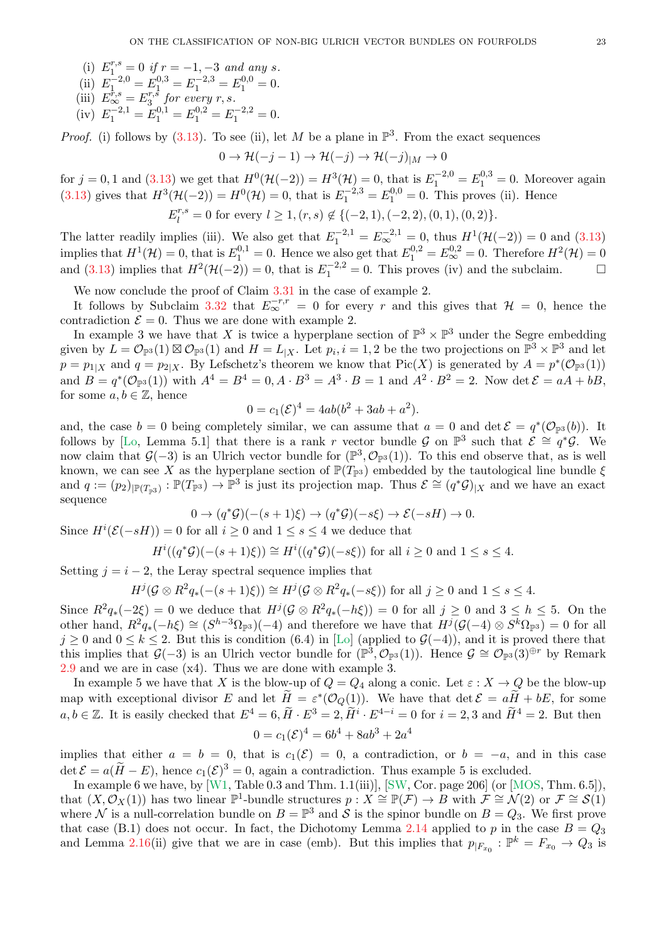- <span id="page-22-0"></span>(i)  $E_1^{r,s} = 0$  if  $r = -1, -3$  and any s.
- (ii)  $E_1^{-2,0} = E_1^{0,3} = E_1^{-2,3} = E_1^{0,0} = 0.$
- (iii)  $E_{\infty}^{\dot{r},s} = E_3^{r,\dot{s}}$  $\int_{3}^{r,s}$  for every r, s.
- (iv)  $E_1^{-2,1} = E_1^{0,1} = E_1^{0,2} = E_1^{-2,2} = 0.$

*Proof.* (i) follows by  $(3.13)$ . To see (ii), let M be a plane in  $\mathbb{P}^3$ . From the exact sequences

$$
0 \to \mathcal{H}(-j-1) \to \mathcal{H}(-j) \to \mathcal{H}(-j)_{|M} \to 0
$$

for  $j = 0, 1$  and  $(3.13)$  we get that  $H^0(\mathcal{H}(-2)) = H^3(\mathcal{H}) = 0$ , that is  $E_1^{-2,0} = E_1^{0,3} = 0$ . Moreover again [\(3.13\)](#page-21-0) gives that  $H^3(\mathcal{H}(-2)) = H^0(\mathcal{H}) = 0$ , that is  $E_1^{-2,3} = E_1^{0,0} = 0$ . This proves (ii). Hence r,s

$$
E_l^{r,s} = 0 \text{ for every } l \ge 1, (r,s) \notin \{(-2,1), (-2,2), (0,1), (0,2)\}.
$$

The latter readily implies (iii). We also get that  $E_1^{-2,1} = E_{\infty}^{-2,1} = 0$ , thus  $H^1(\mathcal{H}(-2)) = 0$  and [\(3.13\)](#page-21-0) implies that  $H^1(\mathcal{H}) = 0$ , that is  $E_1^{0,1} = 0$ . Hence we also get that  $E_1^{0,2} = E_{\infty}^{0,2} = 0$ . Therefore  $H^2(\mathcal{H}) = 0$ and [\(3.13\)](#page-21-0) implies that  $H^2(\mathcal{H}(-2)) = 0$ , that is  $E_1^{-2,2} = 0$ . This proves (iv) and the subclaim.  $\square$ 

We now conclude the proof of Claim [3.31](#page-21-1) in the case of example 2.

It follows by Subclaim [3.32](#page-21-2) that  $E_{\infty}^{-r,r} = 0$  for every r and this gives that  $\mathcal{H} = 0$ , hence the contradiction  $\mathcal{E} = 0$ . Thus we are done with example 2.

In example 3 we have that X is twice a hyperplane section of  $\mathbb{P}^3 \times \mathbb{P}^3$  under the Segre embedding given by  $L = \mathcal{O}_{\mathbb{P}^3}(1) \boxtimes \mathcal{O}_{\mathbb{P}^3}(1)$  and  $H = L_{|X}$ . Let  $p_i, i = 1, 2$  be the two projections on  $\mathbb{P}^3 \times \mathbb{P}^3$  and let  $p = p_{1|X}$  and  $q = p_{2|X}$ . By Lefschetz's theorem we know that  $Pic(X)$  is generated by  $A = p^*(\mathcal{O}_{\mathbb{P}^3}(1))$ and  $B = q^*(\mathcal{O}_{\mathbb{P}^3}(1))$  with  $A^4 = B^4 = 0, A \cdot B^3 = A^3 \cdot B = 1$  and  $A^2 \cdot B^2 = 2$ . Now det  $\mathcal{E} = aA + bB$ , for some  $a, b \in \mathbb{Z}$ , hence

$$
0 = c_1(\mathcal{E})^4 = 4ab(b^2 + 3ab + a^2).
$$

and, the case  $b = 0$  being completely similar, we can assume that  $a = 0$  and  $\det \mathcal{E} = q^*(\mathcal{O}_{\mathbb{P}^3}(b))$ . It follows by [\[Lo,](#page-29-3) Lemma 5.1] that there is a rank r vector bundle G on  $\mathbb{P}^3$  such that  $\mathcal{E} \cong q^*\mathcal{G}$ . We now claim that  $\mathcal{G}(-3)$  is an Ulrich vector bundle for  $(\mathbb{P}^3, \mathcal{O}_{\mathbb{P}^3}(1))$ . To this end observe that, as is well known, we can see X as the hyperplane section of  $\mathbb{P}(T_{\mathbb{P}^3})$  embedded by the tautological line bundle  $\xi$ and  $q := (p_2)_{\vert \mathbb{P}(T_{\mathbb{P}^3})}: \mathbb{P}(T_{\mathbb{P}^3}) \to \mathbb{P}^3$  is just its projection map. Thus  $\mathcal{E} \cong (q^*\mathcal{G})_{\vert X}$  and we have an exact sequence

$$
0 \to (q^*\mathcal{G})(-(s+1)\xi) \to (q^*\mathcal{G})(-s\xi) \to \mathcal{E}(-sH) \to 0.
$$

Since  $H^{i}(\mathcal{E}(-sH))=0$  for all  $i\geq 0$  and  $1\leq s\leq 4$  we deduce that

$$
H^{i}((q^{\ast}\mathcal{G})(-(s+1)\xi)) \cong H^{i}((q^{\ast}\mathcal{G})(-s\xi))
$$
 for all  $i \ge 0$  and  $1 \le s \le 4$ .

Setting  $j = i - 2$ , the Leray spectral sequence implies that

$$
H^j(\mathcal{G}\otimes R^2q_*(-(s+1)\xi))\cong H^j(\mathcal{G}\otimes R^2q_*(-s\xi))\text{ for all }j\geq 0\text{ and }1\leq s\leq 4.
$$

Since  $R^2q_*(-2\xi) = 0$  we deduce that  $H^j(\mathcal{G} \otimes R^2q_*(-h\xi)) = 0$  for all  $j \geq 0$  and  $3 \leq h \leq 5$ . On the other hand,  $R^2 q_*(-h\xi) \cong (S^{h-3}\Omega_{\mathbb{P}^3})(-4)$  and therefore we have that  $H^j(\mathcal{G}(-4) \otimes S^k \Omega_{\mathbb{P}^3}) = 0$  for all  $j \geq 0$  and  $0 \leq k \leq 2$ . But this is condition (6.4) in [\[Lo\]](#page-29-3) (applied to  $\mathcal{G}(-4)$ ), and it is proved there that this implies that  $\mathcal{G}(-3)$  is an Ulrich vector bundle for  $(\mathbb{P}^3, \mathcal{O}_{\mathbb{P}^3}(1))$ . Hence  $\mathcal{G} \cong \mathcal{O}_{\mathbb{P}^3}(3)^{\oplus r}$  by Remark [2.9](#page-3-1) and we are in case (x4). Thus we are done with example 3.

In example 5 we have that X is the blow-up of  $Q = Q_4$  along a conic. Let  $\varepsilon : X \to Q$  be the blow-up map with exceptional divisor E and let  $H = \varepsilon^*(\mathcal{O}_Q(1))$ . We have that  $\det \mathcal{E} = aH + bE$ , for some  $a, b \in \mathbb{Z}$ . It is easily checked that  $E^4 = 6$ ,  $\widetilde{H} \cdot E^3 = 2$ ,  $\widetilde{H}^i \cdot E^{4-i} = 0$  for  $i = 2, 3$  and  $\widetilde{H}^4 = 2$ . But then

$$
0 = c_1(\mathcal{E})^4 = 6b^4 + 8ab^3 + 2a^4
$$

implies that either  $a = b = 0$ , that is  $c_1(\mathcal{E}) = 0$ , a contradiction, or  $b = -a$ , and in this case det  $\mathcal{E} = a(\tilde{H} - E)$ , hence  $c_1(\mathcal{E})^3 = 0$ , again a contradiction. Thus example 5 is excluded.

In example 6 we have, by  $[\widetilde{W1}, \text{Table 0.3 and Thm. 1.1(iii)}], [\text{SW, Cor. page 206}]$  (or  $[\text{MOS, Thm. 6.5}]),$ that  $(X, \mathcal{O}_X(1))$  has two linear  $\mathbb{P}^1$ -bundle structures  $p : X \cong \mathbb{P}(\mathcal{F}) \to B$  with  $\mathcal{F} \cong \mathcal{N}(2)$  or  $\mathcal{F} \cong \mathcal{S}(1)$ where N is a null-correlation bundle on  $B = \mathbb{P}^3$  and S is the spinor bundle on  $B = Q_3$ . We first prove that case (B.1) does not occur. In fact, the Dichotomy Lemma [2.14](#page-4-0) applied to p in the case  $B = Q_3$ and Lemma [2.16\(](#page-4-2)ii) give that we are in case (emb). But this implies that  $p_{F_{x_0}} : \mathbb{P}^k = F_{x_0} \to Q_3$  is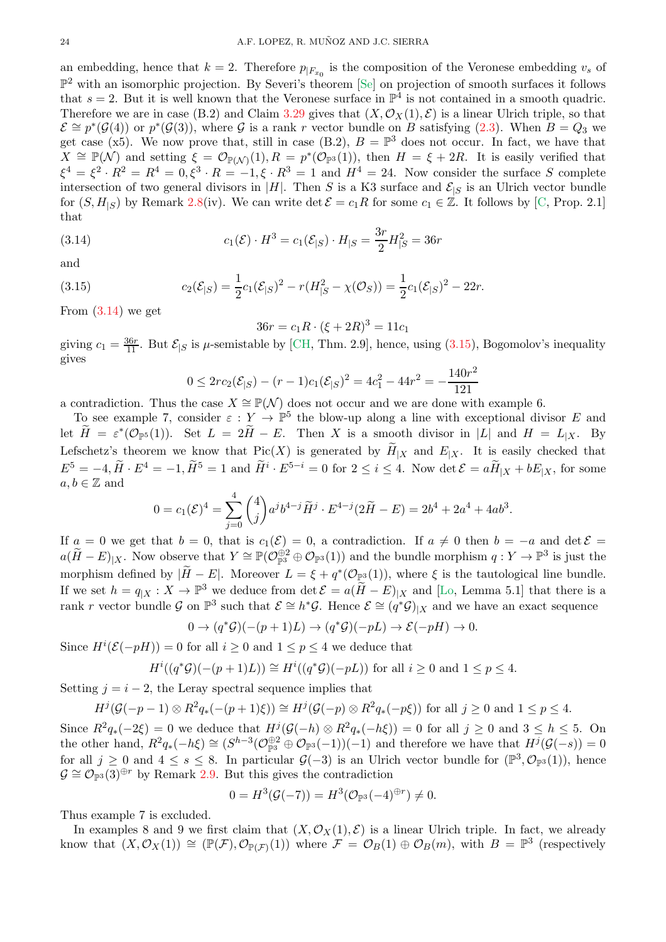<span id="page-23-2"></span>an embedding, hence that  $k = 2$ . Therefore  $p_{|F_{x_0}|}$  is the composition of the Veronese embedding  $v_s$  of  $\mathbb{P}^2$  with an isomorphic projection. By Severi's theorem [\[Se\]](#page-30-6) on projection of smooth surfaces it follows that  $s = 2$ . But it is well known that the Veronese surface in  $\mathbb{P}^4$  is not contained in a smooth quadric. Therefore we are in case (B.2) and Claim [3.29](#page-19-1) gives that  $(X, \mathcal{O}_X(1), \mathcal{E})$  is a linear Ulrich triple, so that  $\mathcal{E} \cong p^*(\mathcal{G}(4))$  or  $p^*(\mathcal{G}(3))$ , where G is a rank r vector bundle on B satisfying [\(2.3\)](#page-4-5). When  $B = Q_3$  we get case (x5). We now prove that, still in case (B.2),  $B = \mathbb{P}^3$  does not occur. In fact, we have that  $X \cong \mathbb{P}(\mathcal{N})$  and setting  $\xi = \mathcal{O}_{\mathbb{P}(\mathcal{N})}(1), R = p^*(\mathcal{O}_{\mathbb{P}^3}(1)),$  then  $H = \xi + 2R$ . It is easily verified that  $\xi^4 = \xi^2 \cdot R^2 = R^4 = 0, \xi^3 \cdot R = -1, \xi \cdot R^3 = 1$  and  $H^4 = 24$ . Now consider the surface S complete intersection of two general divisors in |H|. Then S is a K3 surface and  $\mathcal{E}_{|S}$  is an Ulrich vector bundle for  $(S, H_{\leq S})$  by Remark [2.8\(](#page-3-3)iv). We can write det  $\mathcal{E} = c_1 R$  for some  $c_1 \in \mathbb{Z}$ . It follows by [\[C,](#page-29-29) Prop. 2.1] that

(3.14) 
$$
c_1(\mathcal{E}) \cdot H^3 = c_1(\mathcal{E}_{|S}) \cdot H_{|S} = \frac{3r}{2} H_{|S}^2 = 36r
$$

and

(3.15) 
$$
c_2(\mathcal{E}_{|S}) = \frac{1}{2}c_1(\mathcal{E}_{|S})^2 - r(H_{|S}^2 - \chi(\mathcal{O}_S)) = \frac{1}{2}c_1(\mathcal{E}_{|S})^2 - 22r.
$$

From  $(3.14)$  we get

<span id="page-23-1"></span><span id="page-23-0"></span>
$$
36r = c_1 R \cdot (\xi + 2R)^3 = 11c_1
$$

giving  $c_1 = \frac{36r}{11}$ . But  $\mathcal{E}_{|S}$  is  $\mu$ -semistable by [\[CH,](#page-29-30) Thm. 2.9], hence, using [\(3.15\)](#page-23-1), Bogomolov's inequality gives

$$
0 \le 2rc_2(\mathcal{E}_{|S}) - (r-1)c_1(\mathcal{E}_{|S})^2 = 4c_1^2 - 44r^2 = -\frac{140r^2}{121}
$$

a contradiction. Thus the case  $X \cong \mathbb{P}(\mathcal{N})$  does not occur and we are done with example 6.

To see example 7, consider  $\varepsilon : Y \to \mathbb{P}^5$  the blow-up along a line with exceptional divisor E and let  $\widetilde{H} = \varepsilon^*(\mathcal{O}_{\mathbb{P}^5}(1))$ . Set  $L = 2\widetilde{H} - E$ . Then X is a smooth divisor in |L| and  $H = L_{|X}$ . By Lefschetz's theorem we know that  $Pic(X)$  is generated by  $H_{|X}$  and  $E_{|X}$ . It is easily checked that  $E^5 = -4$ ,  $H \cdot E^4 = -1$ ,  $H^5 = 1$  and  $H^i \cdot E^{5-i} = 0$  for  $2 \le i \le 4$ . Now  $\det \mathcal{E} = aH_{|X} + bE_{|X}$ , for some  $a, b \in \mathbb{Z}$  and

$$
0 = c_1(\mathcal{E})^4 = \sum_{j=0}^4 {4 \choose j} a^j b^{4-j} \widetilde{H}^j \cdot E^{4-j} (2\widetilde{H} - E) = 2b^4 + 2a^4 + 4ab^3.
$$

If  $a = 0$  we get that  $b = 0$ , that is  $c_1(\mathcal{E}) = 0$ , a contradiction. If  $a \neq 0$  then  $b = -a$  and  $\det \mathcal{E} =$  $a(\widetilde{H}-E)_{|X}$ . Now observe that  $Y \cong \mathbb{P}(\mathcal{O}_{\mathbb{P}^3}^{\oplus 2} \oplus \mathcal{O}_{\mathbb{P}^3}(1))$  and the bundle morphism  $q: Y \to \mathbb{P}^3$  is just the morphism defined by  $|\tilde{H}-E|$ . Moreover  $L = \xi + q^*(\mathcal{O}_{\mathbb{R}^3}(1))$ , where  $\xi$  is the tautological line bundle. If we set  $h = q_{|X}: X \to \mathbb{P}^3$  we deduce from  $\det \mathcal{E} = a(\widetilde{H} - E)_{|X}$  and [\[Lo,](#page-29-3) Lemma 5.1] that there is a rank r vector bundle G on  $\mathbb{P}^3$  such that  $\mathcal{E} \cong h^*\mathcal{G}$ . Hence  $\mathcal{E} \cong (q^*\mathcal{G})_{|X}$  and we have an exact sequence

$$
0 \to (q^*\mathcal{G})(-(p+1)L) \to (q^*\mathcal{G})(-pL) \to \mathcal{E}(-pH) \to 0.
$$

Since  $H^{i}(\mathcal{E}(-pH)) = 0$  for all  $i \geq 0$  and  $1 \leq p \leq 4$  we deduce that

$$
H^{i}((q^*\mathcal{G})(-(p+1)L)) \cong H^{i}((q^*\mathcal{G})(-pL))
$$
 for all  $i \ge 0$  and  $1 \le p \le 4$ .

Setting  $j = i - 2$ , the Leray spectral sequence implies that

$$
H^j(\mathcal{G}(-p-1)\otimes R^2q*(-(p+1)\xi))\cong H^j(\mathcal{G}(-p)\otimes R^2q*(-p\xi))\text{ for all }j\geq 0\text{ and }1\leq p\leq 4.
$$

Since  $R^2q_*(-2\xi) = 0$  we deduce that  $H^j(\mathcal{G}(-h) \otimes R^2q_*(-h\xi)) = 0$  for all  $j \geq 0$  and  $3 \leq h \leq 5$ . On the other hand,  $R^2 q_*(-h\xi) \cong (S^{h-3}(\mathcal{O}_{\mathbb{P}^3}^{\oplus 2} \oplus \mathcal{O}_{\mathbb{P}^3}(-1))(-1)$  and therefore we have that  $H^j(\mathcal{G}(-s)) = 0$ for all  $j \geq 0$  and  $4 \leq s \leq 8$ . In particular  $\mathcal{G}(-3)$  is an Ulrich vector bundle for  $(\mathbb{P}^3, \mathcal{O}_{\mathbb{P}^3}(1))$ , hence  $\mathcal{G} \cong \mathcal{O}_{\mathbb{P}^3}(3)^{\oplus r}$  by Remark [2.9.](#page-3-1) But this gives the contradiction

$$
0 = H^3(\mathcal{G}(-7)) = H^3(\mathcal{O}_{\mathbb{P}^3}(-4)^{\oplus r}) \neq 0.
$$

Thus example 7 is excluded.

In examples 8 and 9 we first claim that  $(X, \mathcal{O}_X(1), \mathcal{E})$  is a linear Ulrich triple. In fact, we already know that  $(X, \mathcal{O}_X(1)) \cong (\mathbb{P}(\mathcal{F}), \mathcal{O}_{\mathbb{P}(\mathcal{F})}(1))$  where  $\mathcal{F} = \mathcal{O}_B(1) \oplus \mathcal{O}_B(m)$ , with  $B = \mathbb{P}^3$  (respectively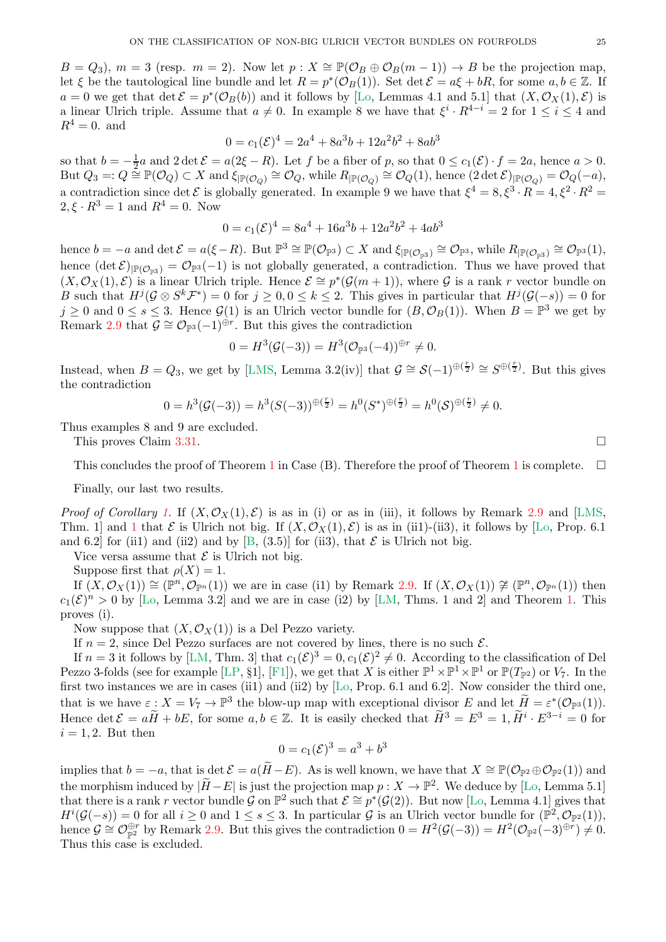<span id="page-24-0"></span> $B = Q_3$ ,  $m = 3$  (resp.  $m = 2$ ). Now let  $p : X \cong \mathbb{P}(\mathcal{O}_B \oplus \mathcal{O}_B(m-1)) \to B$  be the projection map, let  $\xi$  be the tautological line bundle and let  $R = p^*(\mathcal{O}_B(1))$ . Set det  $\mathcal{E} = a\xi + bR$ , for some  $a, b \in \mathbb{Z}$ . If  $a = 0$  we get that  $\det \mathcal{E} = p^*(\mathcal{O}_B(b))$  and it follows by [\[Lo,](#page-29-3) Lemmas 4.1 and 5.1] that  $(X, \mathcal{O}_X(1), \mathcal{E})$  is a linear Ulrich triple. Assume that  $a \neq 0$ . In example 8 we have that  $\xi^i \cdot R^{4-i} = 2$  for  $1 \leq i \leq 4$  and  $R^4=0$ . and

$$
0 = c_1(\mathcal{E})^4 = 2a^4 + 8a^3b + 12a^2b^2 + 8ab^3
$$

so that  $b = -\frac{1}{2}a$  and  $2 \det \mathcal{E} = a(2\xi - R)$ . Let f be a fiber of p, so that  $0 \le c_1(\mathcal{E}) \cdot f = 2a$ , hence  $a > 0$ .  $\text{But } Q_3 =: Q \stackrel{\simeq}{\cong} \mathbb{P}(\mathcal{O}_Q) \subset X \text{ and } \xi_{\vert \mathbb{P}(\mathcal{O}_Q)} \cong \mathcal{O}_Q, \text{while } R_{\vert \mathbb{P}(\mathcal{O}_Q)} \cong \mathcal{O}_Q(1), \text{ hence } (2 \det \mathcal{E})_{\vert \mathbb{P}(\mathcal{O}_Q)} = \mathcal{O}_Q(-a),$ a contradiction since det  $\mathcal E$  is globally generated. In example 9 we have that  $\xi^4 = 8, \xi^3 \cdot R = 4, \xi^2 \cdot R^2 = 8$  $2, \xi \cdot R^3 = 1$  and  $R^4 = 0$ . Now

$$
0 = c_1(\mathcal{E})^4 = 8a^4 + 16a^3b + 12a^2b^2 + 4ab^3
$$

hence  $b = -a$  and  $\det \mathcal{E} = a(\xi - R)$ . But  $\mathbb{P}^3 \cong \mathbb{P}(\mathcal{O}_{\mathbb{P}^3}) \subset X$  and  $\xi_{|\mathbb{P}(\mathcal{O}_{\mathbb{P}^3})} \cong \mathcal{O}_{\mathbb{P}^3}$ , while  $R_{|\mathbb{P}(\mathcal{O}_{\mathbb{P}^3})} \cong \mathcal{O}_{\mathbb{P}^3}(1)$ , hence  $(\det \mathcal{E})_{\mathbb{P}(\mathcal{O}_{\mathbb{P}^3})} = \mathcal{O}_{\mathbb{P}^3}(-1)$  is not globally generated, a contradiction. Thus we have proved that  $(X,\mathcal{O}_X(1),\mathcal{E})$  is a linear Ulrich triple. Hence  $\mathcal{E} \cong p^*(\mathcal{G}(m+1))$ , where  $\mathcal{G}$  is a rank r vector bundle on B such that  $H^j(\mathcal{G} \otimes S^k \mathcal{F}^*) = 0$  for  $j \geq 0, 0 \leq k \leq 2$ . This gives in particular that  $H^j(\mathcal{G}(-s)) = 0$  for  $j \geq 0$  and  $0 \leq s \leq 3$ . Hence  $\mathcal{G}(1)$  is an Ulrich vector bundle for  $(B, \mathcal{O}_B(1))$ . When  $B = \mathbb{P}^3$  we get by Remark [2.9](#page-3-1) that  $\mathcal{G} \cong \mathcal{O}_{\mathbb{P}^3}(-1)^{\oplus r}$ . But this gives the contradiction

$$
0 = H^3(\mathcal{G}(-3)) = H^3(\mathcal{O}_{\mathbb{P}^3}(-4))^{\oplus r} \neq 0.
$$

Instead, when  $B = Q_3$ , we get by [\[LMS,](#page-29-6) Lemma 3.2(iv)] that  $\mathcal{G} \cong \mathcal{S}(-1)^{\oplus(\frac{r}{2})} \cong S^{\oplus(\frac{r}{2})}$ . But this gives the contradiction

$$
0 = h^{3}(\mathcal{G}(-3)) = h^{3}(S(-3))^{\oplus(\frac{r}{2})} = h^{0}(S^{*})^{\oplus(\frac{r}{2})} = h^{0}(S)^{\oplus(\frac{r}{2})} \neq 0.
$$

Thus examples 8 and 9 are excluded.

This proves Claim [3.31.](#page-21-1)

This concludes the proof of Theorem [1](#page-0-0) in Case (B). Therefore the proof of Theorem 1 is complete.  $\square$ 

Finally, our last two results.

*Proof of Corollary [1.](#page-2-0)* If  $(X, \mathcal{O}_X(1), \mathcal{E})$  is as in (i) or as in (iii), it follows by Remark [2.9](#page-3-1) and [\[LMS,](#page-29-6) Thm. [1](#page-0-0)] and 1 that  $\mathcal E$  is Ulrich not big. If  $(X, \mathcal O_X(1), \mathcal E)$  is as in (ii1)-(ii3), it follows by [\[Lo,](#page-29-3) Prop. 6.1] and 6.2 for (ii1) and (ii2) and by [\[B,](#page-28-0)  $(3.5)$ ] for (ii3), that  $\mathcal E$  is Ulrich not big.

Vice versa assume that  $\mathcal E$  is Ulrich not big.

Suppose first that  $\rho(X) = 1$ .

If  $(X, \mathcal{O}_X(1)) \cong (\mathbb{P}^n, \mathcal{O}_{\mathbb{P}^n}(1))$  we are in case (i1) by Remark [2.9.](#page-3-1) If  $(X, \mathcal{O}_X(1)) \ncong (\mathbb{P}^n, \mathcal{O}_{\mathbb{P}^n}(1))$  then  $c_1(\mathcal{E})^n > 0$  by [\[Lo,](#page-29-3) Lemma 3.2] and we are in case (i2) by [\[LM,](#page-29-4) Thms. 1 and 2] and Theorem [1.](#page-0-0) This proves (i).

Now suppose that  $(X, \mathcal{O}_X(1))$  is a Del Pezzo variety.

If  $n = 2$ , since Del Pezzo surfaces are not covered by lines, there is no such  $\mathcal{E}$ .

If  $n=3$  it follows by [\[LM,](#page-29-4) Thm. 3] that  $c_1(\mathcal{E})^3=0, c_1(\mathcal{E})^2\neq 0$ . According to the classification of Del Pezzo 3-folds (see for example [\[LP,](#page-29-9) §1], [\[F1\]](#page-29-14)), we get that X is either  $\mathbb{P}^1 \times \mathbb{P}^1 \times \mathbb{P}^1$  or  $\mathbb{P}(T_{\mathbb{P}^2})$  or  $V_7$ . In the first two instances we are in cases (ii1) and (ii2) by [\[Lo,](#page-29-3) Prop. 6.1 and 6.2]. Now consider the third one, that is we have  $\varepsilon: X = V_7 \to \mathbb{P}^3$  the blow-up map with exceptional divisor E and let  $\widetilde{H} = \varepsilon^*(\mathcal{O}_{\mathbb{P}^3}(1)).$ Hence  $\det \mathcal{E} = a\widetilde{H} + bE$ , for some  $a, b \in \mathbb{Z}$ . It is easily checked that  $\widetilde{H}^3 = E^3 = 1$ ,  $\widetilde{H}^i \cdot E^{3-i} = 0$  for  $i = 1, 2$ . But then

$$
0 = c_1(\mathcal{E})^3 = a^3 + b^3
$$

implies that  $b = -a$ , that is det  $\mathcal{E} = a(\widetilde{H} - E)$ . As is well known, we have that  $X \cong \mathbb{P}(\mathcal{O}_{\mathbb{P}^2} \oplus \mathcal{O}_{\mathbb{P}^2}(1))$  and the morphism induced by  $|\widetilde{H}-E|$  is just the projection map  $p: X \to \mathbb{P}^2$ . We deduce by [\[Lo,](#page-29-3) Lemma 5.1] that there is a rank r vector bundle  $\mathcal{G}$  on  $\mathbb{P}^2$  such that  $\mathcal{E} \cong p^*(\mathcal{G}(2))$ . But now [\[Lo,](#page-29-3) Lemma 4.1] gives that  $H^{i}(\mathcal{G}(-s)) = 0$  for all  $i \geq 0$  and  $1 \leq s \leq 3$ . In particular  $\mathcal{G}$  is an Ulrich vector bundle for  $(\mathbb{P}^{2}, \mathcal{O}_{\mathbb{P}^{2}}(1)),$ hence  $\mathcal{G} \cong \mathcal{O}_{\mathbb{P}^2}^{\oplus r}$  by Remark [2.9.](#page-3-1) But this gives the contradiction  $0 = H^2(\mathcal{G}(-3)) = H^2(\mathcal{O}_{\mathbb{P}^2}(-3)^{\oplus r}) \neq 0$ . Thus this case is excluded.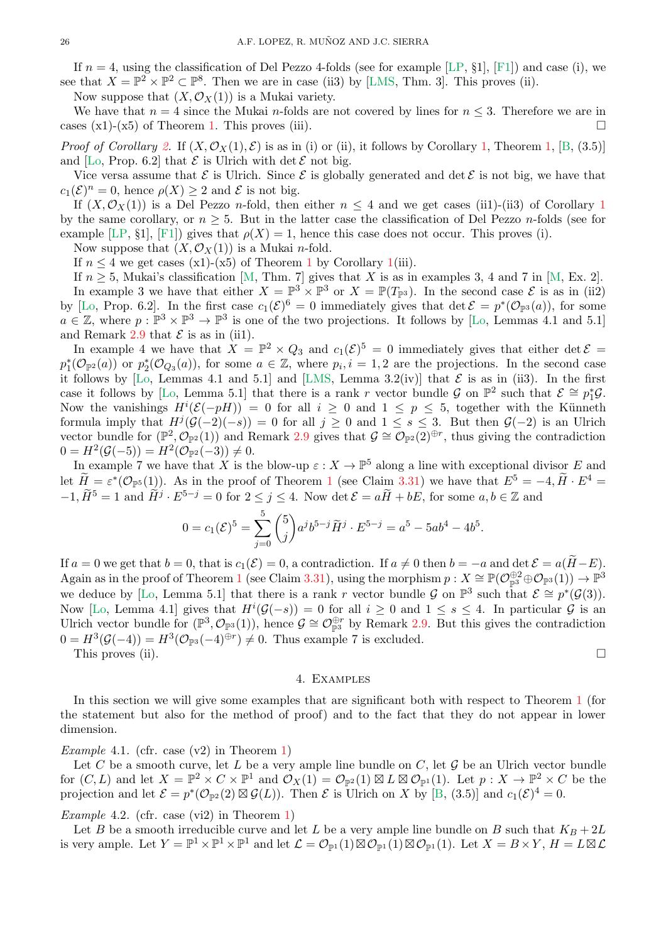<span id="page-25-1"></span>If  $n = 4$ , using the classification of Del Pezzo 4-folds (see for example [\[LP,](#page-29-9) §1], [\[F1\]](#page-29-14)) and case (i), we see that  $X = \mathbb{P}^2 \times \mathbb{P}^2 \subset \mathbb{P}^8$ . Then we are in case (ii3) by [\[LMS,](#page-29-6) Thm. 3]. This proves (ii).

Now suppose that  $(X, \mathcal{O}_X(1))$  is a Mukai variety.

We have that  $n = 4$  since the Mukai n-folds are not covered by lines for  $n \leq 3$ . Therefore we are in cases  $(x1)-(x5)$  of Theorem [1.](#page-0-0) This proves (iii).

*Proof of Corollary* [2.](#page-2-1) If  $(X, \mathcal{O}_X(1), \mathcal{E})$  is as in (i) or (ii), it follows by Corollary [1,](#page-0-0) Theorem 1, [\[B,](#page-28-0) (3.5)] and [\[Lo,](#page-29-3) Prop. 6.2] that  $\mathcal E$  is Ulrich with det  $\mathcal E$  not big.

Vice versa assume that  $\mathcal E$  is Ulrich. Since  $\mathcal E$  is globally generated and det  $\mathcal E$  is not big, we have that  $c_1(\mathcal{E})^n = 0$ , hence  $\rho(X) \geq 2$  and  $\mathcal E$  is not big.

If  $(X, \mathcal{O}_X(1))$  $(X, \mathcal{O}_X(1))$  $(X, \mathcal{O}_X(1))$  is a Del Pezzo *n*-fold, then either  $n \leq 4$  and we get cases (ii1)-(ii3) of Corollary 1 by the same corollary, or  $n \geq 5$ . But in the latter case the classification of Del Pezzo *n*-folds (see for example [\[LP,](#page-29-9) §1], [\[F1\]](#page-29-14)) gives that  $\rho(X) = 1$ , hence this case does not occur. This proves (i).

Now suppose that  $(X, \mathcal{O}_X(1))$  is a Mukai *n*-fold.

If  $n \leq 4$  we get cases (x[1](#page-0-0))-(x5) of Theorem 1 by Corollary [1\(](#page-2-0)iii).

If  $n \geq 5$ , Mukai's classification [\[M,](#page-29-25) Thm. 7] gives that X is as in examples 3, 4 and 7 in [M, Ex. 2]. In example 3 we have that either  $X = \mathbb{P}^3 \times \mathbb{P}^3$  or  $X = \mathbb{P}(T_{\mathbb{P}^3})$ . In the second case  $\mathcal{E}$  is as in (ii2) by [\[Lo,](#page-29-3) Prop. 6.2]. In the first case  $c_1(\mathcal{E})^6 = 0$  immediately gives that  $\det \mathcal{E} = p^*(\mathcal{O}_{\mathbb{P}^3}(a))$ , for some  $a \in \mathbb{Z}$ , where  $p : \mathbb{P}^3 \times \mathbb{P}^3 \to \mathbb{P}^3$  is one of the two projections. It follows by [\[Lo,](#page-29-3) Lemmas 4.1 and 5.1] and Remark [2.9](#page-3-1) that  $\mathcal E$  is as in (ii1).

In example 4 we have that  $X = \mathbb{P}^2 \times Q_3$  and  $c_1(\mathcal{E})^5 = 0$  immediately gives that either det  $\mathcal{E} =$  $p_1^*(\mathcal{O}_{\mathbb{P}^2}(a))$  or  $p_2^*(\mathcal{O}_{Q_3}(a))$ , for some  $a \in \mathbb{Z}$ , where  $p_i, i = 1, 2$  are the projections. In the second case it follows by [\[Lo,](#page-29-3) Lemmas 4.1 and 5.1] and [\[LMS,](#page-29-6) Lemma 3.2(iv)] that  $\mathcal E$  is as in (ii3). In the first case it follows by [\[Lo,](#page-29-3) Lemma 5.1] that there is a rank r vector bundle G on  $\mathbb{P}^2$  such that  $\mathcal{E} \cong p_1^*\mathcal{G}$ . Now the vanishings  $H^{i}(\mathcal{E}(-pH)) = 0$  for all  $i \geq 0$  and  $1 \leq p \leq 5$ , together with the Künneth formula imply that  $H^j(\mathcal{G}(-2)(-s)) = 0$  for all  $j \geq 0$  and  $1 \leq s \leq 3$ . But then  $\mathcal{G}(-2)$  is an Ulrich vector bundle for  $(\mathbb{P}^2, \mathcal{O}_{\mathbb{P}^2}(1))$  and Remark [2.9](#page-3-1) gives that  $\mathcal{G} \cong \mathcal{O}_{\mathbb{P}^2}(2)^{\oplus r}$ , thus giving the contradiction  $0 = H^2(\mathcal{G}(-5)) = H^2(\mathcal{O}_{\mathbb{P}^2}(-3)) \neq 0.$ 

In example 7 we have that X is the blow-up  $\varepsilon: X \to \mathbb{P}^5$  along a line with exceptional divisor E and let  $\widetilde{H} = \varepsilon^*(\mathcal{O}_{\mathbb{P}^5}(1))$  $\widetilde{H} = \varepsilon^*(\mathcal{O}_{\mathbb{P}^5}(1))$  $\widetilde{H} = \varepsilon^*(\mathcal{O}_{\mathbb{P}^5}(1))$ . As in the proof of Theorem 1 (see Claim [3.31\)](#page-21-1) we have that  $E^5 = -4$ ,  $\widetilde{H} \cdot E^4 =$  $-1, \widetilde{H}^5 = 1$  and  $\widetilde{H}^j \cdot E^{5-j} = 0$  for  $2 \le j \le 4$ . Now  $\det \mathcal{E} = a\widetilde{H} + bE$ , for some  $a, b \in \mathbb{Z}$  and

$$
0 = c_1(\mathcal{E})^5 = \sum_{j=0}^5 {5 \choose j} a^j b^{5-j} \widetilde{H}^j \cdot E^{5-j} = a^5 - 5ab^4 - 4b^5
$$

.

If  $a = 0$  we get that  $b = 0$ , that is  $c_1(\mathcal{E}) = 0$ , a contradiction. If  $a \neq 0$  then  $b = -a$  and  $\det \mathcal{E} = a(\widetilde{H} - E)$ . Again as in the proof of Theorem [1](#page-0-0) (see Claim [3.31\)](#page-21-1), using the morphism  $p: X \cong \mathbb{P}(\mathcal{O}_{\mathbb{P}^3}^{\oplus 2} \oplus \mathcal{O}_{\mathbb{P}^3}(1)) \to \mathbb{P}^3$ we deduce by [\[Lo,](#page-29-3) Lemma 5.1] that there is a rank r vector bundle G on  $\mathbb{P}^3$  such that  $\mathcal{E} \cong p^*(\mathcal{G}(3))$ . Now [\[Lo,](#page-29-3) Lemma 4.1] gives that  $H^{i}(\mathcal{G}(-s)) = 0$  for all  $i \geq 0$  and  $1 \leq s \leq 4$ . In particular  $\mathcal{G}$  is an Ulrich vector bundle for  $(\mathbb{P}^3, \mathcal{O}_{\mathbb{P}^3}(1))$ , hence  $\mathcal{G} \cong \mathcal{O}_{\mathbb{P}^3}^{\oplus r}$  by Remark [2.9.](#page-3-1) But this gives the contradiction  $0 = H^3(\mathcal{G}(-4)) = H^3(\mathcal{O}_{\mathbb{P}^3}(-4)^{\oplus r}) \neq 0$ . Thus example 7 is excluded.

This proves (ii).  $\Box$ 

#### 4. Examples

In this section we will give some examples that are significant both with respect to Theorem [1](#page-0-0) (for the statement but also for the method of proof) and to the fact that they do not appear in lower dimension.

# <span id="page-25-0"></span>*Example* 4.1*.* (cfr. case (v2) in Theorem [1\)](#page-0-0)

Let C be a smooth curve, let L be a very ample line bundle on C, let G be an Ulrich vector bundle for  $(C, L)$  and let  $X = \mathbb{P}^2 \times C \times \mathbb{P}^1$  and  $\mathcal{O}_X(1) = \mathcal{O}_{\mathbb{P}^2}(1) \boxtimes L \boxtimes \mathcal{O}_{\mathbb{P}^1}(1)$ . Let  $p: X \to \mathbb{P}^2 \times C$  be the projection and let  $\mathcal{E} = p^*(\mathcal{O}_{\mathbb{P}^2}(2) \boxtimes \mathcal{G}(L))$ . Then  $\mathcal{E}$  is Ulrich on X by [\[B,](#page-28-0) (3.5)] and  $c_1(\mathcal{E})^4 = 0$ .

#### *Example* 4.2*.* (cfr. case (vi2) in Theorem [1\)](#page-0-0)

Let B be a smooth irreducible curve and let L be a very ample line bundle on B such that  $K_B + 2L$ is very ample. Let  $Y = \mathbb{P}^1 \times \mathbb{P}^1 \times \mathbb{P}^1$  and let  $\mathcal{L} = \mathcal{O}_{\mathbb{P}^1}(1) \boxtimes \mathcal{O}_{\mathbb{P}^1}(1) \boxtimes \mathcal{O}_{\mathbb{P}^1}(1)$ . Let  $X = B \times Y$ ,  $H = L \boxtimes \mathcal{L}$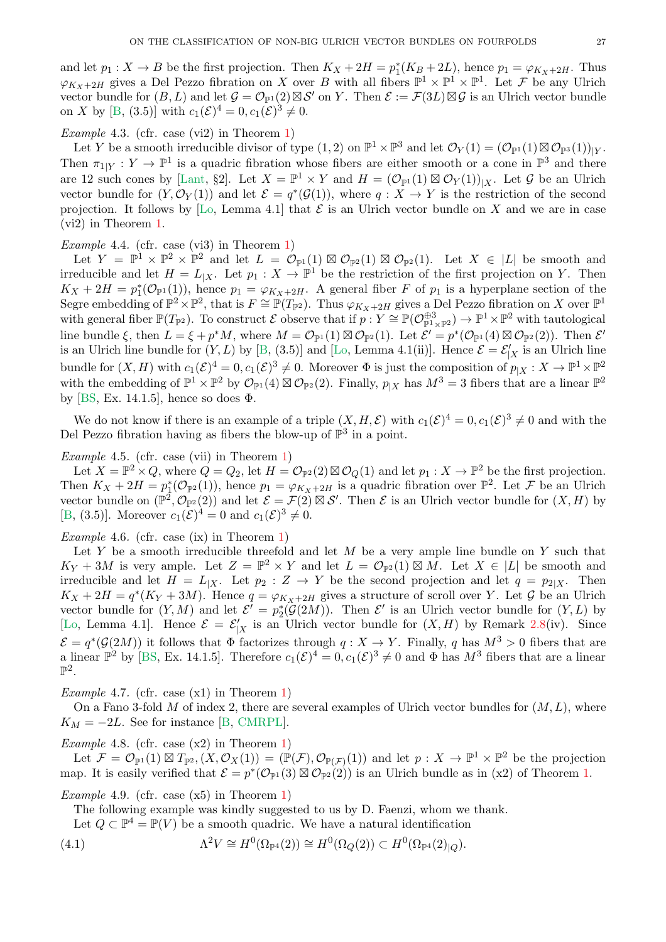<span id="page-26-1"></span>and let  $p_1: X \to B$  be the first projection. Then  $K_X + 2H = p_1^*(K_B + 2L)$ , hence  $p_1 = \varphi_{K_X + 2H}$ . Thus  $\varphi_{K_X+2H}$  gives a Del Pezzo fibration on X over B with all fibers  $\mathbb{P}^1 \times \mathbb{P}^1 \times \mathbb{P}^1$ . Let F be any Ulrich vector bundle for  $(B, L)$  and let  $\mathcal{G} = \mathcal{O}_{\mathbb{P}^1}(2) \boxtimes \mathcal{S}'$  on Y. Then  $\mathcal{E} := \mathcal{F}(3L) \boxtimes \mathcal{G}$  is an Ulrich vector bundle on X by [\[B,](#page-28-0) (3.5)] with  $c_1(\mathcal{E})^4 = 0, c_1(\mathcal{E})^3 \neq 0$ .

# *Example* 4.3*.* (cfr. case (vi2) in Theorem [1\)](#page-0-0)

Let Y be a smooth irreducible divisor of type  $(1, 2)$  on  $\mathbb{P}^1 \times \mathbb{P}^3$  and let  $\mathcal{O}_Y(1) = (\mathcal{O}_{\mathbb{P}^1}(1) \boxtimes \mathcal{O}_{\mathbb{P}^3}(1))_{|Y}$ . Then  $\pi_{1|Y}: Y \to \mathbb{P}^1$  is a quadric fibration whose fibers are either smooth or a cone in  $\mathbb{P}^3$  and there are 12 such cones by [\[Lant,](#page-29-31) §2]. Let  $X = \mathbb{P}^1 \times Y$  and  $H = (\mathcal{O}_{\mathbb{P}^1}(1) \boxtimes \mathcal{O}_Y(1))_{|X}$ . Let  $\mathcal G$  be an Ulrich vector bundle for  $(Y, \mathcal{O}_Y(1))$  and let  $\mathcal{E} = q^*(\mathcal{G}(1))$ , where  $q: X \to Y$  is the restriction of the second projection. It follows by [\[Lo,](#page-29-3) Lemma 4.1] that  $\mathcal E$  is an Ulrich vector bundle on X and we are in case (vi2) in Theorem [1.](#page-0-0)

### *Example* 4.4*.* (cfr. case (vi3) in Theorem [1\)](#page-0-0)

Let  $Y = \mathbb{P}^1 \times \mathbb{P}^2 \times \mathbb{P}^2$  and let  $L = \mathcal{O}_{\mathbb{P}^1}(1) \boxtimes \mathcal{O}_{\mathbb{P}^2}(1) \boxtimes \mathcal{O}_{\mathbb{P}^2}(1)$ . Let  $X \in |L|$  be smooth and irreducible and let  $H = L_{|X|}$ . Let  $p_1 : X \to \mathbb{P}^1$  be the restriction of the first projection on Y. Then  $K_X + 2H = p_1^*(\mathcal{O}_{\mathbb{P}^1}(1))$ , hence  $p_1 = \varphi_{K_X+2H}$ . A general fiber F of  $p_1$  is a hyperplane section of the Segre embedding of  $\mathbb{P}^2 \times \mathbb{P}^2$ , that is  $F \cong \mathbb{P}(T_{\mathbb{P}^2})$ . Thus  $\varphi_{K_X+2H}$  gives a Del Pezzo fibration on X over  $\mathbb{P}^1$ with general fiber  $\mathbb{P}(T_{\mathbb{P}^2})$ . To construct E observe that if  $p: Y \cong \mathbb{P}(\mathcal{O}_{\mathbb{P}^1 \times \mathbb{P}^2}^{\oplus 3}) \to \mathbb{P}^1 \times \mathbb{P}^2$  with tautological line bundle  $\xi$ , then  $L = \xi + p^*M$ , where  $M = \mathcal{O}_{\mathbb{P}^1}(1) \boxtimes \mathcal{O}_{\mathbb{P}^2}(1)$ . Let  $\mathcal{E}' = p^*(\mathcal{O}_{\mathbb{P}^1}(4) \boxtimes \mathcal{O}_{\mathbb{P}^2}(2))$ . Then  $\mathcal{E}'$ is an Ulrich line bundle for  $(Y, L)$  by [\[B,](#page-28-0) (3.5)] and [\[Lo,](#page-29-3) Lemma 4.1(ii)]. Hence  $\mathcal{E} = \mathcal{E}'_{|X}$  is an Ulrich line bundle for  $(X, H)$  with  $c_1(\mathcal{E})^4 = 0, c_1(\mathcal{E})^3 \neq 0$ . Moreover  $\Phi$  is just the composition of  $p_{|X}: X \to \mathbb{P}^1 \times \mathbb{P}^2$ with the embedding of  $\mathbb{P}^1 \times \mathbb{P}^2$  by  $\mathcal{O}_{\mathbb{P}^1}(4) \boxtimes \mathcal{O}_{\mathbb{P}^2}(2)$ . Finally,  $p_{|X}$  has  $M^3 = 3$  fibers that are a linear  $\mathbb{P}^2$ by [\[BS,](#page-29-5) Ex. 14.1.5], hence so does  $\Phi$ .

We do not know if there is an example of a triple  $(X, H, \mathcal{E})$  with  $c_1(\mathcal{E})^4 = 0, c_1(\mathcal{E})^3 \neq 0$  and with the Del Pezzo fibration having as fibers the blow-up of  $\mathbb{P}^3$  in a point.

# *Example* 4.5*.* (cfr. case (vii) in Theorem [1\)](#page-0-0)

Let  $X = \mathbb{P}^2 \times Q$ , where  $Q = Q_2$ , let  $H = \mathcal{O}_{\mathbb{P}^2}(2) \boxtimes \mathcal{O}_Q(1)$  and let  $p_1 : X \to \mathbb{P}^2$  be the first projection. Then  $K_X + 2H = p_1^*(\mathcal{O}_{\mathbb{P}^2}(1))$ , hence  $p_1 = \varphi_{K_X + 2H}$  is a quadric fibration over  $\mathbb{P}^2$ . Let F be an Ulrich vector bundle on  $(\mathbb{P}^2, \mathcal{O}_{\mathbb{P}^2}(2))$  and let  $\mathcal{E} = \mathcal{F}(2) \boxtimes \mathcal{S}'$ . Then  $\mathcal{E}$  is an Ulrich vector bundle for  $(X, H)$  by [\[B,](#page-28-0) (3.5)]. Moreover  $c_1(\mathcal{E})^4 = 0$  and  $c_1(\mathcal{E})^3 \neq 0$ .

### *Example* 4.6*.* (cfr. case (ix) in Theorem [1\)](#page-0-0)

Let Y be a smooth irreducible threefold and let  $M$  be a very ample line bundle on Y such that  $K_Y + 3M$  is very ample. Let  $Z = \mathbb{P}^2 \times Y$  and let  $L = \mathcal{O}_{\mathbb{P}^2}(1) \boxtimes M$ . Let  $X \in |L|$  be smooth and irreducible and let  $H = L_{X}$ . Let  $p_2 : Z \to Y$  be the second projection and let  $q = p_{2|X}$ . Then  $K_X + 2H = q^*(K_Y + 3M)$ . Hence  $q = \varphi_{K_X + 2H}$  gives a structure of scroll over Y. Let  $\mathcal G$  be an Ulrich vector bundle for  $(Y, M)$  and let  $\mathcal{E}' = p_2^*(\mathcal{G}(2M))$ . Then  $\mathcal{E}'$  is an Ulrich vector bundle for  $(Y, L)$  by [\[Lo,](#page-29-3) Lemma 4.1]. Hence  $\mathcal{E} = \mathcal{E}'_{|X}$  is an Ulrich vector bundle for  $(X, H)$  by Remark [2.8\(](#page-3-3)iv). Since  $\mathcal{E} = q^*(\mathcal{G}(2M))$  it follows that  $\Phi$  factorizes through  $q: X \to Y$ . Finally, q has  $M^3 > 0$  fibers that are a linear  $\mathbb{P}^2$  by [\[BS,](#page-29-5) Ex. 14.1.5]. Therefore  $c_1(\mathcal{E})^4 = 0$ ,  $c_1(\mathcal{E})^3 \neq 0$  and  $\Phi$  has  $M^3$  fibers that are a linear  $\mathbb{P}^2$ .

*Example* 4.7*.* (cfr. case (x1) in Theorem [1\)](#page-0-0)

On a Fano 3-fold M of index 2, there are several examples of Ulrich vector bundles for  $(M, L)$ , where  $K_M = -2L$ . See for instance [\[B,](#page-28-0) [CMRPL\]](#page-29-1).

*Example* 4.8*.* (cfr. case (x2) in Theorem [1\)](#page-0-0)

Let  $\mathcal{F} = \mathcal{O}_{\mathbb{P}^1}(1) \boxtimes T_{\mathbb{P}^2}$ ,  $(X, \mathcal{O}_X(1)) = (\mathbb{P}(\mathcal{F}), \mathcal{O}_{\mathbb{P}(\mathcal{F})}(1))$  and let  $p : X \to \mathbb{P}^1 \times \mathbb{P}^2$  be the projection map. It is easily verified that  $\mathcal{E} = p^*(\mathcal{O}_{\mathbb{P}^1}(3) \boxtimes \mathcal{O}_{\mathbb{P}^2}(2))$  is an Ulrich bundle as in (x2) of Theorem [1.](#page-0-0)

## *Example* 4.9*.* (cfr. case (x5) in Theorem [1\)](#page-0-0)

The following example was kindly suggested to us by D. Faenzi, whom we thank.

<span id="page-26-0"></span>Let  $Q \subset \mathbb{P}^4 = \mathbb{P}(V)$  be a smooth quadric. We have a natural identification

(4.1) 
$$
\Lambda^2 V \cong H^0(\Omega_{\mathbb{P}^4}(2)) \cong H^0(\Omega_Q(2)) \subset H^0(\Omega_{\mathbb{P}^4}(2)|_Q).
$$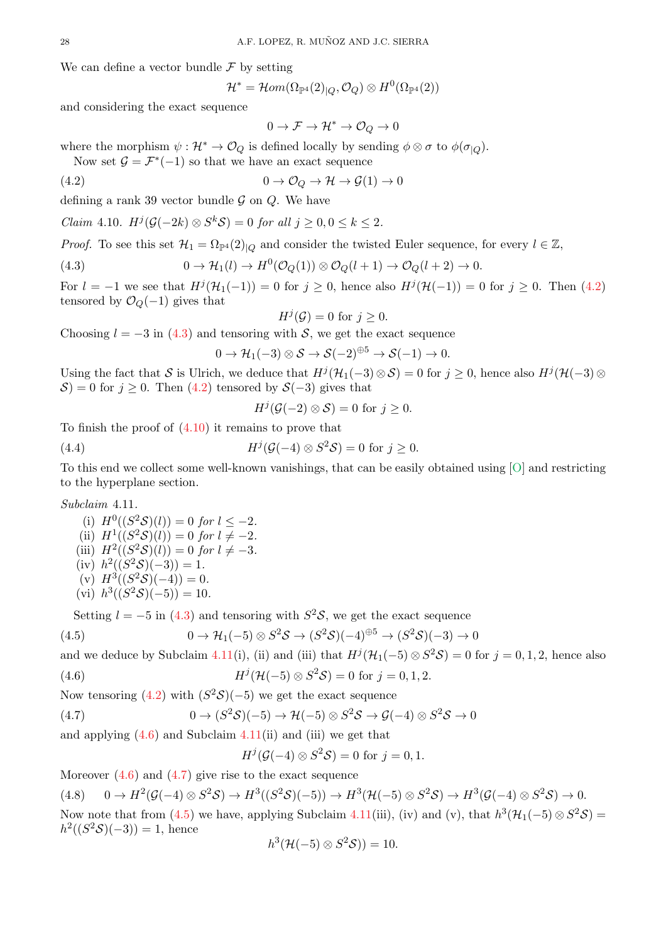<span id="page-27-9"></span>We can define a vector bundle  $\mathcal F$  by setting

$$
\mathcal{H}^*=\mathcal{H}om(\Omega_{\mathbb{P}^4}(2)_{\vert Q},\mathcal{O}_Q)\otimes H^0(\Omega_{\mathbb{P}^4}(2))
$$

and considering the exact sequence

<span id="page-27-0"></span>
$$
0 \to \mathcal{F} \to \mathcal{H}^* \to \mathcal{O}_Q \to 0
$$

where the morphism  $\psi : \mathcal{H}^* \to \mathcal{O}_Q$  is defined locally by sending  $\phi \otimes \sigma$  to  $\phi(\sigma_{|Q})$ .

Now set  $\mathcal{G} = \mathcal{F}^*(-1)$  so that we have an exact sequence

(4.2) 
$$
0 \to \mathcal{O}_Q \to \mathcal{H} \to \mathcal{G}(1) \to 0
$$

defining a rank 39 vector bundle  $\mathcal G$  on  $\mathcal Q$ . We have

<span id="page-27-2"></span>*Claim* 4.10*.*  $H^{j}(\mathcal{G}(-2k) \otimes S^{k}S) = 0$  *for all*  $j \geq 0, 0 \leq k \leq 2$ *.* 

*Proof.* To see this set  $\mathcal{H}_1 = \Omega_{\mathbb{P}^4}(2)_{\mathbb{Q}}$  and consider the twisted Euler sequence, for every  $l \in \mathbb{Z}$ ,

(4.3) 
$$
0 \to \mathcal{H}_1(l) \to H^0(\mathcal{O}_Q(1)) \otimes \mathcal{O}_Q(l+1) \to \mathcal{O}_Q(l+2) \to 0.
$$

For  $l = -1$  we see that  $H^{j}(\mathcal{H}_{1}(-1)) = 0$  for  $j \ge 0$ , hence also  $H^{j}(\mathcal{H}(-1)) = 0$  for  $j \ge 0$ . Then  $(4.2)$ tensored by  $\mathcal{O}_Q(-1)$  gives that

$$
H^j(\mathcal{G}) = 0 \text{ for } j \ge 0.
$$

Choosing  $l = -3$  in [\(4.3\)](#page-27-1) and tensoring with S, we get the exact sequence

<span id="page-27-1"></span>
$$
0 \to \mathcal{H}_1(-3) \otimes \mathcal{S} \to \mathcal{S}(-2)^{\oplus 5} \to \mathcal{S}(-1) \to 0.
$$

Using the fact that S is Ulrich, we deduce that  $H^j(\mathcal{H}_1(-3)\otimes \mathcal{S})=0$  for  $j\geq 0$ , hence also  $H^j(\mathcal{H}(-3)\otimes \mathcal{S})$  $\mathcal{S}$ ) = 0 for j ≥ 0. Then [\(4.2\)](#page-27-0) tensored by  $\mathcal{S}(-3)$  gives that

<span id="page-27-8"></span>
$$
H^j(\mathcal{G}(-2)\otimes \mathcal{S})=0
$$
 for  $j\geq 0$ .

To finish the proof of  $(4.10)$  it remains to prove that

(4.4) 
$$
H^{j}(\mathcal{G}(-4)\otimes S^{2}\mathcal{S})=0 \text{ for } j\geq 0.
$$

To this end we collect some well-known vanishings, that can be easily obtained using [\[O\]](#page-30-0) and restricting to the hyperplane section.

<span id="page-27-3"></span>*Subclaim* 4.11*.*

(i)  $H^0((S^2\mathcal{S})(l)) = 0$  for  $l \leq -2$ . (ii)  $H^1((S^2\mathcal{S})(l)) = 0$  for  $l \neq -2$ . (iii)  $H^2((S^2S)(l)) = 0$  *for*  $l \neq -3$ *.* (iv)  $h^2((S^2S)(-3)) = 1.$ (v)  $H^3((S^2S)(-4)) = 0.$ (vi)  $h^3((S^2S)(-5)) = 10$ .

<span id="page-27-6"></span>Setting  $l = -5$  in [\(4.3\)](#page-27-1) and tensoring with  $S^2S$ , we get the exact sequence

(4.5) 
$$
0 \to \mathcal{H}_1(-5) \otimes S^2 \mathcal{S} \to (S^2 \mathcal{S})(-4)^{\oplus 5} \to (S^2 \mathcal{S})(-3) \to 0
$$

and we deduce by Subclaim [4.11\(](#page-27-3)i), (ii) and (iii) that  $H^j(\mathcal{H}_1(-5) \otimes S^2 \mathcal{S}) = 0$  for  $j = 0, 1, 2$ , hence also

(4.6) 
$$
H^{j}(\mathcal{H}(-5) \otimes S^{2}S) = 0 \text{ for } j = 0, 1, 2.
$$

Now tensoring  $(4.2)$  with  $(S^2S)(-5)$  we get the exact sequence

(4.7) 
$$
0 \to (S^2 \mathcal{S})(-5) \to \mathcal{H}(-5) \otimes S^2 \mathcal{S} \to \mathcal{G}(-4) \otimes S^2 \mathcal{S} \to 0
$$

and applying  $(4.6)$  and Subclaim  $4.11(ii)$  $4.11(ii)$  and (iii) we get that

<span id="page-27-5"></span><span id="page-27-4"></span>
$$
H^j(\mathcal{G}(-4)\otimes S^2\mathcal{S})=0
$$
 for  $j=0,1.$ 

Moreover  $(4.6)$  and  $(4.7)$  give rise to the exact sequence

<span id="page-27-7"></span>(4.8) 
$$
0 \rightarrow H^2(\mathcal{G}(-4) \otimes S^2\mathcal{S}) \rightarrow H^3((S^2\mathcal{S})(-5)) \rightarrow H^3(\mathcal{H}(-5) \otimes S^2\mathcal{S}) \rightarrow H^3(\mathcal{G}(-4) \otimes S^2\mathcal{S}) \rightarrow 0.
$$
 Now note that from (4.5) we have, applying Subclaim 4.11(iii), (iv) and (v), that  $h^3(\mathcal{H}_1(-5) \otimes S^2\mathcal{S}) =$ 

 $h^2((S^2S)(-3)) = 1$ , hence

$$
h^3(\mathcal{H}(-5)\otimes S^2\mathcal{S}))=10.
$$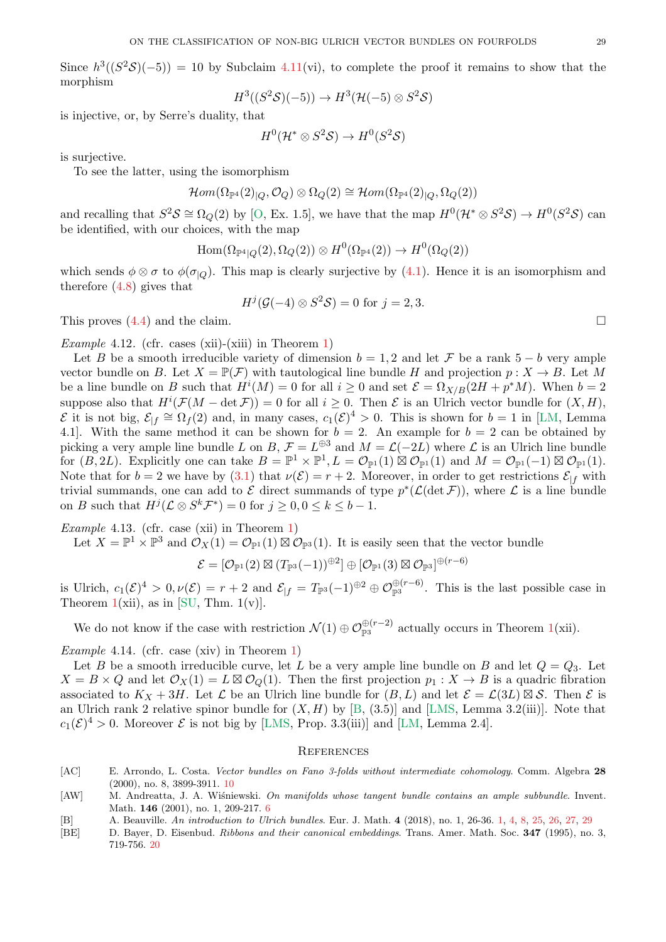<span id="page-28-5"></span>Since  $h^3((S^2S)(-5)) = 10$  by Subclaim [4.11\(](#page-27-3)vi), to complete the proof it remains to show that the morphism

$$
H^3((S^2\mathcal{S})(-5)) \to H^3(\mathcal{H}(-5) \otimes S^2\mathcal{S})
$$

is injective, or, by Serre's duality, that

$$
H^0(\mathcal{H}^* \otimes S^2\mathcal{S}) \to H^0(S^2\mathcal{S})
$$

is surjective.

To see the latter, using the isomorphism

$$
\mathcal{H}om(\Omega_{\mathbb{P}^4}(2)_{|Q},\mathcal{O}_Q)\otimes\Omega_Q(2)\cong\mathcal{H}om(\Omega_{\mathbb{P}^4}(2)_{|Q},\Omega_Q(2))
$$

and recalling that  $S^2S \cong \Omega_Q(2)$  by [\[O,](#page-30-0) Ex. 1.5], we have that the map  $H^0(\mathcal{H}^* \otimes S^2S) \to H^0(S^2S)$  can be identified, with our choices, with the map

$$
\mathrm{Hom}(\Omega_{\mathbb{P}^4|Q}(2),\Omega_Q(2))\otimes H^0(\Omega_{\mathbb{P}^4}(2))\to H^0(\Omega_Q(2))
$$

which sends  $\phi \otimes \sigma$  to  $\phi(\sigma_{|Q})$ . This map is clearly surjective by [\(4.1\)](#page-26-0). Hence it is an isomorphism and therefore [\(4.8\)](#page-27-7) gives that

$$
H^j(\mathcal{G}(-4)\otimes S^2\mathcal{S})=0
$$
 for  $j=2,3$ .

This proves  $(4.4)$  and the claim.

*Example* 4.12*.* (cfr. cases (xii)-(xiii) in Theorem [1\)](#page-0-0)

Let B be a smooth irreducible variety of dimension  $b = 1, 2$  and let F be a rank  $5 - b$  very ample vector bundle on B. Let  $X = \mathbb{P}(\mathcal{F})$  with tautological line bundle H and projection  $p : X \to B$ . Let M be a line bundle on B such that  $H^{i}(M) = 0$  for all  $i \geq 0$  and set  $\mathcal{E} = \Omega_{X/B}(2H + p^{*}M)$ . When  $b = 2$ suppose also that  $H^i(\mathcal{F}(M - \det \mathcal{F})) = 0$  for all  $i \geq 0$ . Then  $\mathcal{E}$  is an Ulrich vector bundle for  $(X, H)$ ,  $\mathcal{E}$  it is not big,  $\mathcal{E}_{|f} \cong \Omega_f(2)$  and, in many cases,  $c_1(\mathcal{E})^4 > 0$ . This is shown for  $b = 1$  in [\[LM,](#page-29-4) Lemma 4.1. With the same method it can be shown for  $b = 2$ . An example for  $b = 2$  can be obtained by picking a very ample line bundle L on B,  $\mathcal{F} = L^{\oplus 3}$  and  $M = \mathcal{L}(-2L)$  where L is an Ulrich line bundle for  $(B, 2L)$ . Explicitly one can take  $B = \mathbb{P}^1 \times \mathbb{P}^1, L = \mathcal{O}_{\mathbb{P}^1}(1) \boxtimes \mathcal{O}_{\mathbb{P}^1}(1)$  and  $M = \mathcal{O}_{\mathbb{P}^1}(-1) \boxtimes \mathcal{O}_{\mathbb{P}^1}(1)$ . Note that for  $b = 2$  we have by  $(3.1)$  that  $\nu(\mathcal{E}) = r + 2$ . Moreover, in order to get restrictions  $\mathcal{E}_{|f}$  with trivial summands, one can add to  $\mathcal E$  direct summands of type  $p^*(\mathcal L(\det \mathcal F))$ , where  $\mathcal L$  is a line bundle on B such that  $H^j(\mathcal{L} \otimes S^k \mathcal{F}^*) = 0$  for  $j \geq 0, 0 \leq k \leq b - 1$ .

*Example* 4.13*.* (cfr. case (xii) in Theorem [1\)](#page-0-0)

Let  $X = \mathbb{P}^1 \times \mathbb{P}^3$  and  $\mathcal{O}_X(1) = \mathcal{O}_{\mathbb{P}^1}(1) \boxtimes \mathcal{O}_{\mathbb{P}^3}(1)$ . It is easily seen that the vector bundle

$$
\mathcal{E}=[\mathcal{O}_{\mathbb{P}^1}(2)\boxtimes(T_{\mathbb{P}^3}(-1))^{\oplus 2}]\oplus[\mathcal{O}_{\mathbb{P}^1}(3)\boxtimes\mathcal{O}_{\mathbb{P}^3}]^{\oplus(r-6)}
$$

is Ulrich,  $c_1(\mathcal{E})^4 > 0, \nu(\mathcal{E}) = r + 2$  and  $\mathcal{E}_{|f} = T_{\mathbb{P}^3}(-1)^{\oplus 2} \oplus \mathcal{O}_{\mathbb{P}^3}^{\oplus (r-6)}$ . This is the last possible case in Theorem  $1(xii)$  $1(xii)$ , as in [\[SU,](#page-30-7) Thm.  $1(v)$ ].

We do not know if the case with restriction  $\mathcal{N}(1) \oplus \mathcal{O}_{\mathbb{P}^3}^{\oplus (r-2)}$  actually occurs in Theorem [1\(](#page-0-0)xii).

<span id="page-28-1"></span>*Example* 4.14*.* (cfr. case (xiv) in Theorem [1\)](#page-0-0)

Let B be a smooth irreducible curve, let L be a very ample line bundle on B and let  $Q = Q_3$ . Let  $X = B \times Q$  and let  $\mathcal{O}_X(1) = L \boxtimes \mathcal{O}_Q(1)$ . Then the first projection  $p_1 : X \to B$  is a quadric fibration associated to  $K_X + 3H$ . Let  $\mathcal L$  be an Ulrich line bundle for  $(B, L)$  and let  $\mathcal E = \mathcal L(3L) \boxtimes \mathcal S$ . Then  $\mathcal E$  is an Ulrich rank 2 relative spinor bundle for  $(X, H)$  by [\[B,](#page-28-0) (3.5)] and [\[LMS,](#page-29-6) Lemma 3.2(iii)]. Note that  $c_1(\mathcal{E})^4 > 0$ . Moreover  $\mathcal E$  is not big by [\[LMS,](#page-29-6) Prop. 3.3(iii)] and [\[LM,](#page-29-4) Lemma 2.4].

#### **REFERENCES**

- <span id="page-28-3"></span>[AC] E. Arrondo, L. Costa. Vector bundles on Fano 3-folds without intermediate cohomology. Comm. Algebra 28 (2000), no. 8, 3899-3911. [10](#page-9-3)
- <span id="page-28-2"></span>[AW] M. Andreatta, J. A. Wiśniewski. On manifolds whose tangent bundle contains an ample subbundle. Invent. Math. 146 (2001), no. 1, 209-217. [6](#page-5-2)
- <span id="page-28-0"></span>[B] A. Beauville. An introduction to Ulrich bundles. Eur. J. Math. 4 (2018), no. 1, 26-36. [1,](#page-0-1) [4,](#page-3-5) [8,](#page-7-5) [25,](#page-24-0) [26,](#page-25-1) [27,](#page-26-1) [29](#page-28-5)
- <span id="page-28-4"></span>[BE] D. Bayer, D. Eisenbud. Ribbons and their canonical embeddings. Trans. Amer. Math. Soc. 347 (1995), no. 3, 719-756. [20](#page-19-2)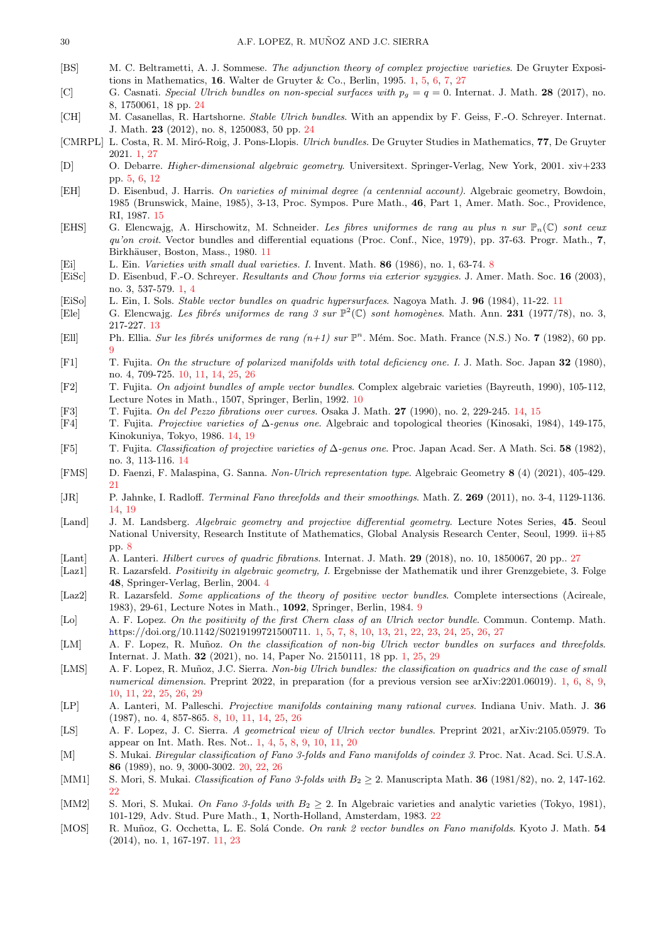- <span id="page-29-5"></span>[BS] M. C. Beltrametti, A. J. Sommese. The adjunction theory of complex projective varieties. De Gruyter Expositions in Mathematics, 16. Walter de Gruyter & Co., Berlin, 1995. [1,](#page-0-1) [5,](#page-4-6) [6,](#page-5-2) [7,](#page-6-2) [27](#page-26-1)
- <span id="page-29-29"></span>[C] G. Casnati. Special Ulrich bundles on non-special surfaces with  $p<sub>g</sub> = q = 0$ . Internat. J. Math. 28 (2017), no. 8, 1750061, 18 pp. [24](#page-23-2)
- <span id="page-29-30"></span>[CH] M. Casanellas, R. Hartshorne. Stable Ulrich bundles. With an appendix by F. Geiss, F.-O. Schreyer. Internat. J. Math. 23 (2012), no. 8, 1250083, 50 pp. [24](#page-23-2)
- <span id="page-29-1"></span>[CMRPL] L. Costa, R. M. Miró-Roig, J. Pons-Llopis. *Ulrich bundles*. De Gruyter Studies in Mathematics, 77, De Gruyter 2021. [1,](#page-0-1) [27](#page-26-1)
- <span id="page-29-8"></span>[D] O. Debarre. Higher-dimensional algebraic geometry. Universitext. Springer-Verlag, New York, 2001. xiv+233 pp. [5,](#page-4-6) [6,](#page-5-2) [12](#page-11-0)
- <span id="page-29-24"></span>[EH] D. Eisenbud, J. Harris. On varieties of minimal degree (a centennial account). Algebraic geometry, Bowdoin, 1985 (Brunswick, Maine, 1985), 3-13, Proc. Sympos. Pure Math., 46, Part 1, Amer. Math. Soc., Providence, RI, 1987. [15](#page-14-2)
- <span id="page-29-17"></span>[EHS] G. Elencwajg, A. Hirschowitz, M. Schneider. Les fibres uniformes de rang au plus n sur  $\mathbb{P}_n(\mathbb{C})$  sont ceux qu'on croit. Vector bundles and differential equations (Proc. Conf., Nice, 1979), pp. 37-63. Progr. Math., 7, Birkhäuser, Boston, Mass., 1980. [11](#page-10-1)
- <span id="page-29-10"></span>[Ei] L. Ein. Varieties with small dual varieties. I. Invent. Math. 86 (1986), no. 1, 63-74. [8](#page-7-5)
- <span id="page-29-0"></span>[EiSc] D. Eisenbud, F.-O. Schreyer. Resultants and Chow forms via exterior syzygies. J. Amer. Math. Soc. 16 (2003), no. 3, 537-579. [1,](#page-0-1) [4](#page-3-5)
- <span id="page-29-18"></span>[EiSo] L. Ein, I. Sols. Stable vector bundles on quadric hypersurfaces. Nagoya Math. J. 96 (1984), 11-22. [11](#page-10-1)
- <span id="page-29-19"></span>[Ele] G. Elencwajg. Les fibrés uniformes de rang 3 sur  $\mathbb{P}^2(\mathbb{C})$  sont homogènes. Math. Ann. 231 (1977/78), no. 3, 217-227. [13](#page-12-4)
- <span id="page-29-13"></span>[Ell] Ph. Ellia. Sur les fibrés uniformes de rang  $(n+1)$  sur  $\mathbb{P}^n$ . Mém. Soc. Math. France (N.S.) No. 7 (1982), 60 pp. [9](#page-8-1)
- <span id="page-29-14"></span>[F1] T. Fujita. On the structure of polarized manifolds with total deficiency one. I. J. Math. Soc. Japan 32 (1980), no. 4, 709-725. [10,](#page-9-3) [11,](#page-10-1) [14,](#page-13-2) [25,](#page-24-0) [26](#page-25-1)
- <span id="page-29-15"></span>[F2] T. Fujita. On adjoint bundles of ample vector bundles. Complex algebraic varieties (Bayreuth, 1990), 105-112, Lecture Notes in Math., 1507, Springer, Berlin, 1992. [10](#page-9-3)
- <span id="page-29-21"></span>[F3] T. Fujita. On del Pezzo fibrations over curves. Osaka J. Math. 27 (1990), no. 2, 229-245. [14,](#page-13-2) [15](#page-14-2)
- <span id="page-29-22"></span>[F4] T. Fujita. Projective varieties of ∆-genus one. Algebraic and topological theories (Kinosaki, 1984), 149-175, Kinokuniya, Tokyo, 1986. [14,](#page-13-2) [19](#page-18-1)
- <span id="page-29-23"></span>[F5] T. Fujita. Classification of projective varieties of ∆-genus one. Proc. Japan Acad. Ser. A Math. Sci. 58 (1982), no. 3, 113-116. [14](#page-13-2)
- <span id="page-29-26"></span>[FMS] D. Faenzi, F. Malaspina, G. Sanna. Non-Ulrich representation type. Algebraic Geometry 8 (4) (2021), 405-429. [21](#page-20-1)
- <span id="page-29-20"></span>[JR] P. Jahnke, I. Radloff. Terminal Fano threefolds and their smoothings. Math. Z. 269 (2011), no. 3-4, 1129-1136. [14,](#page-13-2) [19](#page-18-1)
- <span id="page-29-11"></span>[Land] J. M. Landsberg. Algebraic geometry and projective differential geometry. Lecture Notes Series, 45. Seoul National University, Research Institute of Mathematics, Global Analysis Research Center, Seoul, 1999. ii+85 pp. [8](#page-7-5)
- <span id="page-29-31"></span>[Lant] A. Lanteri. Hilbert curves of quadric fibrations. Internat. J. Math. 29 (2018), no. 10, 1850067, 20 pp.. [27](#page-26-1)
- <span id="page-29-7"></span>[Laz1] R. Lazarsfeld. Positivity in algebraic geometry, I. Ergebnisse der Mathematik und ihrer Grenzgebiete, 3. Folge 48, Springer-Verlag, Berlin, 2004. [4](#page-3-5)
- <span id="page-29-12"></span>[Laz2] R. Lazarsfeld. Some applications of the theory of positive vector bundles. Complete intersections (Acireale, 1983), 29-61, Lecture Notes in Math., 1092, Springer, Berlin, 1984. [9](#page-8-1)
- <span id="page-29-3"></span>[Lo] A. F. Lopez. On the positivity of the first Chern class of an Ulrich vector bundle. Commun. Contemp. Math. <h>ttps://doi.org/10.1142/S0219199721500711. [1,](#page-0-1) [5,](#page-4-6) [7,](#page-6-2) [8,](#page-7-5) [10,](#page-9-3) [13,](#page-12-4) [21,](#page-20-1) [22,](#page-21-3) [23,](#page-22-0) [24,](#page-23-2) [25,](#page-24-0) [26,](#page-25-1) [27](#page-26-1)
- <span id="page-29-4"></span>[LM] A. F. Lopez, R. Muñoz. On the classification of non-big Ulrich vector bundles on surfaces and threefolds. Internat. J. Math. 32 (2021), no. 14, Paper No. 2150111, 18 pp. [1,](#page-0-1) [25,](#page-24-0) [29](#page-28-5)
- <span id="page-29-6"></span>[LMS] A. F. Lopez, R. Muñoz, J.C. Sierra. Non-big Ulrich bundles: the classification on quadrics and the case of small numerical dimension. Preprint 2022, in preparation (for a previous version see arXiv: 2201.06019). [1,](#page-0-1) [6,](#page-5-2) [8,](#page-7-5) [9,](#page-8-1) [10,](#page-9-3) [11,](#page-10-1) [22,](#page-21-3) [25,](#page-24-0) [26,](#page-25-1) [29](#page-28-5)
- <span id="page-29-9"></span>[LP] A. Lanteri, M. Palleschi. Projective manifolds containing many rational curves. Indiana Univ. Math. J. 36 (1987), no. 4, 857-865. [8,](#page-7-5) [10,](#page-9-3) [11,](#page-10-1) [14,](#page-13-2) [25,](#page-24-0) [26](#page-25-1)
- <span id="page-29-2"></span>[LS] A. F. Lopez, J. C. Sierra. A geometrical view of Ulrich vector bundles. Preprint 2021, arXiv:2105.05979. To appear on Int. Math. Res. Not.. [1,](#page-0-1) [4,](#page-3-5) [5,](#page-4-6) [8,](#page-7-5) [9,](#page-8-1) [10,](#page-9-3) [11,](#page-10-1) [20](#page-19-2)
- <span id="page-29-25"></span>[M] S. Mukai. Biregular classification of Fano 3-folds and Fano manifolds of coindex 3. Proc. Nat. Acad. Sci. U.S.A. 86 (1989), no. 9, 3000-3002. [20,](#page-19-2) [22,](#page-21-3) [26](#page-25-1)
- <span id="page-29-27"></span>[MM1] S. Mori, S. Mukai. Classification of Fano 3-folds with  $B_2 \geq 2$ . Manuscripta Math. **36** (1981/82), no. 2, 147-162. [22](#page-21-3)
- <span id="page-29-28"></span>[MM2] S. Mori, S. Mukai. On Fano 3-folds with  $B_2 \geq 2$ . In Algebraic varieties and analytic varieties (Tokyo, 1981), 101-129, Adv. Stud. Pure Math., 1, North-Holland, Amsterdam, 1983. [22](#page-21-3)
- <span id="page-29-16"></span>[MOS] R. Muñoz, G. Occhetta, L. E. Solá Conde. On rank 2 vector bundles on Fano manifolds. Kyoto J. Math. 54 (2014), no. 1, 167-197. [11,](#page-10-1) [23](#page-22-0)